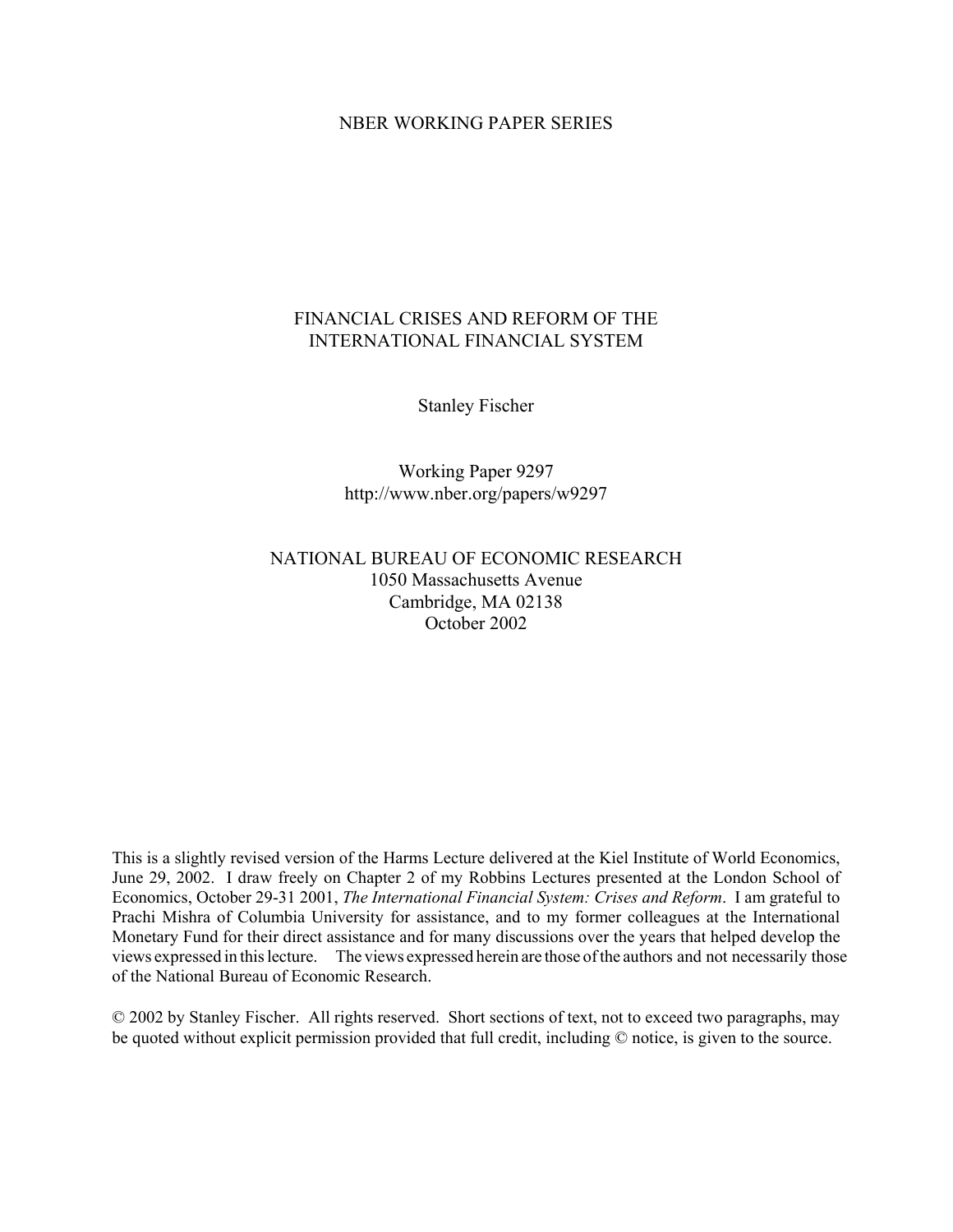## NBER WORKING PAPER SERIES

# FINANCIAL CRISES AND REFORM OF THE INTERNATIONAL FINANCIAL SYSTEM

Stanley Fischer

Working Paper 9297 http://www.nber.org/papers/w9297

# NATIONAL BUREAU OF ECONOMIC RESEARCH 1050 Massachusetts Avenue Cambridge, MA 02138 October 2002

This is a slightly revised version of the Harms Lecture delivered at the Kiel Institute of World Economics, June 29, 2002. I draw freely on Chapter 2 of my Robbins Lectures presented at the London School of Economics, October 29-31 2001, *The International Financial System: Crises and Reform*. I am grateful to Prachi Mishra of Columbia University for assistance, and to my former colleagues at the International Monetary Fund for their direct assistance and for many discussions over the years that helped develop the views expressed in this lecture. The views expressed herein are those of the authors and not necessarily those of the National Bureau of Economic Research.

© 2002 by Stanley Fischer. All rights reserved. Short sections of text, not to exceed two paragraphs, may be quoted without explicit permission provided that full credit, including © notice, is given to the source.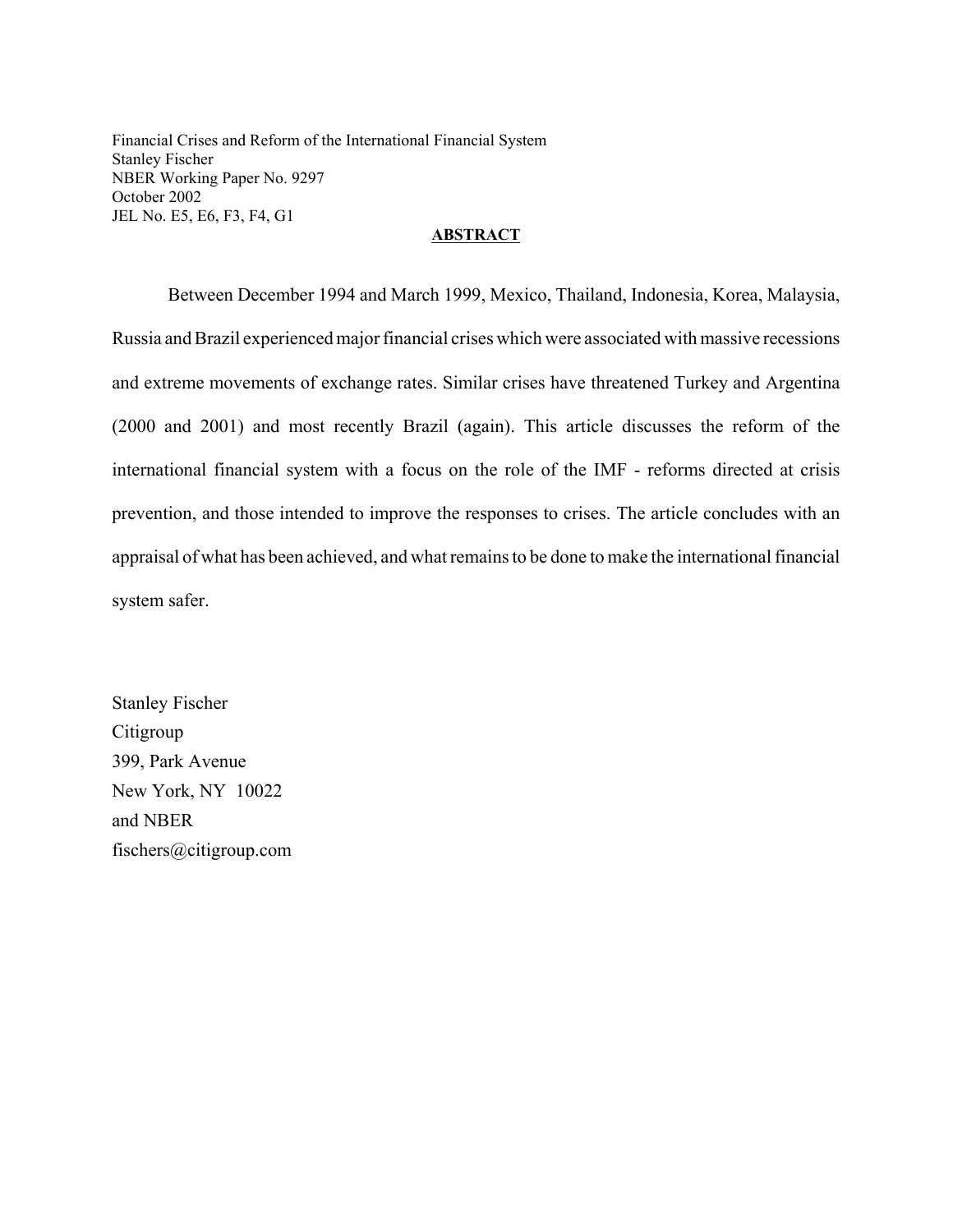Financial Crises and Reform of the International Financial System Stanley Fischer NBER Working Paper No. 9297 October 2002 JEL No. E5, E6, F3, F4, G1

#### **ABSTRACT**

Between December 1994 and March 1999, Mexico, Thailand, Indonesia, Korea, Malaysia, Russia and Brazil experienced major financial crises which were associated with massive recessions and extreme movements of exchange rates. Similar crises have threatened Turkey and Argentina (2000 and 2001) and most recently Brazil (again). This article discusses the reform of the international financial system with a focus on the role of the IMF - reforms directed at crisis prevention, and those intended to improve the responses to crises. The article concludes with an appraisal of what has been achieved, and what remains to be done to make the international financial system safer.

Stanley Fischer **Citigroup** 399, Park Avenue New York, NY 10022 and NBER fischers@citigroup.com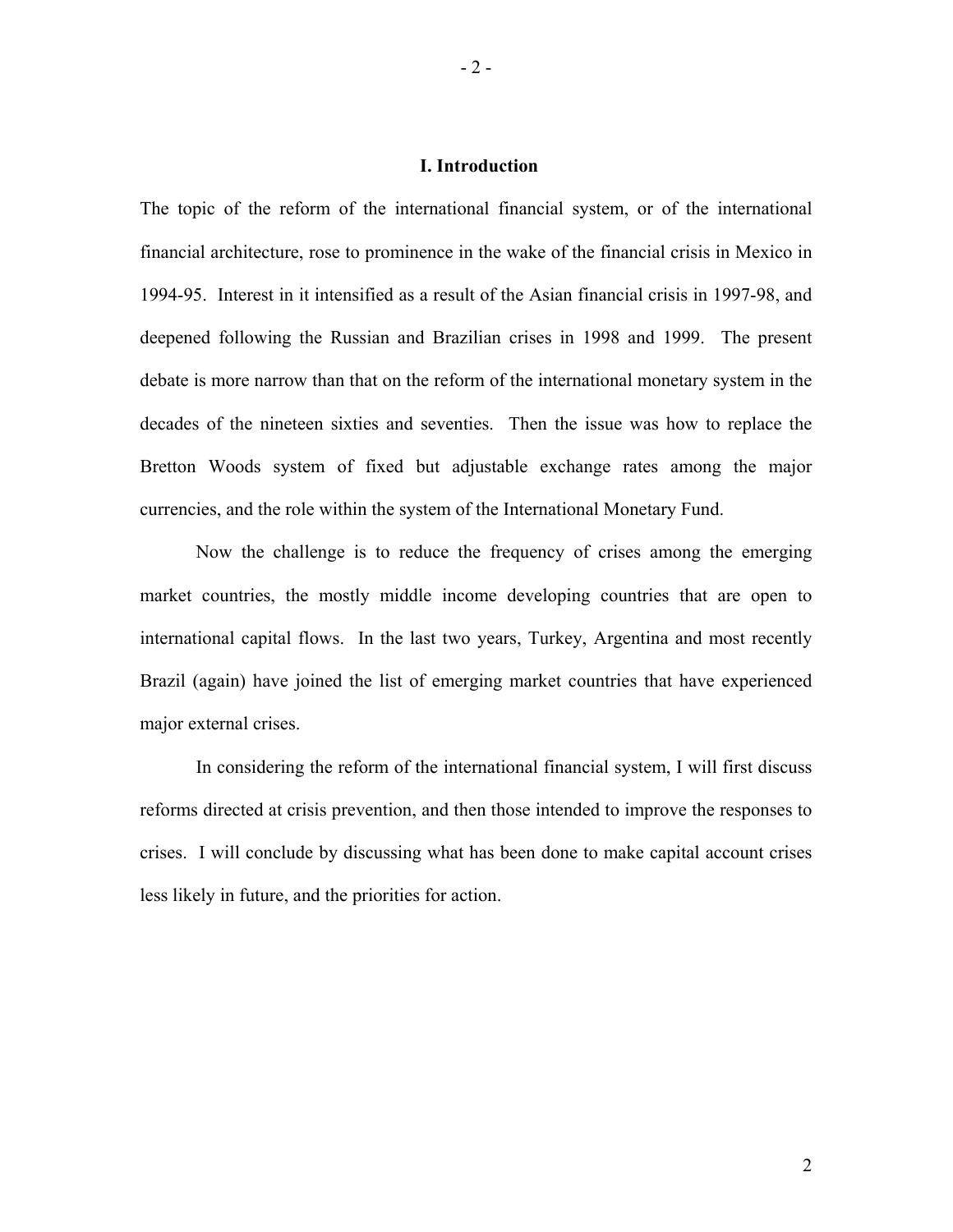# **I. Introduction**

The topic of the reform of the international financial system, or of the international financial architecture, rose to prominence in the wake of the financial crisis in Mexico in 1994-95. Interest in it intensified as a result of the Asian financial crisis in 1997-98, and deepened following the Russian and Brazilian crises in 1998 and 1999. The present debate is more narrow than that on the reform of the international monetary system in the decades of the nineteen sixties and seventies. Then the issue was how to replace the Bretton Woods system of fixed but adjustable exchange rates among the major currencies, and the role within the system of the International Monetary Fund.

Now the challenge is to reduce the frequency of crises among the emerging market countries, the mostly middle income developing countries that are open to international capital flows. In the last two years, Turkey, Argentina and most recently Brazil (again) have joined the list of emerging market countries that have experienced major external crises.

In considering the reform of the international financial system, I will first discuss reforms directed at crisis prevention, and then those intended to improve the responses to crises. I will conclude by discussing what has been done to make capital account crises less likely in future, and the priorities for action.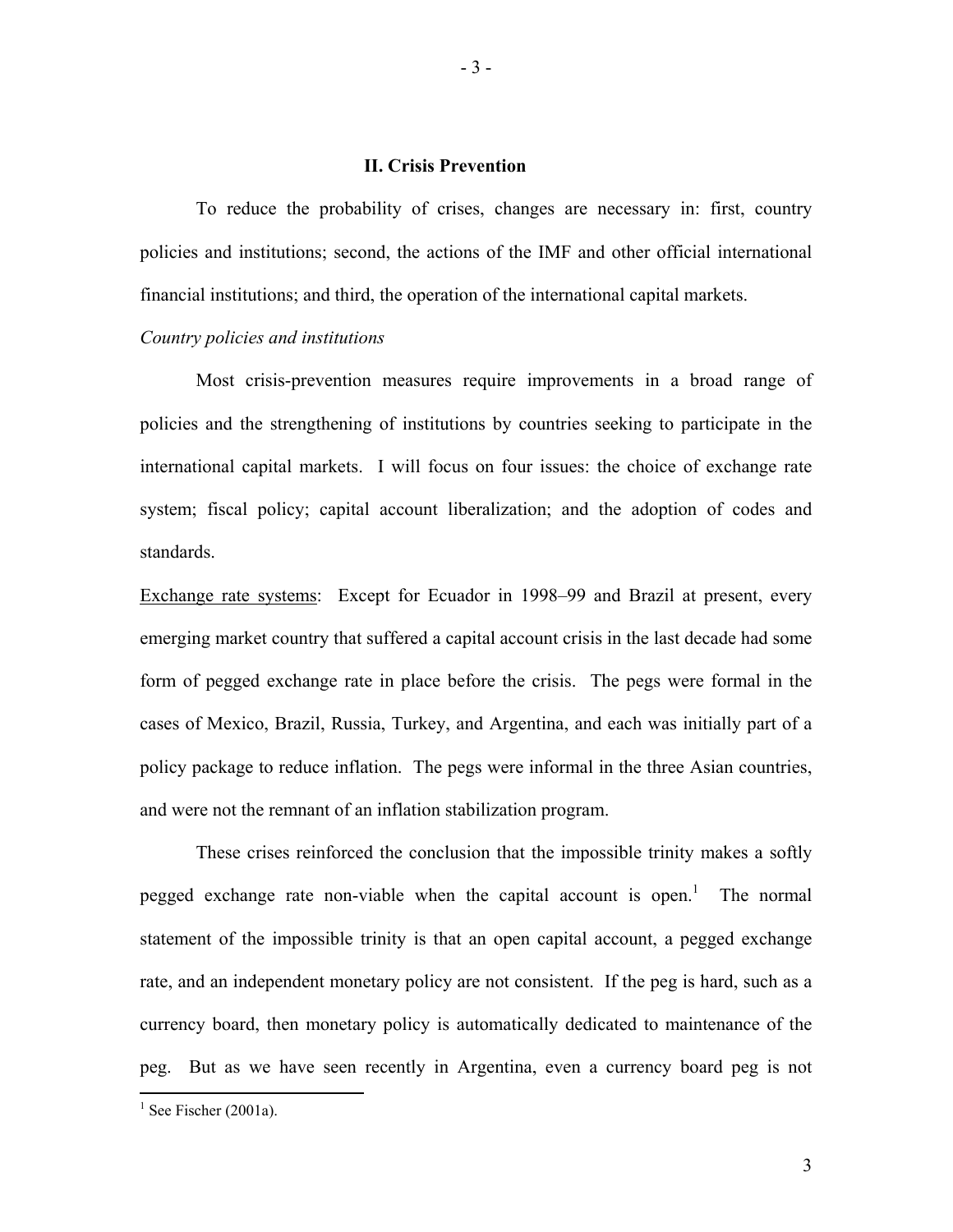## **II. Crisis Prevention**

To reduce the probability of crises, changes are necessary in: first, country policies and institutions; second, the actions of the IMF and other official international financial institutions; and third, the operation of the international capital markets.

# *Country policies and institutions*

Most crisis-prevention measures require improvements in a broad range of policies and the strengthening of institutions by countries seeking to participate in the international capital markets. I will focus on four issues: the choice of exchange rate system; fiscal policy; capital account liberalization; and the adoption of codes and standards.

Exchange rate systems: Except for Ecuador in 1998–99 and Brazil at present, every emerging market country that suffered a capital account crisis in the last decade had some form of pegged exchange rate in place before the crisis. The pegs were formal in the cases of Mexico, Brazil, Russia, Turkey, and Argentina, and each was initially part of a policy package to reduce inflation. The pegs were informal in the three Asian countries, and were not the remnant of an inflation stabilization program.

 These crises reinforced the conclusion that the impossible trinity makes a softly pegged exchange rate non-viable when the capital account is open.<sup>1</sup> The normal statement of the impossible trinity is that an open capital account, a pegged exchange rate, and an independent monetary policy are not consistent. If the peg is hard, such as a currency board, then monetary policy is automatically dedicated to maintenance of the peg. But as we have seen recently in Argentina, even a currency board peg is not

 $<sup>1</sup>$  See Fischer (2001a).</sup>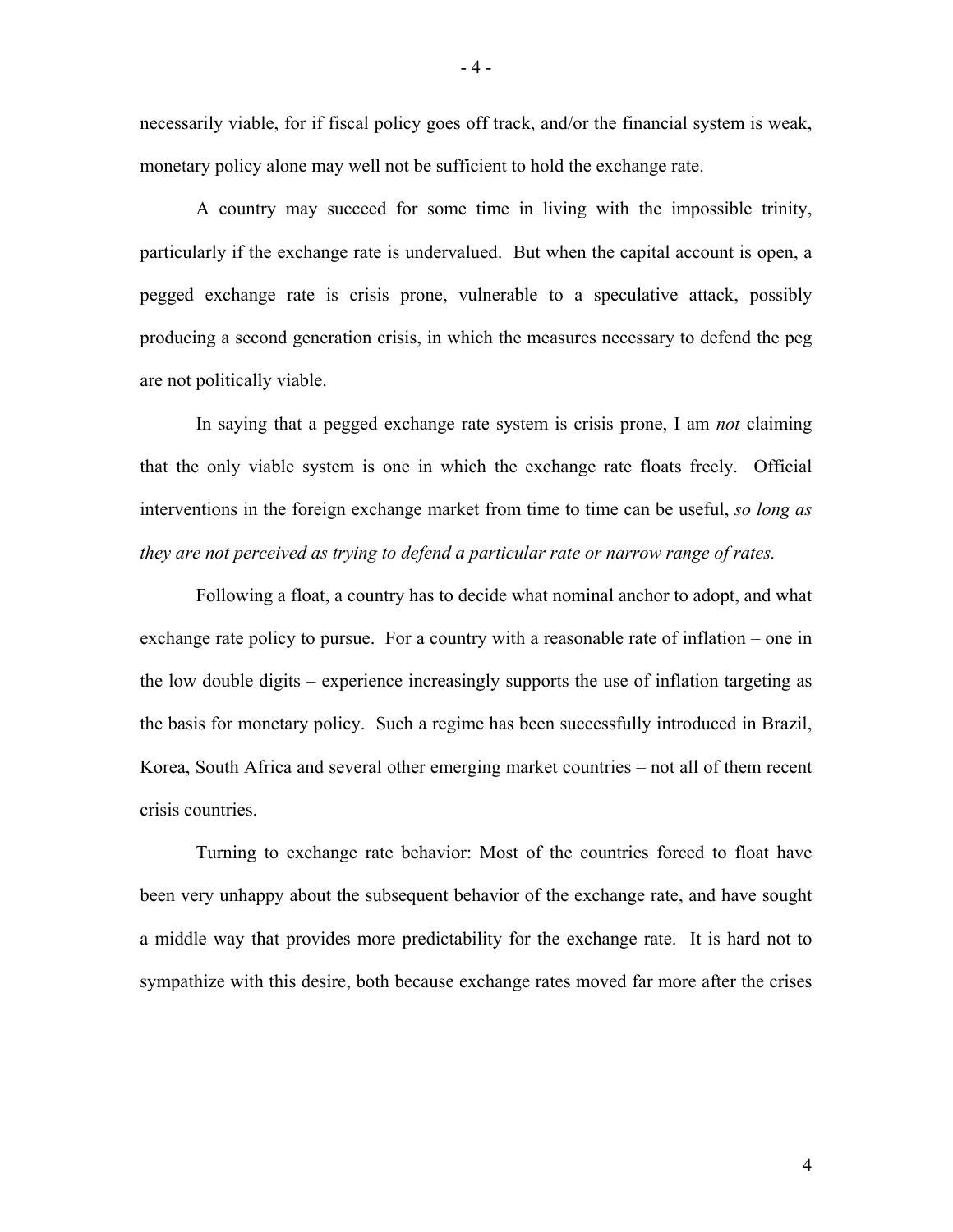necessarily viable, for if fiscal policy goes off track, and/or the financial system is weak, monetary policy alone may well not be sufficient to hold the exchange rate.

 A country may succeed for some time in living with the impossible trinity, particularly if the exchange rate is undervalued. But when the capital account is open, a pegged exchange rate is crisis prone, vulnerable to a speculative attack, possibly producing a second generation crisis, in which the measures necessary to defend the peg are not politically viable.

In saying that a pegged exchange rate system is crisis prone, I am *not* claiming that the only viable system is one in which the exchange rate floats freely. Official interventions in the foreign exchange market from time to time can be useful, *so long as they are not perceived as trying to defend a particular rate or narrow range of rates.*

 Following a float, a country has to decide what nominal anchor to adopt, and what exchange rate policy to pursue. For a country with a reasonable rate of inflation – one in the low double digits – experience increasingly supports the use of inflation targeting as the basis for monetary policy. Such a regime has been successfully introduced in Brazil, Korea, South Africa and several other emerging market countries – not all of them recent crisis countries.

 Turning to exchange rate behavior: Most of the countries forced to float have been very unhappy about the subsequent behavior of the exchange rate, and have sought a middle way that provides more predictability for the exchange rate. It is hard not to sympathize with this desire, both because exchange rates moved far more after the crises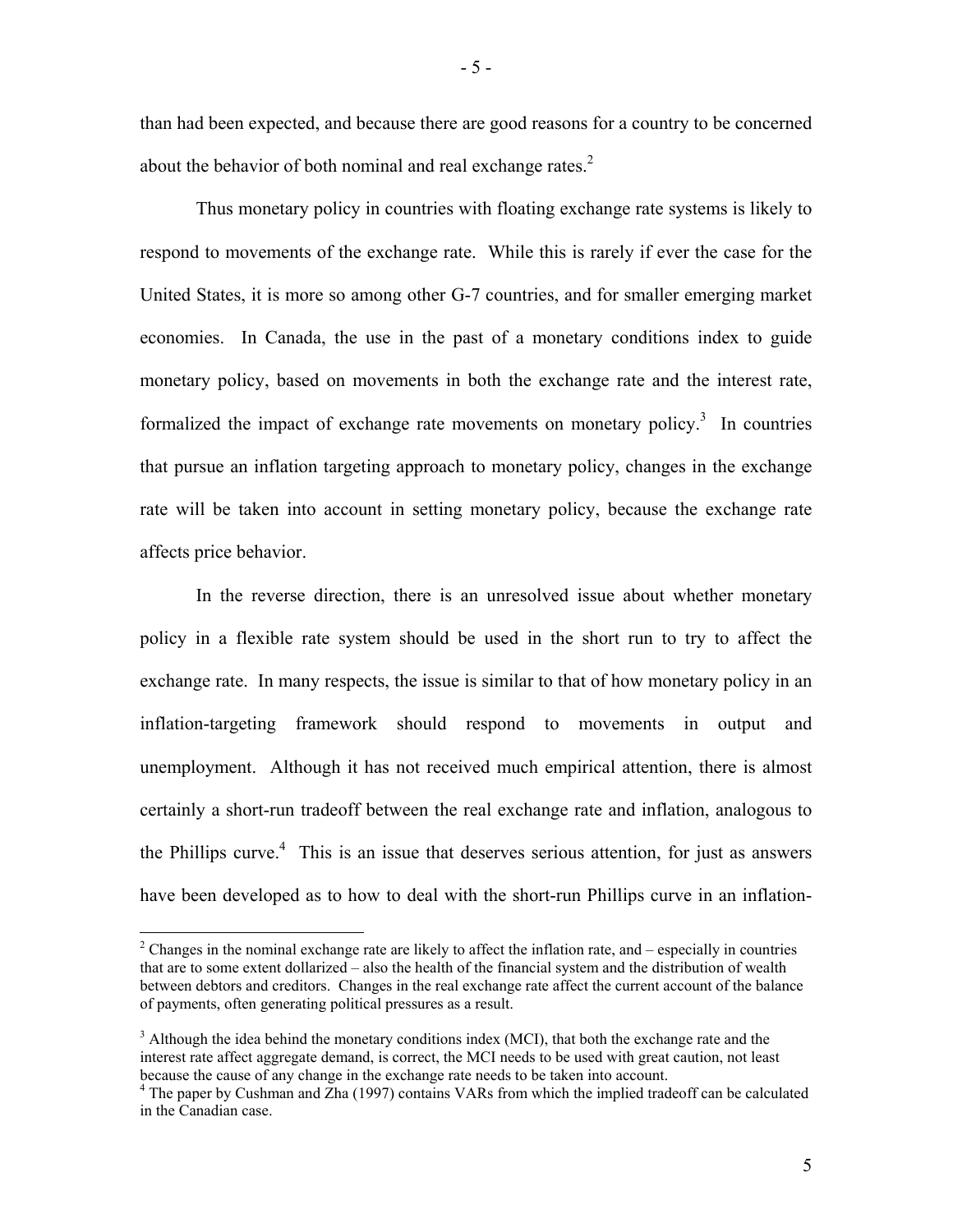than had been expected, and because there are good reasons for a country to be concerned about the behavior of both nominal and real exchange rates. $2$ 

Thus monetary policy in countries with floating exchange rate systems is likely to respond to movements of the exchange rate. While this is rarely if ever the case for the United States, it is more so among other G-7 countries, and for smaller emerging market economies. In Canada, the use in the past of a monetary conditions index to guide monetary policy, based on movements in both the exchange rate and the interest rate, formalized the impact of exchange rate movements on monetary policy.<sup>3</sup> In countries that pursue an inflation targeting approach to monetary policy, changes in the exchange rate will be taken into account in setting monetary policy, because the exchange rate affects price behavior.

In the reverse direction, there is an unresolved issue about whether monetary policy in a flexible rate system should be used in the short run to try to affect the exchange rate. In many respects, the issue is similar to that of how monetary policy in an inflation-targeting framework should respond to movements in output and unemployment. Although it has not received much empirical attention, there is almost certainly a short-run tradeoff between the real exchange rate and inflation, analogous to the Phillips curve.<sup>4</sup> This is an issue that deserves serious attention, for just as answers have been developed as to how to deal with the short-run Phillips curve in an inflation-

<u>.</u>

 $2^2$  Changes in the nominal exchange rate are likely to affect the inflation rate, and – especially in countries that are to some extent dollarized – also the health of the financial system and the distribution of wealth between debtors and creditors. Changes in the real exchange rate affect the current account of the balance of payments, often generating political pressures as a result.

 $3$  Although the idea behind the monetary conditions index (MCI), that both the exchange rate and the interest rate affect aggregate demand, is correct, the MCI needs to be used with great caution, not least because the cause of any change in the exchange rate needs to be taken into account. 4

<sup>&</sup>lt;sup>4</sup> The paper by Cushman and Zha (1997) contains VARs from which the implied tradeoff can be calculated in the Canadian case.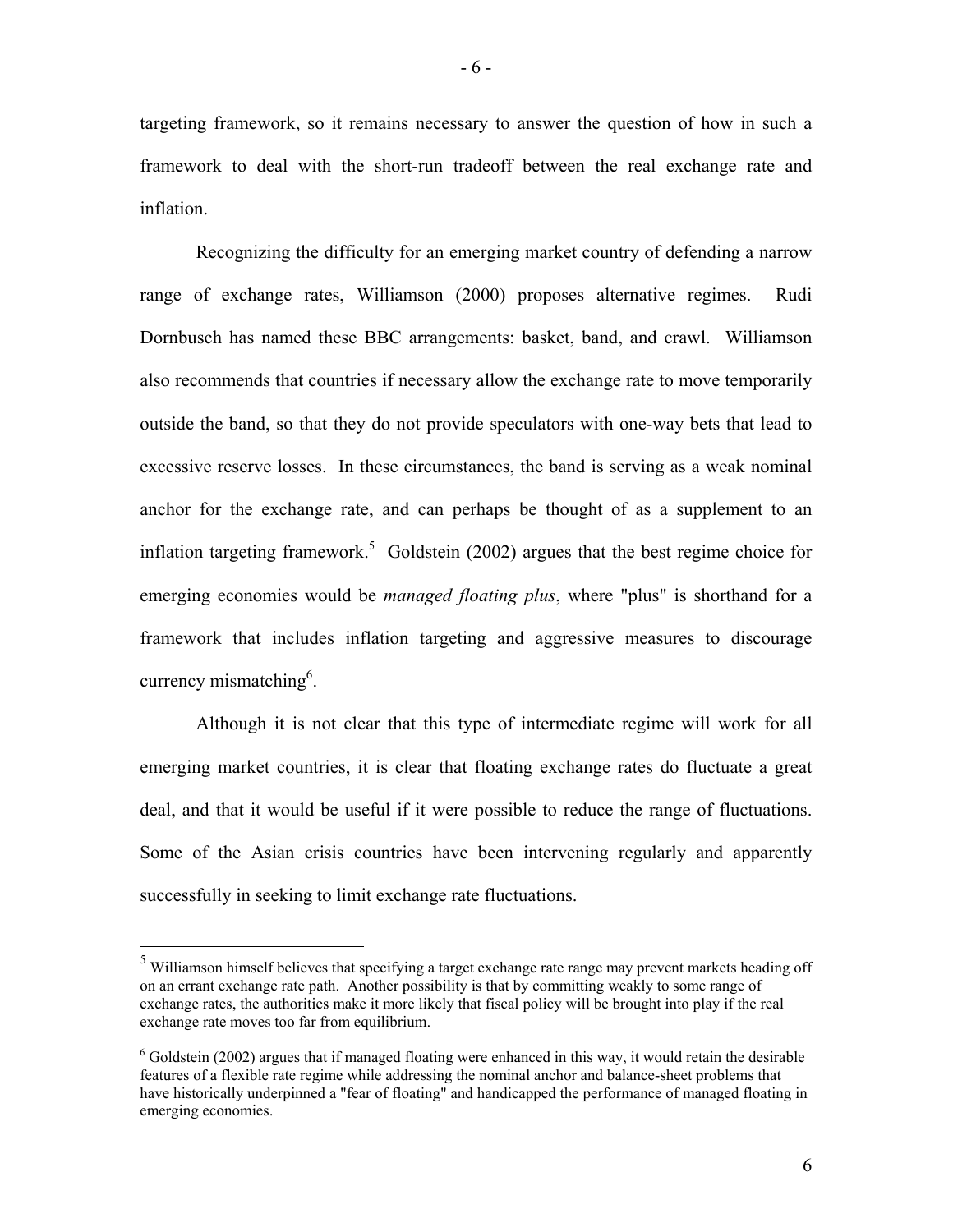targeting framework, so it remains necessary to answer the question of how in such a framework to deal with the short-run tradeoff between the real exchange rate and inflation.

Recognizing the difficulty for an emerging market country of defending a narrow range of exchange rates, Williamson (2000) proposes alternative regimes. Rudi Dornbusch has named these BBC arrangements: basket, band, and crawl. Williamson also recommends that countries if necessary allow the exchange rate to move temporarily outside the band, so that they do not provide speculators with one-way bets that lead to excessive reserve losses. In these circumstances, the band is serving as a weak nominal anchor for the exchange rate, and can perhaps be thought of as a supplement to an inflation targeting framework.<sup>5</sup> Goldstein (2002) argues that the best regime choice for emerging economies would be *managed floating plus*, where "plus" is shorthand for a framework that includes inflation targeting and aggressive measures to discourage currency mismatching<sup>6</sup>.

 Although it is not clear that this type of intermediate regime will work for all emerging market countries, it is clear that floating exchange rates do fluctuate a great deal, and that it would be useful if it were possible to reduce the range of fluctuations. Some of the Asian crisis countries have been intervening regularly and apparently successfully in seeking to limit exchange rate fluctuations.

<sup>&</sup>lt;sup>5</sup><br><sup>5</sup> Williamson himself believes that specifying a target exchange rate range may prevent markets heading off on an errant exchange rate path. Another possibility is that by committing weakly to some range of exchange rates, the authorities make it more likely that fiscal policy will be brought into play if the real exchange rate moves too far from equilibrium.

<sup>&</sup>lt;sup>6</sup> Goldstein (2002) argues that if managed floating were enhanced in this way, it would retain the desirable features of a flexible rate regime while addressing the nominal anchor and balance-sheet problems that have historically underpinned a "fear of floating" and handicapped the performance of managed floating in emerging economies.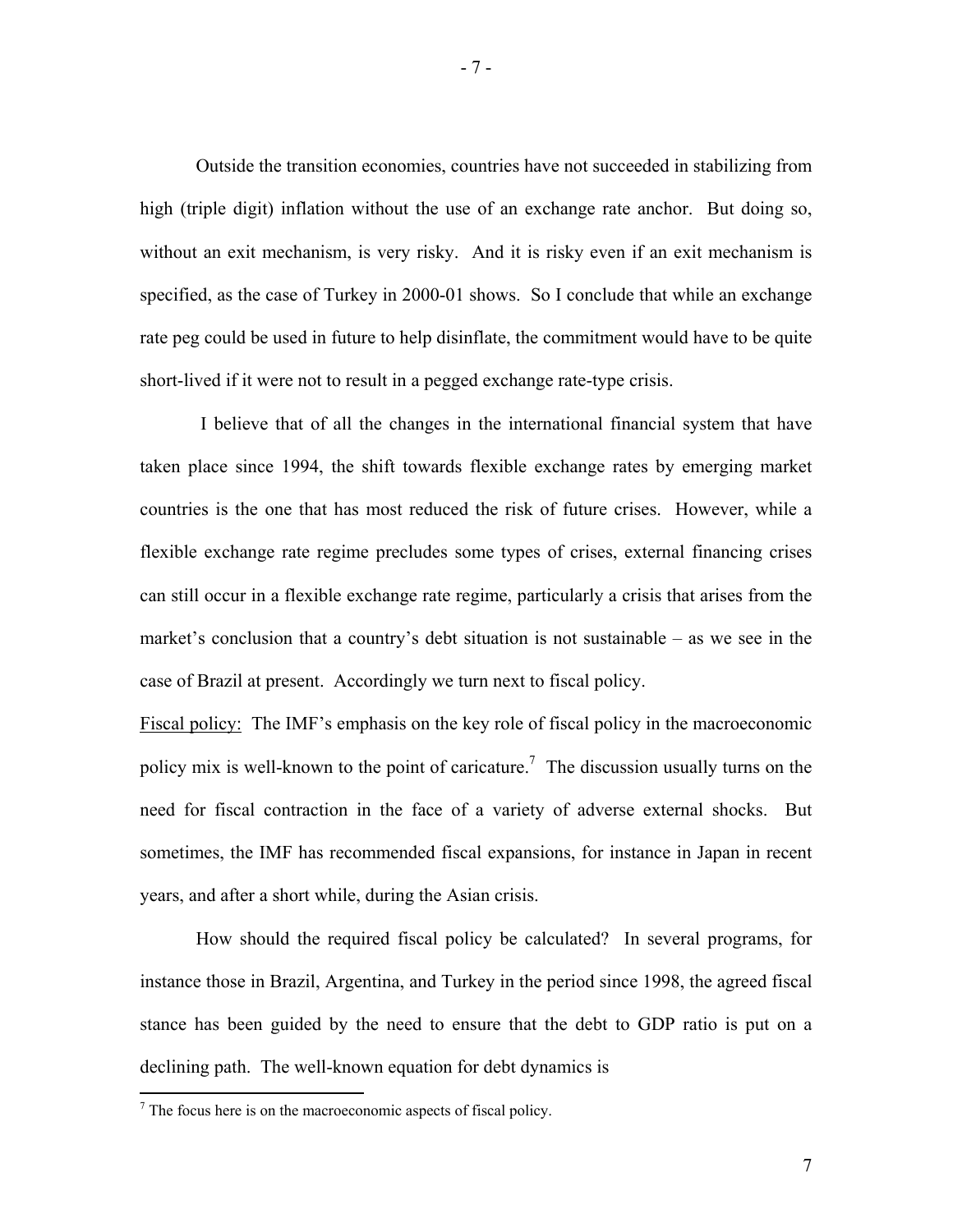Outside the transition economies, countries have not succeeded in stabilizing from high (triple digit) inflation without the use of an exchange rate anchor. But doing so, without an exit mechanism, is very risky. And it is risky even if an exit mechanism is specified, as the case of Turkey in 2000-01 shows. So I conclude that while an exchange rate peg could be used in future to help disinflate, the commitment would have to be quite short-lived if it were not to result in a pegged exchange rate-type crisis.

 I believe that of all the changes in the international financial system that have taken place since 1994, the shift towards flexible exchange rates by emerging market countries is the one that has most reduced the risk of future crises. However, while a flexible exchange rate regime precludes some types of crises, external financing crises can still occur in a flexible exchange rate regime, particularly a crisis that arises from the market's conclusion that a country's debt situation is not sustainable – as we see in the case of Brazil at present. Accordingly we turn next to fiscal policy.

Fiscal policy: The IMF's emphasis on the key role of fiscal policy in the macroeconomic policy mix is well-known to the point of caricature.<sup>7</sup> The discussion usually turns on the need for fiscal contraction in the face of a variety of adverse external shocks. But sometimes, the IMF has recommended fiscal expansions, for instance in Japan in recent years, and after a short while, during the Asian crisis.

How should the required fiscal policy be calculated? In several programs, for instance those in Brazil, Argentina, and Turkey in the period since 1998, the agreed fiscal stance has been guided by the need to ensure that the debt to GDP ratio is put on a declining path. The well-known equation for debt dynamics is

1

7

- 7 -

 $<sup>7</sup>$  The focus here is on the macroeconomic aspects of fiscal policy.</sup>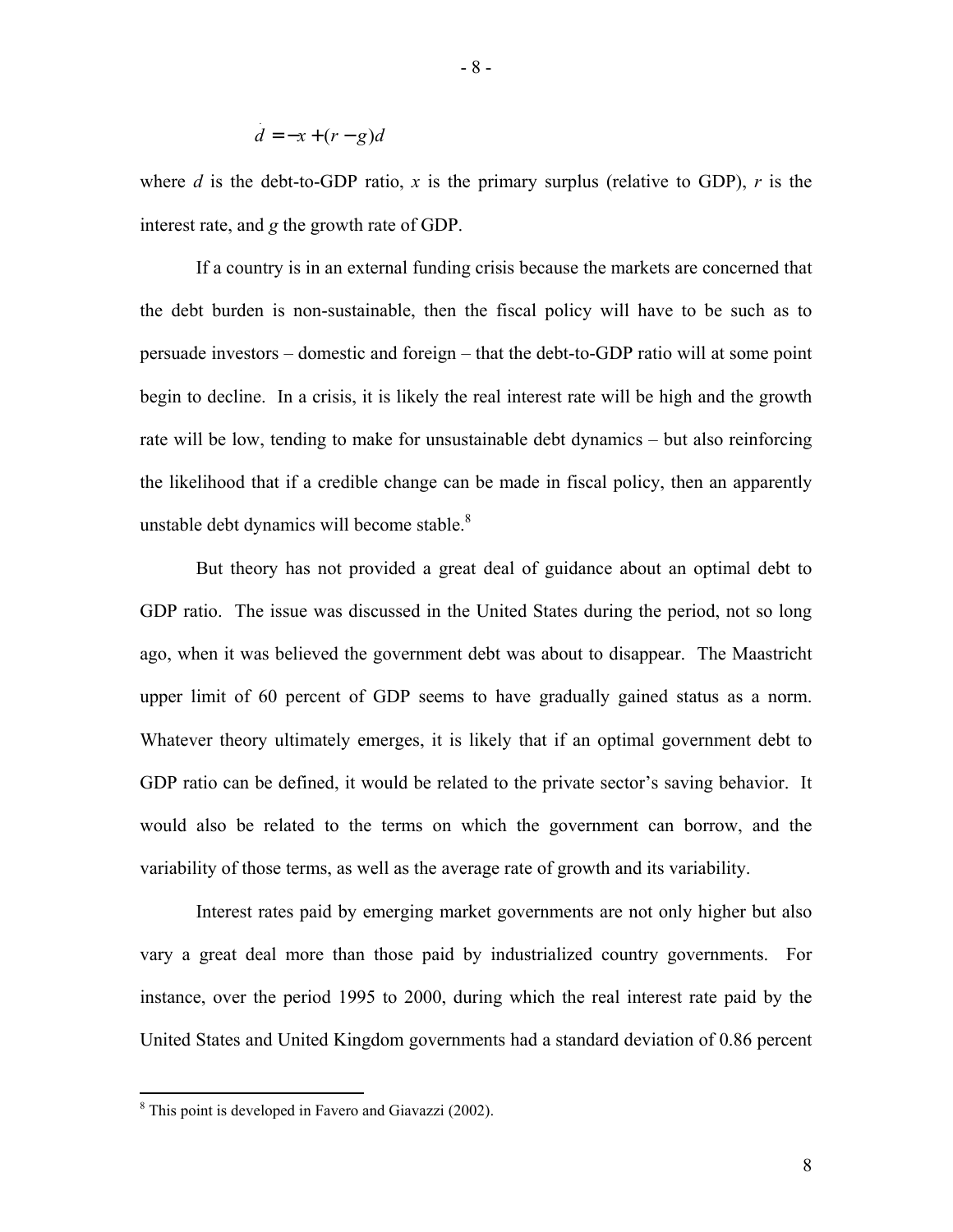$$
d = -x + (r - g)d
$$

- 8 -

where *d* is the debt-to-GDP ratio, *x* is the primary surplus (relative to GDP), *r* is the interest rate, and *g* the growth rate of GDP.

If a country is in an external funding crisis because the markets are concerned that the debt burden is non-sustainable, then the fiscal policy will have to be such as to persuade investors – domestic and foreign – that the debt-to-GDP ratio will at some point begin to decline. In a crisis, it is likely the real interest rate will be high and the growth rate will be low, tending to make for unsustainable debt dynamics – but also reinforcing the likelihood that if a credible change can be made in fiscal policy, then an apparently unstable debt dynamics will become stable. $8$ 

But theory has not provided a great deal of guidance about an optimal debt to GDP ratio. The issue was discussed in the United States during the period, not so long ago, when it was believed the government debt was about to disappear. The Maastricht upper limit of 60 percent of GDP seems to have gradually gained status as a norm. Whatever theory ultimately emerges, it is likely that if an optimal government debt to GDP ratio can be defined, it would be related to the private sector's saving behavior. It would also be related to the terms on which the government can borrow, and the variability of those terms, as well as the average rate of growth and its variability.

Interest rates paid by emerging market governments are not only higher but also vary a great deal more than those paid by industrialized country governments. For instance, over the period 1995 to 2000, during which the real interest rate paid by the United States and United Kingdom governments had a standard deviation of 0.86 percent

<sup>8</sup> This point is developed in Favero and Giavazzi (2002).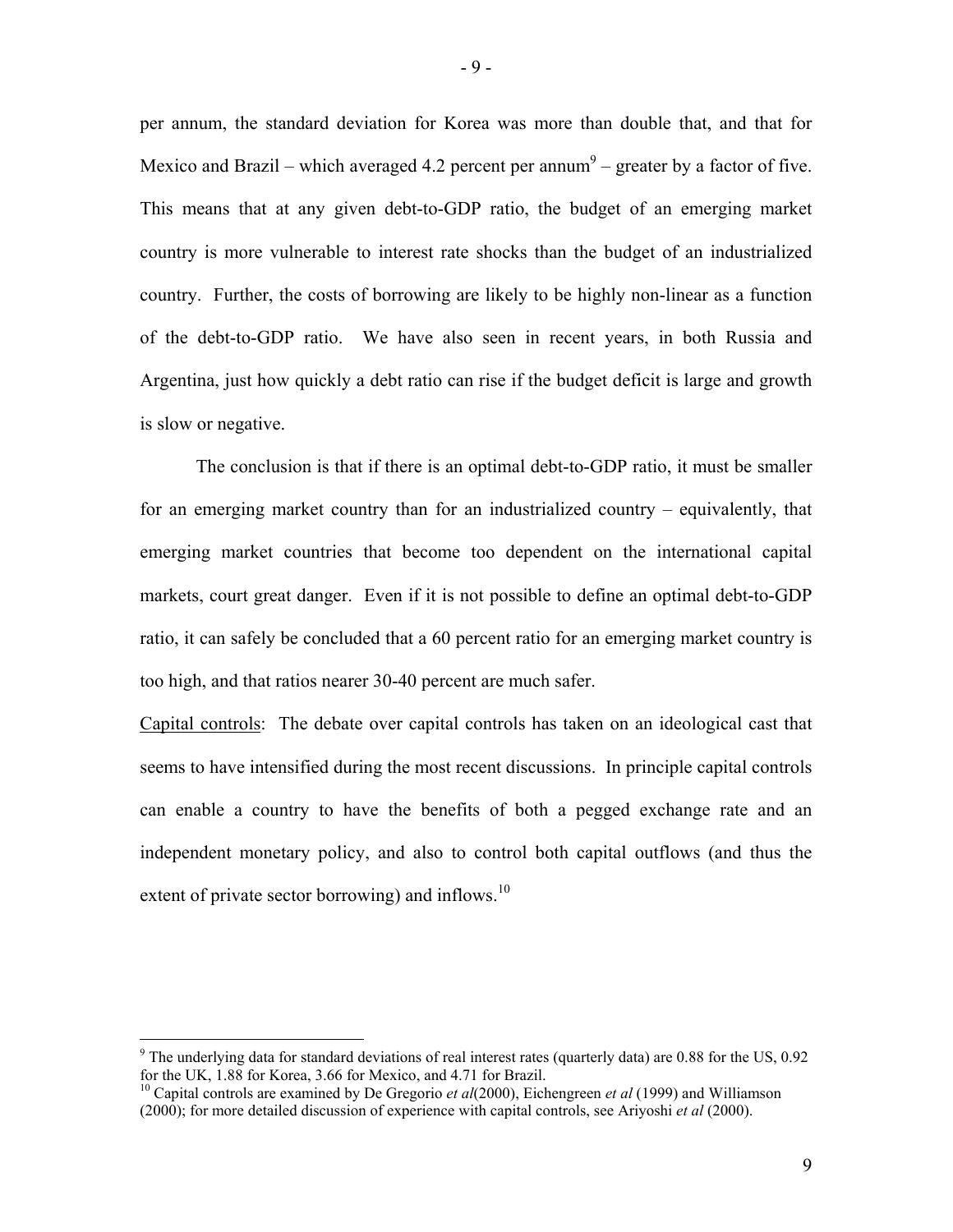per annum, the standard deviation for Korea was more than double that, and that for Mexico and Brazil – which averaged 4.2 percent per annum<sup>9</sup> – greater by a factor of five. This means that at any given debt-to-GDP ratio, the budget of an emerging market country is more vulnerable to interest rate shocks than the budget of an industrialized country. Further, the costs of borrowing are likely to be highly non-linear as a function of the debt-to-GDP ratio. We have also seen in recent years, in both Russia and Argentina, just how quickly a debt ratio can rise if the budget deficit is large and growth is slow or negative.

The conclusion is that if there is an optimal debt-to-GDP ratio, it must be smaller for an emerging market country than for an industrialized country – equivalently, that emerging market countries that become too dependent on the international capital markets, court great danger. Even if it is not possible to define an optimal debt-to-GDP ratio, it can safely be concluded that a 60 percent ratio for an emerging market country is too high, and that ratios nearer 30-40 percent are much safer.

Capital controls: The debate over capital controls has taken on an ideological cast that seems to have intensified during the most recent discussions. In principle capital controls can enable a country to have the benefits of both a pegged exchange rate and an independent monetary policy, and also to control both capital outflows (and thus the extent of private sector borrowing) and inflows.<sup>10</sup>

 $9$  The underlying data for standard deviations of real interest rates (quarterly data) are 0.88 for the US, 0.92 for the UK, 1.88 for Korea, 3.66 for Mexico, and 4.71 for Brazil.

<sup>&</sup>lt;sup>10</sup> Capital controls are examined by De Gregorio *et al*(2000), Eichengreen *et al* (1999) and Williamson (2000); for more detailed discussion of experience with capital controls, see Ariyoshi *et al* (2000).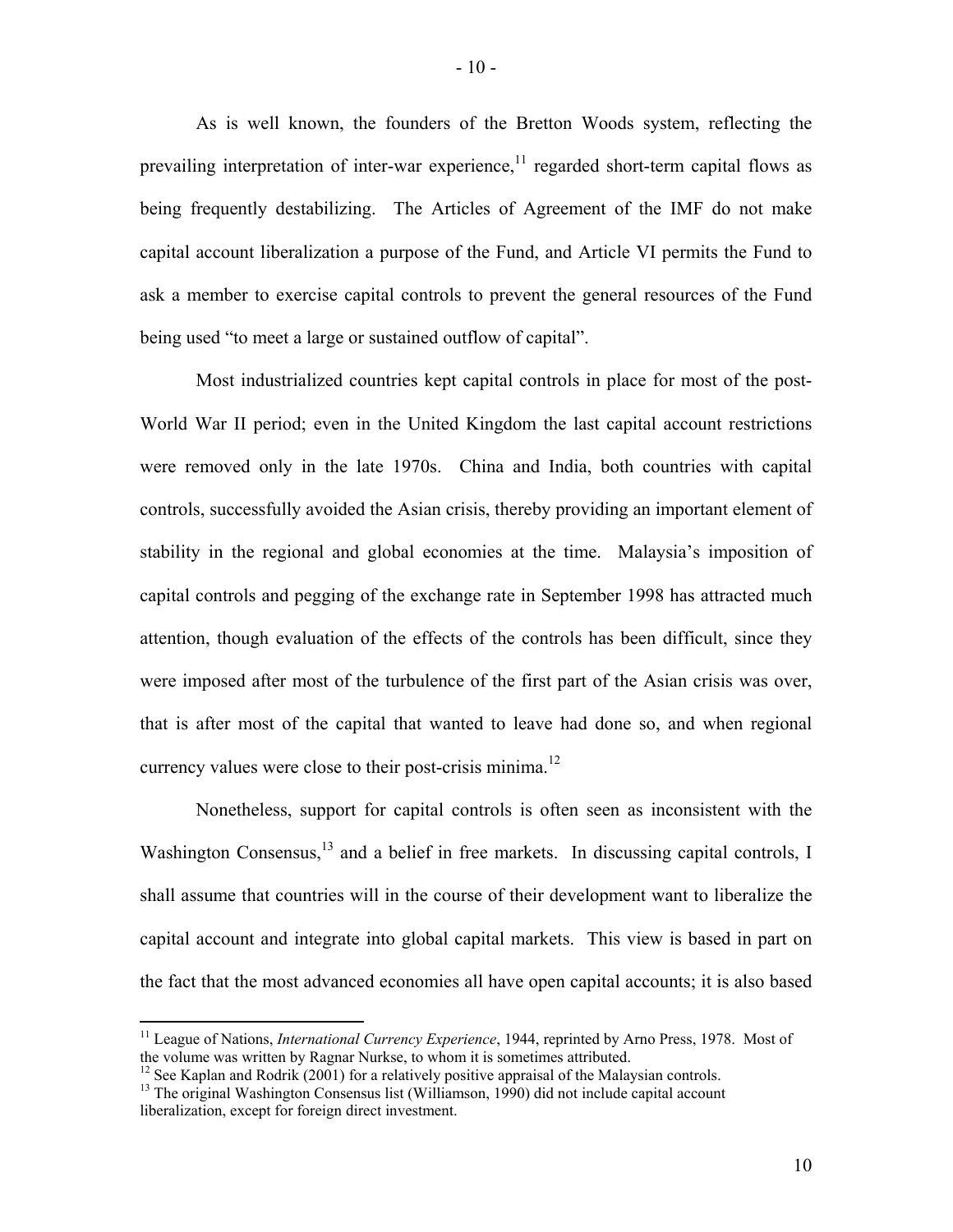As is well known, the founders of the Bretton Woods system, reflecting the prevailing interpretation of inter-war experience,<sup>11</sup> regarded short-term capital flows as being frequently destabilizing. The Articles of Agreement of the IMF do not make capital account liberalization a purpose of the Fund, and Article VI permits the Fund to ask a member to exercise capital controls to prevent the general resources of the Fund being used "to meet a large or sustained outflow of capital".

Most industrialized countries kept capital controls in place for most of the post-World War II period; even in the United Kingdom the last capital account restrictions were removed only in the late 1970s. China and India, both countries with capital controls, successfully avoided the Asian crisis, thereby providing an important element of stability in the regional and global economies at the time. Malaysia's imposition of capital controls and pegging of the exchange rate in September 1998 has attracted much attention, though evaluation of the effects of the controls has been difficult, since they were imposed after most of the turbulence of the first part of the Asian crisis was over, that is after most of the capital that wanted to leave had done so, and when regional currency values were close to their post-crisis minima.<sup>12</sup>

 Nonetheless, support for capital controls is often seen as inconsistent with the Washington Consensus,<sup>13</sup> and a belief in free markets. In discussing capital controls, I shall assume that countries will in the course of their development want to liberalize the capital account and integrate into global capital markets. This view is based in part on the fact that the most advanced economies all have open capital accounts; it is also based

<sup>&</sup>lt;sup>11</sup> League of Nations, *International Currency Experience*, 1944, reprinted by Arno Press, 1978. Most of the volume was written by Ragnar Nurkse, to whom it is sometimes attributed.<br><sup>12</sup> See Kaplan and Rodrik (2001) for a relatively positive appraisal of the Malaysian controls.

<sup>&</sup>lt;sup>13</sup> The original Washington Consensus list (Williamson, 1990) did not include capital account liberalization, except for foreign direct investment.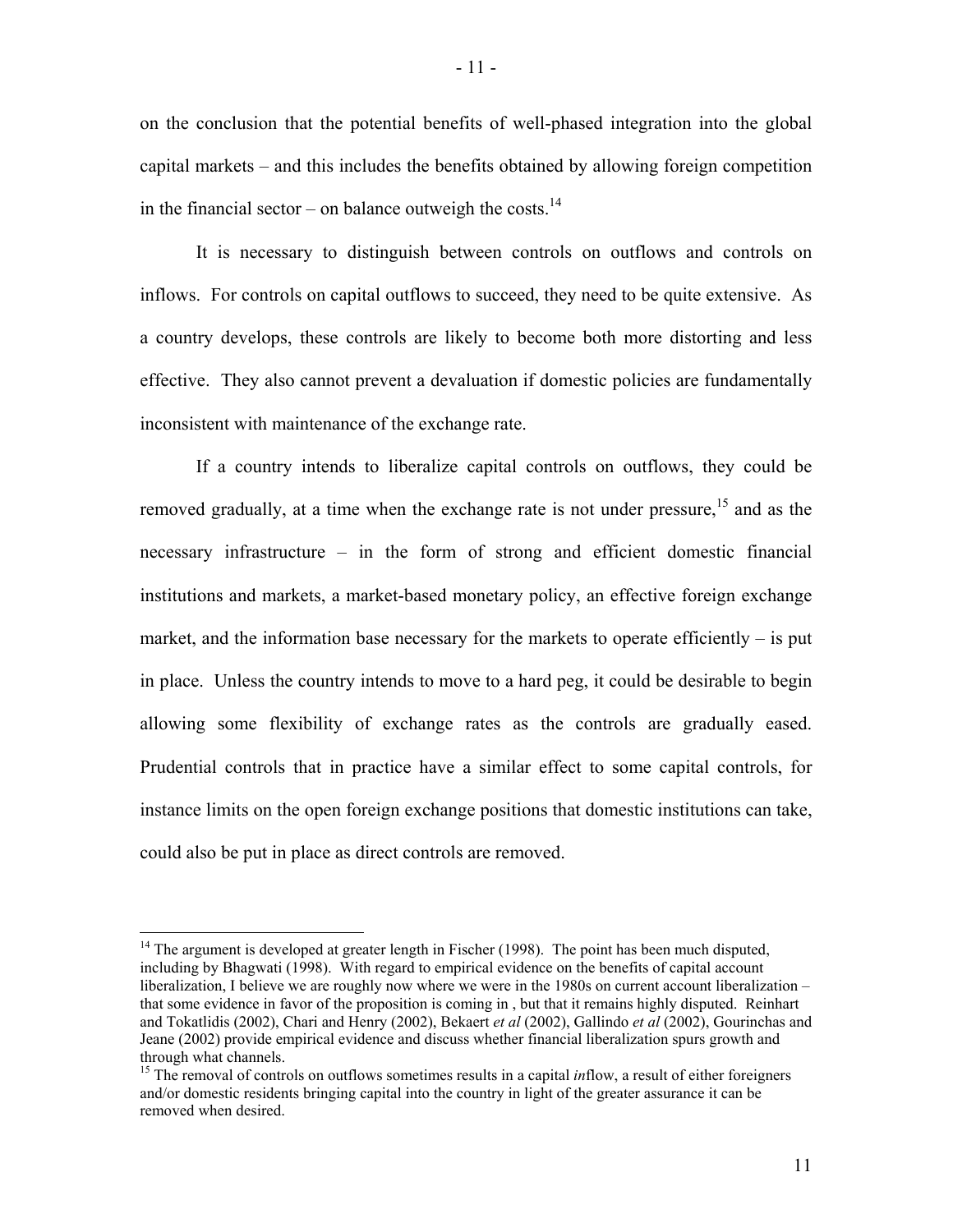on the conclusion that the potential benefits of well-phased integration into the global capital markets – and this includes the benefits obtained by allowing foreign competition in the financial sector – on balance outweigh the costs.<sup>14</sup>

It is necessary to distinguish between controls on outflows and controls on inflows. For controls on capital outflows to succeed, they need to be quite extensive. As a country develops, these controls are likely to become both more distorting and less effective. They also cannot prevent a devaluation if domestic policies are fundamentally inconsistent with maintenance of the exchange rate.

If a country intends to liberalize capital controls on outflows, they could be removed gradually, at a time when the exchange rate is not under pressure,  $15$  and as the necessary infrastructure – in the form of strong and efficient domestic financial institutions and markets, a market-based monetary policy, an effective foreign exchange market, and the information base necessary for the markets to operate efficiently – is put in place. Unless the country intends to move to a hard peg, it could be desirable to begin allowing some flexibility of exchange rates as the controls are gradually eased. Prudential controls that in practice have a similar effect to some capital controls, for instance limits on the open foreign exchange positions that domestic institutions can take, could also be put in place as direct controls are removed.

<u>.</u>

 $14$  The argument is developed at greater length in Fischer (1998). The point has been much disputed, including by Bhagwati (1998). With regard to empirical evidence on the benefits of capital account liberalization, I believe we are roughly now where we were in the 1980s on current account liberalization – that some evidence in favor of the proposition is coming in , but that it remains highly disputed. Reinhart and Tokatlidis (2002), Chari and Henry (2002), Bekaert *et al* (2002), Gallindo *et al* (2002), Gourinchas and Jeane (2002) provide empirical evidence and discuss whether financial liberalization spurs growth and through what channels.

<sup>&</sup>lt;sup>15</sup> The removal of controls on outflows sometimes results in a capital *inflow*, a result of either foreigners and/or domestic residents bringing capital into the country in light of the greater assurance it can be removed when desired.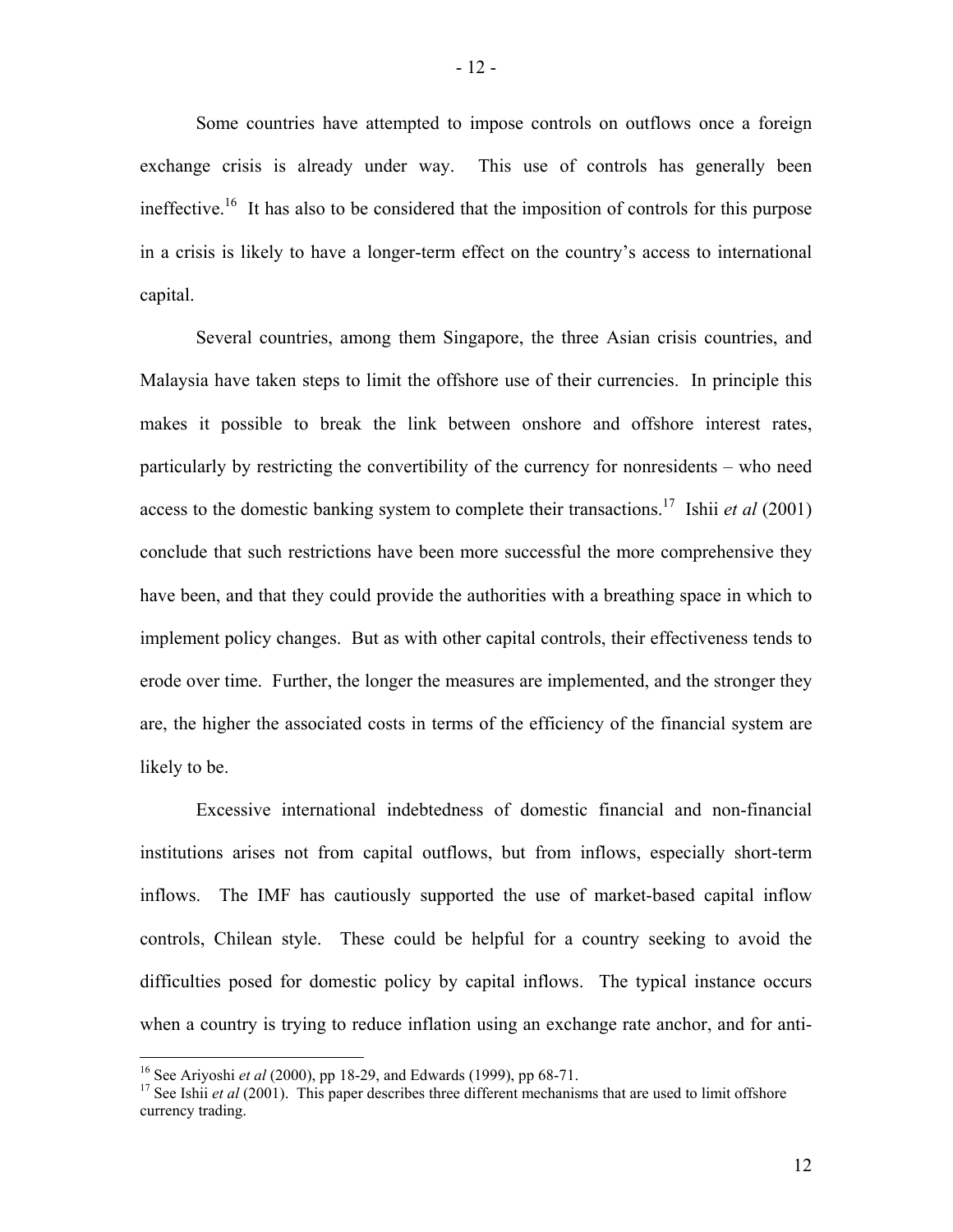Some countries have attempted to impose controls on outflows once a foreign exchange crisis is already under way. This use of controls has generally been ineffective.<sup>16</sup> It has also to be considered that the imposition of controls for this purpose in a crisis is likely to have a longer-term effect on the country's access to international capital.

Several countries, among them Singapore, the three Asian crisis countries, and Malaysia have taken steps to limit the offshore use of their currencies. In principle this makes it possible to break the link between onshore and offshore interest rates, particularly by restricting the convertibility of the currency for nonresidents – who need access to the domestic banking system to complete their transactions.17 Ishii *et al* (2001) conclude that such restrictions have been more successful the more comprehensive they have been, and that they could provide the authorities with a breathing space in which to implement policy changes. But as with other capital controls, their effectiveness tends to erode over time. Further, the longer the measures are implemented, and the stronger they are, the higher the associated costs in terms of the efficiency of the financial system are likely to be.

Excessive international indebtedness of domestic financial and non-financial institutions arises not from capital outflows, but from inflows, especially short-term inflows. The IMF has cautiously supported the use of market-based capital inflow controls, Chilean style. These could be helpful for a country seeking to avoid the difficulties posed for domestic policy by capital inflows. The typical instance occurs when a country is trying to reduce inflation using an exchange rate anchor, and for anti-

<sup>&</sup>lt;sup>16</sup> See Ariyoshi *et al* (2000), pp 18-29, and Edwards (1999), pp 68-71.<br><sup>17</sup> See Ishii *et al* (2001). This paper describes three different mechanisms that are used to limit offshore currency trading.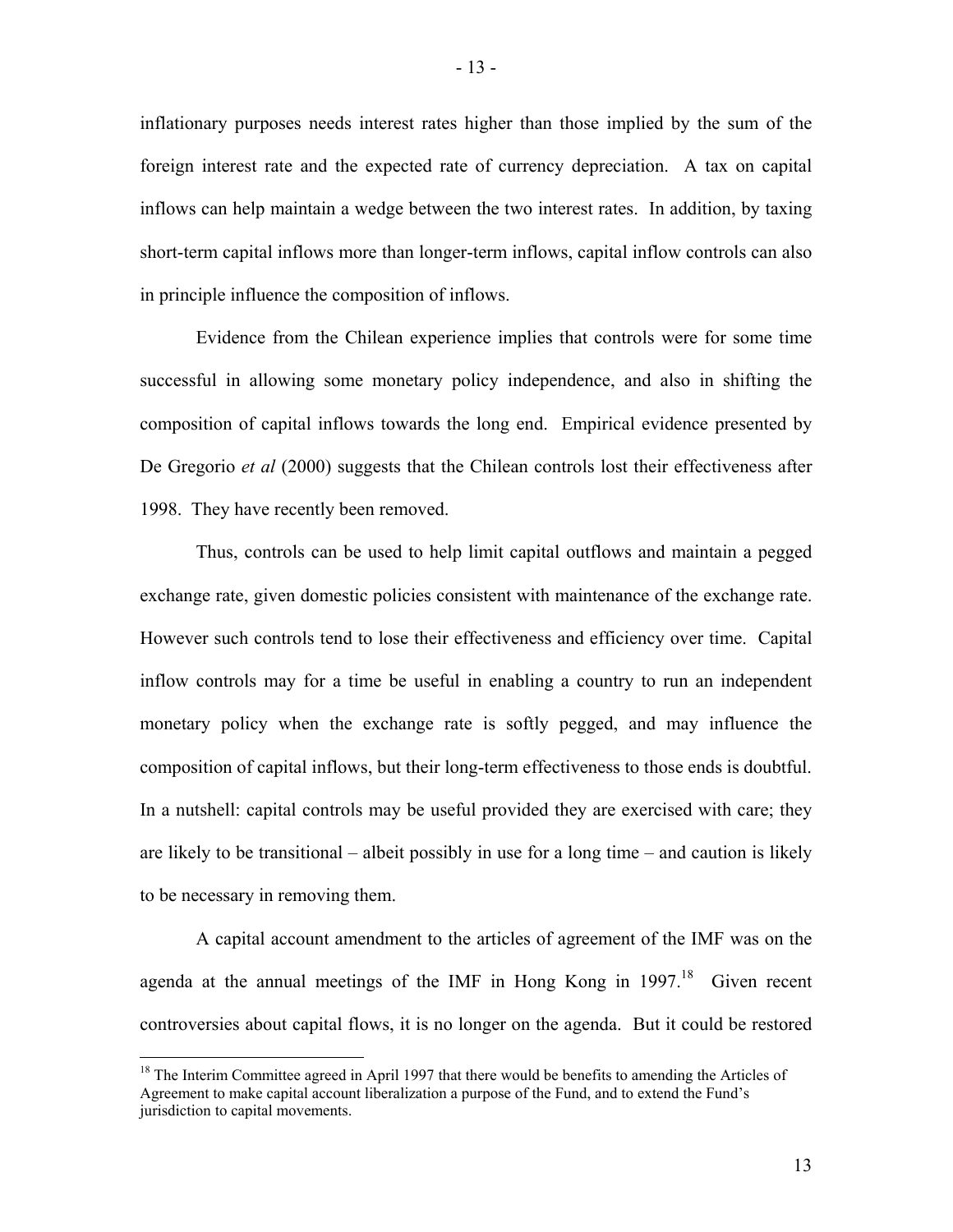inflationary purposes needs interest rates higher than those implied by the sum of the foreign interest rate and the expected rate of currency depreciation. A tax on capital inflows can help maintain a wedge between the two interest rates. In addition, by taxing short-term capital inflows more than longer-term inflows, capital inflow controls can also in principle influence the composition of inflows.

Evidence from the Chilean experience implies that controls were for some time successful in allowing some monetary policy independence, and also in shifting the composition of capital inflows towards the long end. Empirical evidence presented by De Gregorio *et al* (2000) suggests that the Chilean controls lost their effectiveness after 1998. They have recently been removed.

Thus, controls can be used to help limit capital outflows and maintain a pegged exchange rate, given domestic policies consistent with maintenance of the exchange rate. However such controls tend to lose their effectiveness and efficiency over time. Capital inflow controls may for a time be useful in enabling a country to run an independent monetary policy when the exchange rate is softly pegged, and may influence the composition of capital inflows, but their long-term effectiveness to those ends is doubtful. In a nutshell: capital controls may be useful provided they are exercised with care; they are likely to be transitional – albeit possibly in use for a long time – and caution is likely to be necessary in removing them.

 A capital account amendment to the articles of agreement of the IMF was on the agenda at the annual meetings of the IMF in Hong Kong in  $1997<sup>18</sup>$  Given recent controversies about capital flows, it is no longer on the agenda. But it could be restored

<sup>&</sup>lt;sup>18</sup> The Interim Committee agreed in April 1997 that there would be benefits to amending the Articles of Agreement to make capital account liberalization a purpose of the Fund, and to extend the Fund's jurisdiction to capital movements.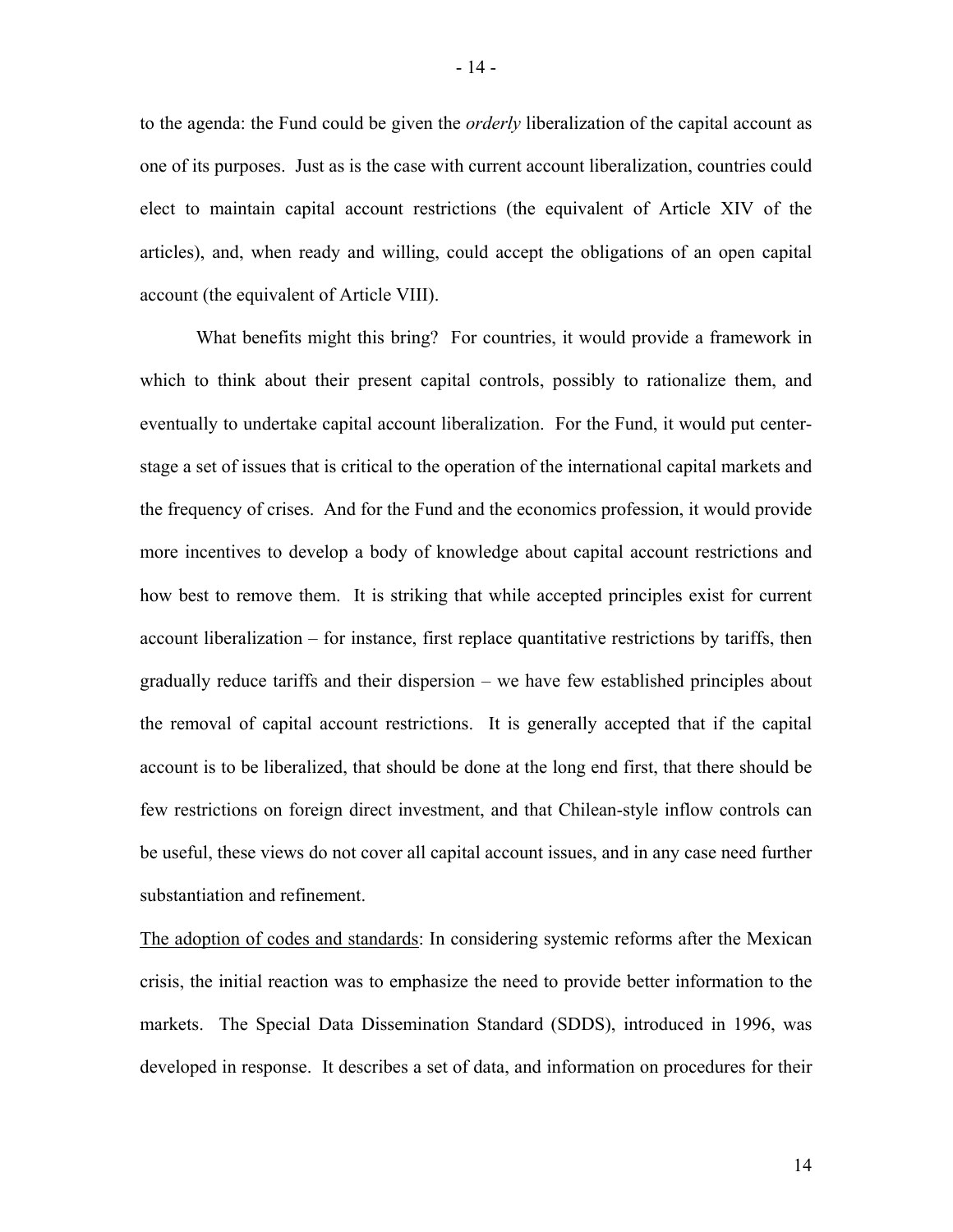to the agenda: the Fund could be given the *orderly* liberalization of the capital account as one of its purposes. Just as is the case with current account liberalization, countries could elect to maintain capital account restrictions (the equivalent of Article XIV of the articles), and, when ready and willing, could accept the obligations of an open capital account (the equivalent of Article VIII).

What benefits might this bring? For countries, it would provide a framework in which to think about their present capital controls, possibly to rationalize them, and eventually to undertake capital account liberalization. For the Fund, it would put centerstage a set of issues that is critical to the operation of the international capital markets and the frequency of crises. And for the Fund and the economics profession, it would provide more incentives to develop a body of knowledge about capital account restrictions and how best to remove them. It is striking that while accepted principles exist for current account liberalization – for instance, first replace quantitative restrictions by tariffs, then gradually reduce tariffs and their dispersion – we have few established principles about the removal of capital account restrictions. It is generally accepted that if the capital account is to be liberalized, that should be done at the long end first, that there should be few restrictions on foreign direct investment, and that Chilean-style inflow controls can be useful, these views do not cover all capital account issues, and in any case need further substantiation and refinement.

The adoption of codes and standards: In considering systemic reforms after the Mexican crisis, the initial reaction was to emphasize the need to provide better information to the markets. The Special Data Dissemination Standard (SDDS), introduced in 1996, was developed in response. It describes a set of data, and information on procedures for their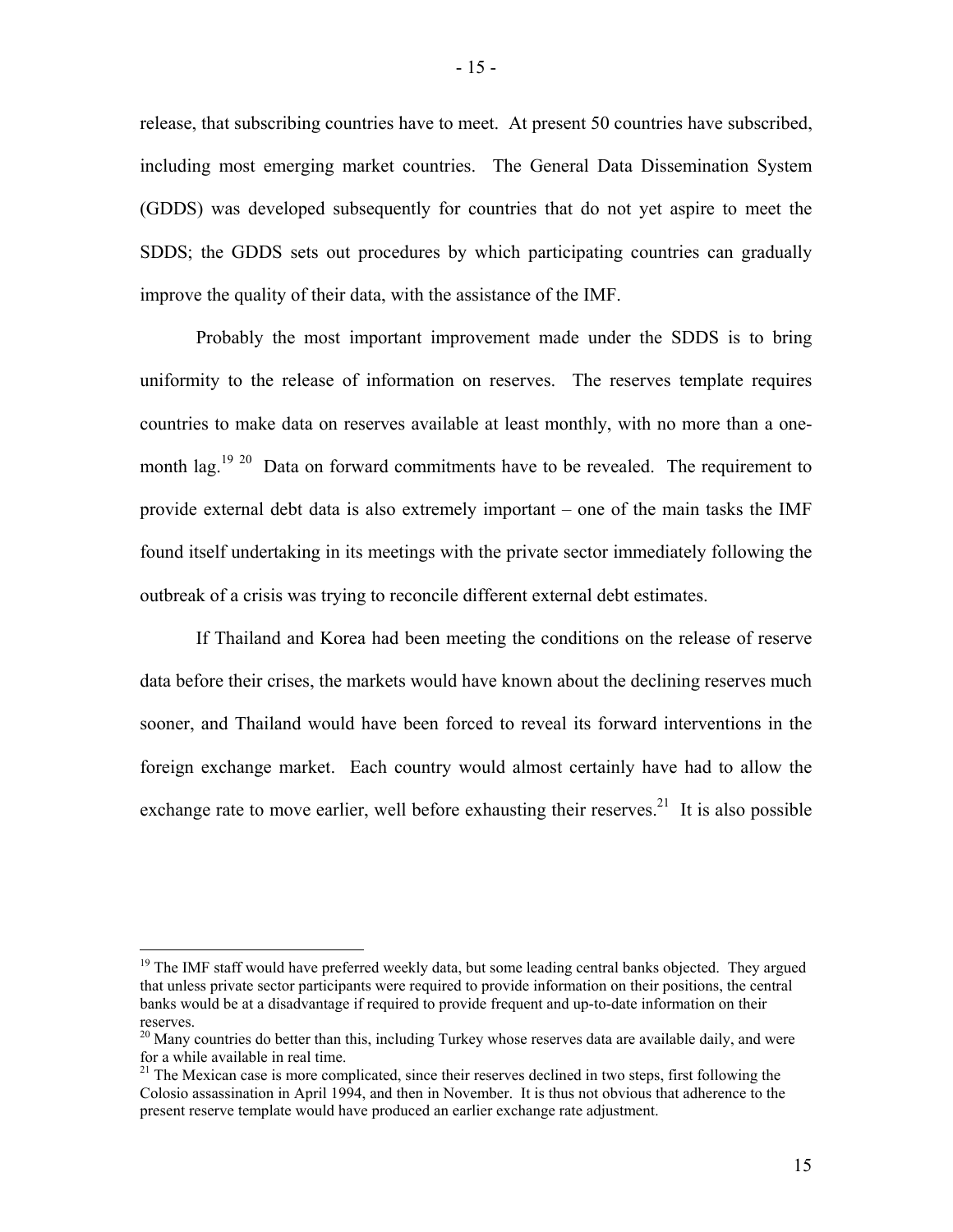release, that subscribing countries have to meet. At present 50 countries have subscribed, including most emerging market countries. The General Data Dissemination System (GDDS) was developed subsequently for countries that do not yet aspire to meet the SDDS; the GDDS sets out procedures by which participating countries can gradually improve the quality of their data, with the assistance of the IMF.

Probably the most important improvement made under the SDDS is to bring uniformity to the release of information on reserves. The reserves template requires countries to make data on reserves available at least monthly, with no more than a onemonth lag.<sup>19 20</sup> Data on forward commitments have to be revealed. The requirement to provide external debt data is also extremely important – one of the main tasks the IMF found itself undertaking in its meetings with the private sector immediately following the outbreak of a crisis was trying to reconcile different external debt estimates.

 If Thailand and Korea had been meeting the conditions on the release of reserve data before their crises, the markets would have known about the declining reserves much sooner, and Thailand would have been forced to reveal its forward interventions in the foreign exchange market. Each country would almost certainly have had to allow the exchange rate to move earlier, well before exhausting their reserves.<sup>21</sup> It is also possible

<sup>&</sup>lt;sup>19</sup> The IMF staff would have preferred weekly data, but some leading central banks objected. They argued that unless private sector participants were required to provide information on their positions, the central banks would be at a disadvantage if required to provide frequent and up-to-date information on their reserves.

 $20$  Many countries do better than this, including Turkey whose reserves data are available daily, and were for a while available in real time.

<sup>&</sup>lt;sup>21</sup> The Mexican case is more complicated, since their reserves declined in two steps, first following the Colosio assassination in April 1994, and then in November. It is thus not obvious that adherence to the present reserve template would have produced an earlier exchange rate adjustment.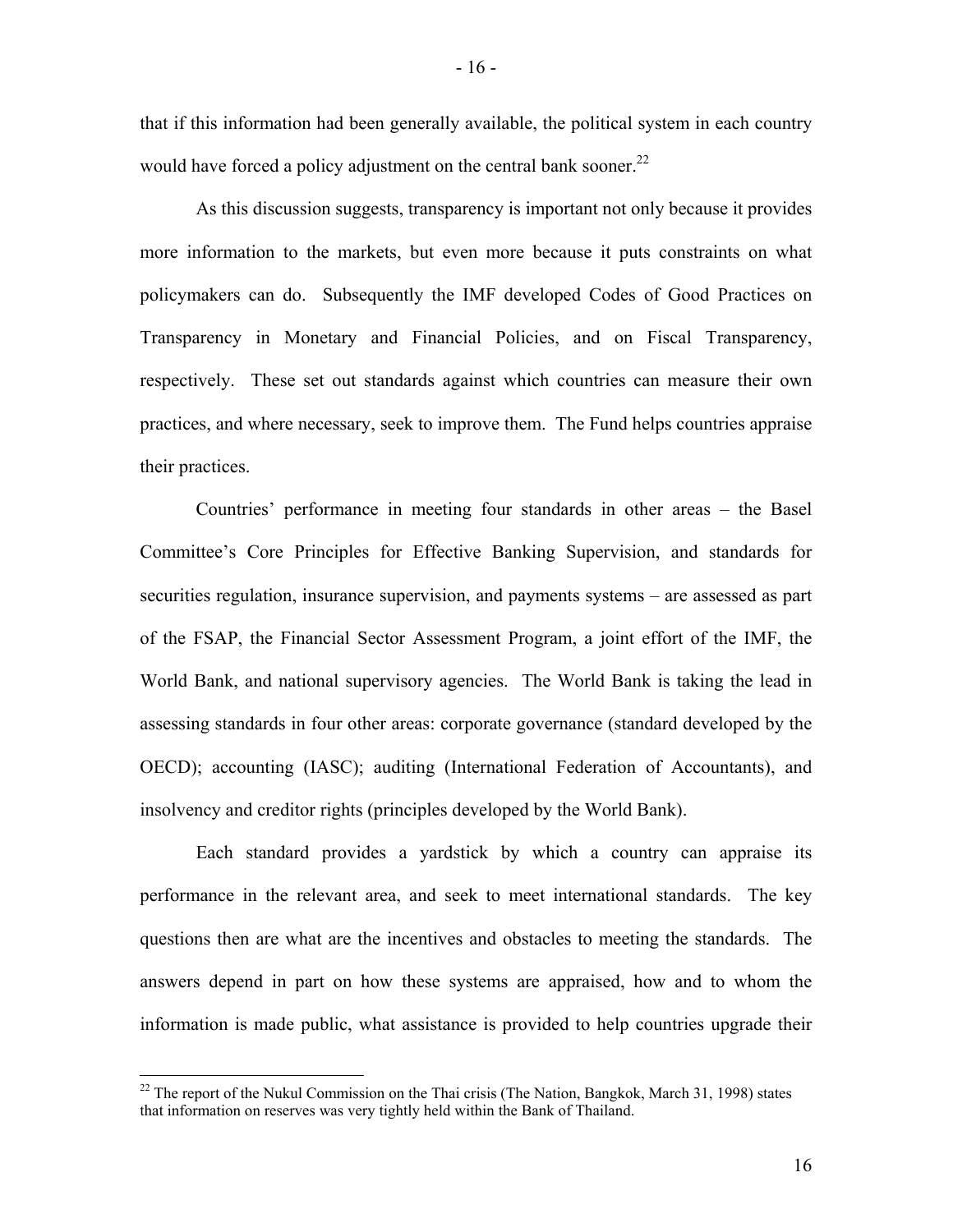that if this information had been generally available, the political system in each country would have forced a policy adjustment on the central bank sooner.<sup>22</sup>

 As this discussion suggests, transparency is important not only because it provides more information to the markets, but even more because it puts constraints on what policymakers can do. Subsequently the IMF developed Codes of Good Practices on Transparency in Monetary and Financial Policies, and on Fiscal Transparency, respectively. These set out standards against which countries can measure their own practices, and where necessary, seek to improve them. The Fund helps countries appraise their practices.

 Countries' performance in meeting four standards in other areas – the Basel Committee's Core Principles for Effective Banking Supervision, and standards for securities regulation, insurance supervision, and payments systems – are assessed as part of the FSAP, the Financial Sector Assessment Program, a joint effort of the IMF, the World Bank, and national supervisory agencies. The World Bank is taking the lead in assessing standards in four other areas: corporate governance (standard developed by the OECD); accounting (IASC); auditing (International Federation of Accountants), and insolvency and creditor rights (principles developed by the World Bank).

 Each standard provides a yardstick by which a country can appraise its performance in the relevant area, and seek to meet international standards. The key questions then are what are the incentives and obstacles to meeting the standards. The answers depend in part on how these systems are appraised, how and to whom the information is made public, what assistance is provided to help countries upgrade their

 $22$  The report of the Nukul Commission on the Thai crisis (The Nation, Bangkok, March 31, 1998) states that information on reserves was very tightly held within the Bank of Thailand.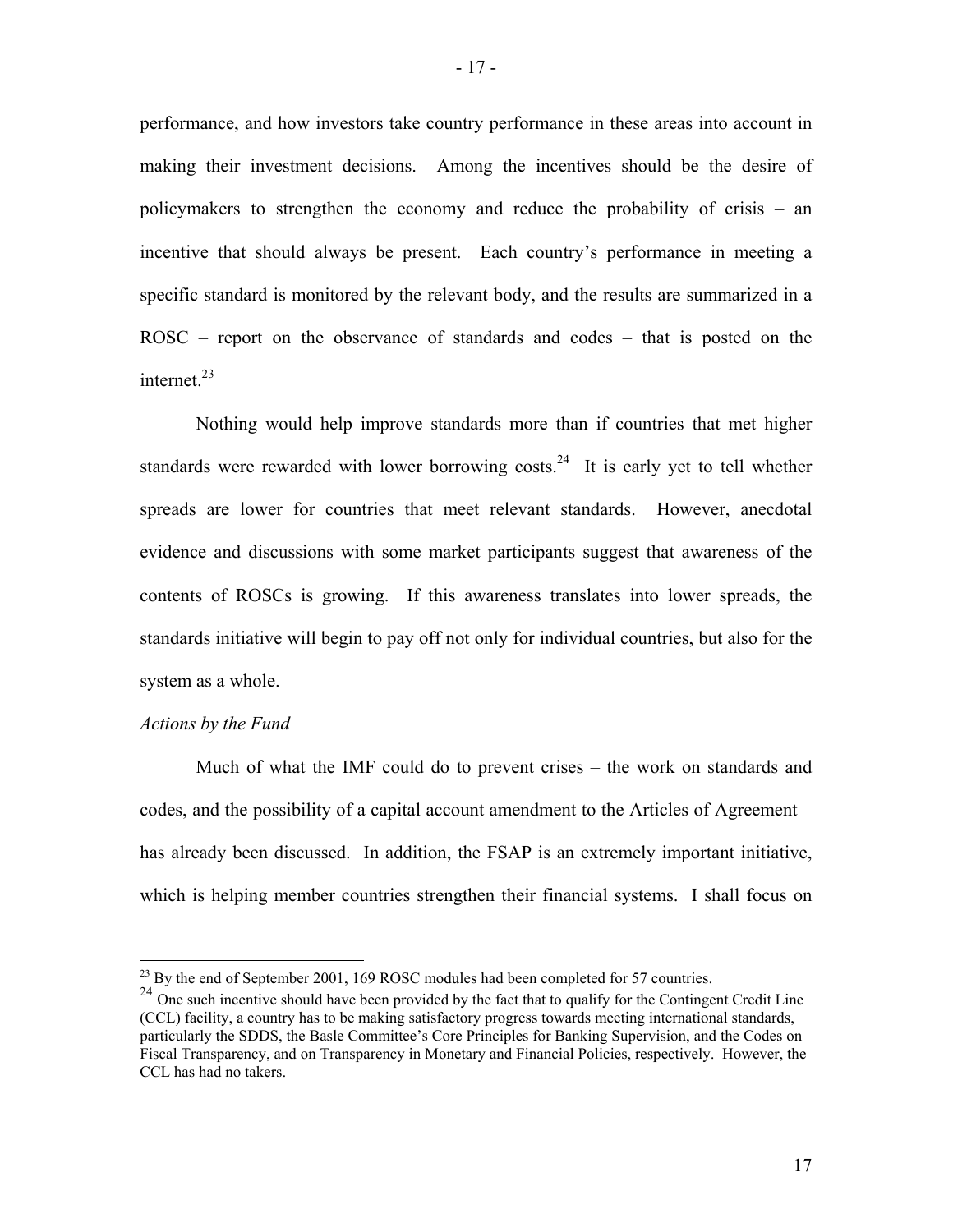performance, and how investors take country performance in these areas into account in making their investment decisions. Among the incentives should be the desire of policymakers to strengthen the economy and reduce the probability of crisis – an incentive that should always be present. Each country's performance in meeting a specific standard is monitored by the relevant body, and the results are summarized in a ROSC – report on the observance of standards and codes – that is posted on the internet.23

 Nothing would help improve standards more than if countries that met higher standards were rewarded with lower borrowing costs.<sup>24</sup> It is early yet to tell whether spreads are lower for countries that meet relevant standards. However, anecdotal evidence and discussions with some market participants suggest that awareness of the contents of ROSCs is growing. If this awareness translates into lower spreads, the standards initiative will begin to pay off not only for individual countries, but also for the system as a whole.

### *Actions by the Fund*

<u>.</u>

 Much of what the IMF could do to prevent crises – the work on standards and codes, and the possibility of a capital account amendment to the Articles of Agreement – has already been discussed. In addition, the FSAP is an extremely important initiative, which is helping member countries strengthen their financial systems. I shall focus on

 $^{23}$  By the end of September 2001, 169 ROSC modules had been completed for 57 countries.

<sup>&</sup>lt;sup>24</sup> One such incentive should have been provided by the fact that to qualify for the Contingent Credit Line (CCL) facility, a country has to be making satisfactory progress towards meeting international standards, particularly the SDDS, the Basle Committee's Core Principles for Banking Supervision, and the Codes on Fiscal Transparency, and on Transparency in Monetary and Financial Policies, respectively. However, the CCL has had no takers.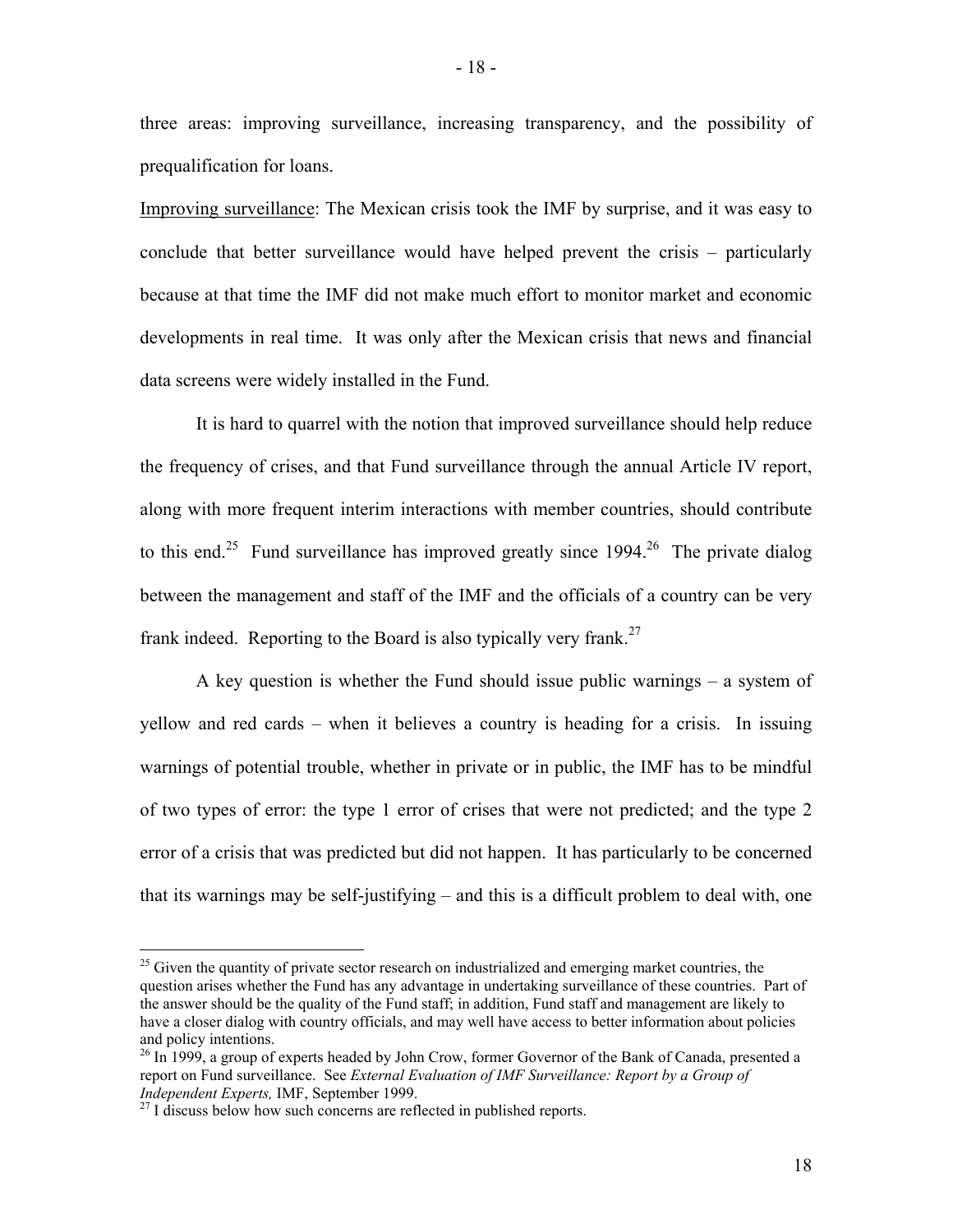three areas: improving surveillance, increasing transparency, and the possibility of prequalification for loans.

Improving surveillance: The Mexican crisis took the IMF by surprise, and it was easy to conclude that better surveillance would have helped prevent the crisis – particularly because at that time the IMF did not make much effort to monitor market and economic developments in real time. It was only after the Mexican crisis that news and financial data screens were widely installed in the Fund.

 It is hard to quarrel with the notion that improved surveillance should help reduce the frequency of crises, and that Fund surveillance through the annual Article IV report, along with more frequent interim interactions with member countries, should contribute to this end.<sup>25</sup> Fund surveillance has improved greatly since 1994.<sup>26</sup> The private dialog between the management and staff of the IMF and the officials of a country can be very frank indeed. Reporting to the Board is also typically very frank.<sup>27</sup>

A key question is whether the Fund should issue public warnings – a system of yellow and red cards – when it believes a country is heading for a crisis. In issuing warnings of potential trouble, whether in private or in public, the IMF has to be mindful of two types of error: the type 1 error of crises that were not predicted; and the type 2 error of a crisis that was predicted but did not happen. It has particularly to be concerned that its warnings may be self-justifying – and this is a difficult problem to deal with, one

 $^{25}$  Given the quantity of private sector research on industrialized and emerging market countries, the question arises whether the Fund has any advantage in undertaking surveillance of these countries. Part of the answer should be the quality of the Fund staff; in addition, Fund staff and management are likely to have a closer dialog with country officials, and may well have access to better information about policies and policy intentions.

 $^{26}$  In 1999, a group of experts headed by John Crow, former Governor of the Bank of Canada, presented a report on Fund surveillance. See *External Evaluation of IMF Surveillance: Report by a Group of Independent Experts, IMF, September 1999.*<br><sup>27</sup> I discuss below how such concerns are reflected in published reports.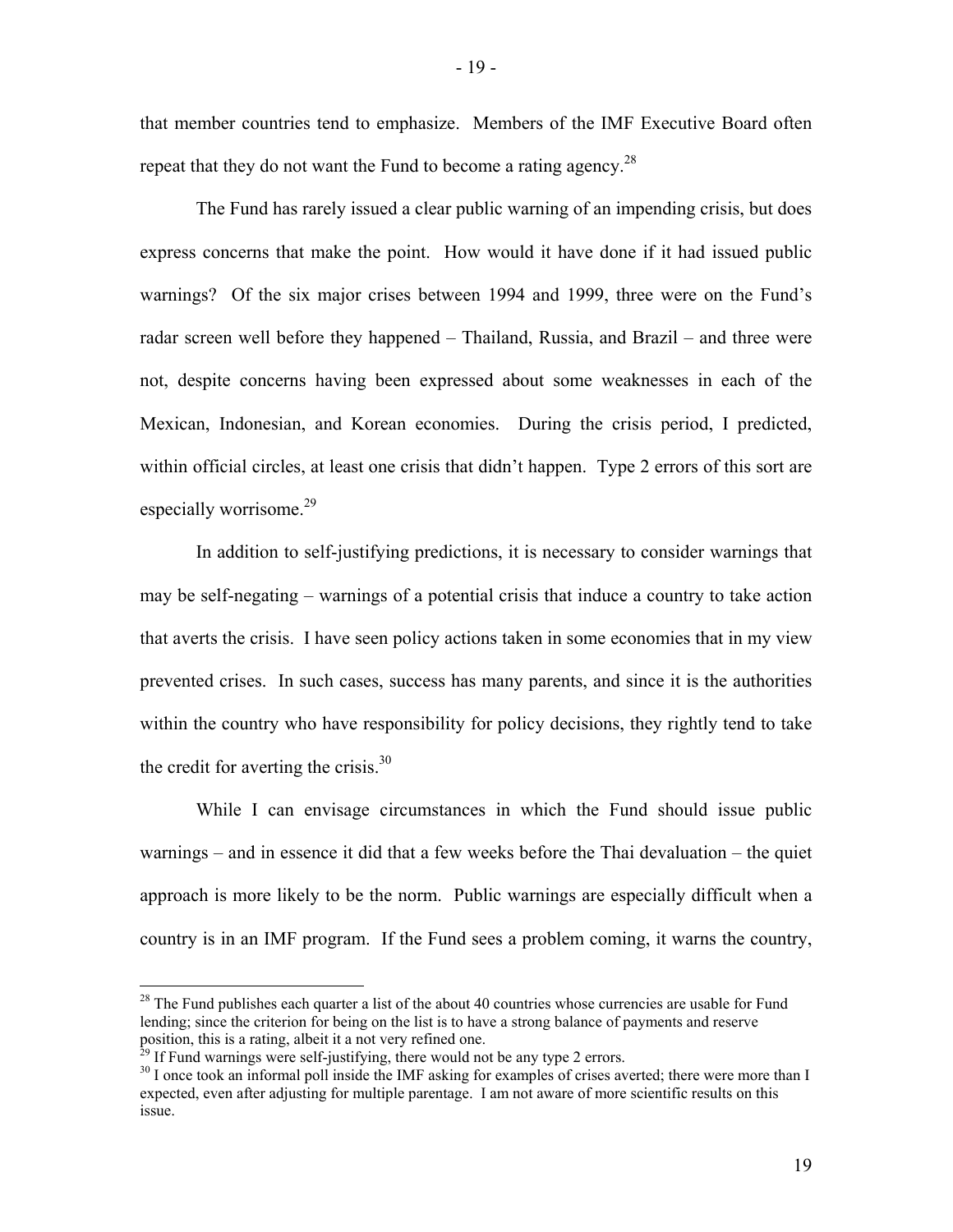that member countries tend to emphasize. Members of the IMF Executive Board often repeat that they do not want the Fund to become a rating agency.<sup>28</sup>

The Fund has rarely issued a clear public warning of an impending crisis, but does express concerns that make the point. How would it have done if it had issued public warnings? Of the six major crises between 1994 and 1999, three were on the Fund's radar screen well before they happened – Thailand, Russia, and Brazil – and three were not, despite concerns having been expressed about some weaknesses in each of the Mexican, Indonesian, and Korean economies. During the crisis period, I predicted, within official circles, at least one crisis that didn't happen. Type 2 errors of this sort are especially worrisome. $29$ 

In addition to self-justifying predictions, it is necessary to consider warnings that may be self-negating – warnings of a potential crisis that induce a country to take action that averts the crisis. I have seen policy actions taken in some economies that in my view prevented crises. In such cases, success has many parents, and since it is the authorities within the country who have responsibility for policy decisions, they rightly tend to take the credit for averting the crisis. $30<sup>30</sup>$ 

While I can envisage circumstances in which the Fund should issue public warnings – and in essence it did that a few weeks before the Thai devaluation – the quiet approach is more likely to be the norm. Public warnings are especially difficult when a country is in an IMF program. If the Fund sees a problem coming, it warns the country,

 $28$  The Fund publishes each quarter a list of the about 40 countries whose currencies are usable for Fund lending; since the criterion for being on the list is to have a strong balance of payments and reserve position, this is a rating, albeit it a not very refined one.<br><sup>29</sup> If Fund warnings were self-justifying, there would not be any type 2 errors.

<sup>&</sup>lt;sup>30</sup> I once took an informal poll inside the IMF asking for examples of crises averted; there were more than I expected, even after adjusting for multiple parentage. I am not aware of more scientific results on this issue.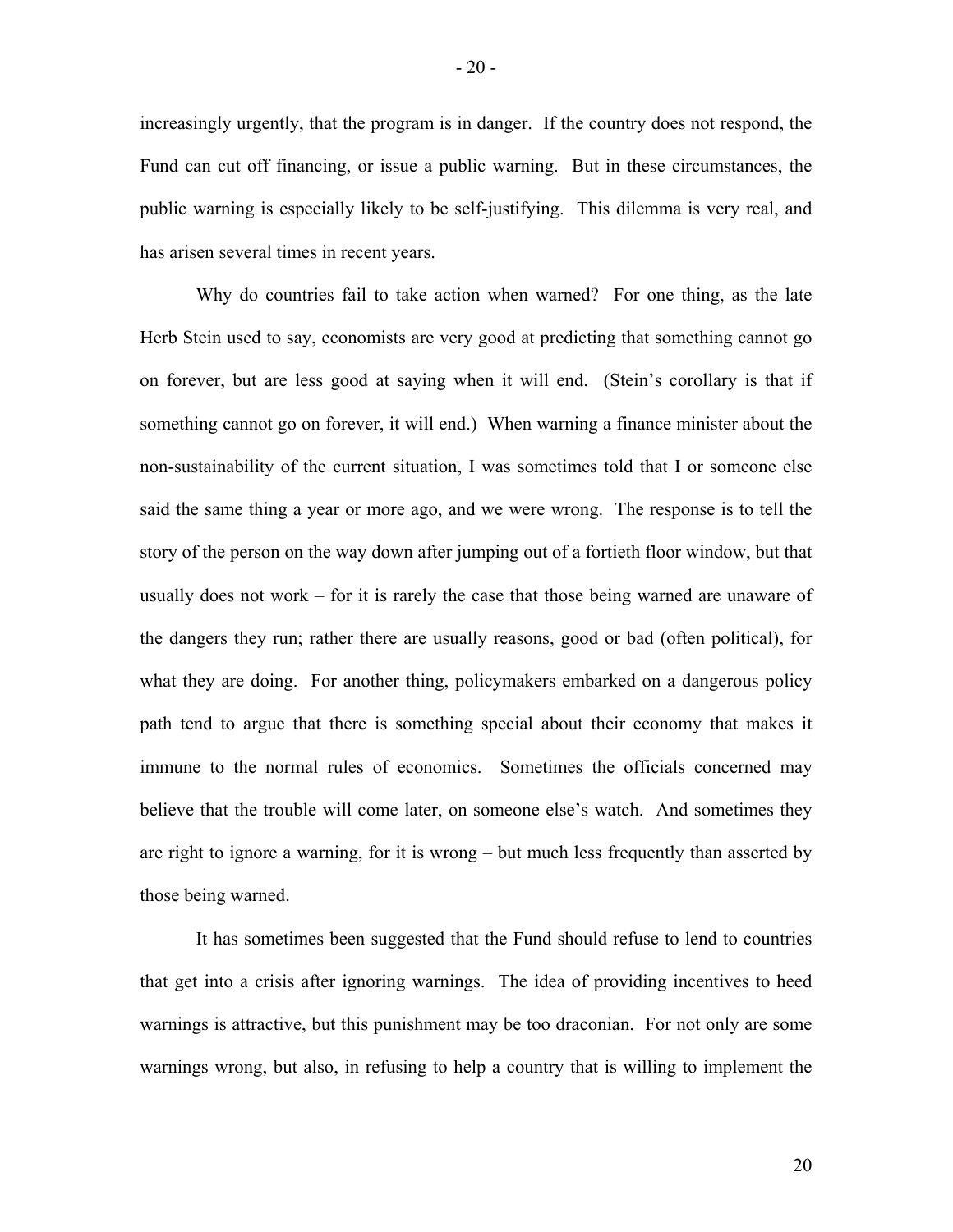increasingly urgently, that the program is in danger. If the country does not respond, the Fund can cut off financing, or issue a public warning. But in these circumstances, the public warning is especially likely to be self-justifying. This dilemma is very real, and has arisen several times in recent years.

Why do countries fail to take action when warned? For one thing, as the late Herb Stein used to say, economists are very good at predicting that something cannot go on forever, but are less good at saying when it will end. (Stein's corollary is that if something cannot go on forever, it will end.) When warning a finance minister about the non-sustainability of the current situation, I was sometimes told that I or someone else said the same thing a year or more ago, and we were wrong. The response is to tell the story of the person on the way down after jumping out of a fortieth floor window, but that usually does not work – for it is rarely the case that those being warned are unaware of the dangers they run; rather there are usually reasons, good or bad (often political), for what they are doing. For another thing, policymakers embarked on a dangerous policy path tend to argue that there is something special about their economy that makes it immune to the normal rules of economics. Sometimes the officials concerned may believe that the trouble will come later, on someone else's watch. And sometimes they are right to ignore a warning, for it is wrong – but much less frequently than asserted by those being warned.

It has sometimes been suggested that the Fund should refuse to lend to countries that get into a crisis after ignoring warnings. The idea of providing incentives to heed warnings is attractive, but this punishment may be too draconian. For not only are some warnings wrong, but also, in refusing to help a country that is willing to implement the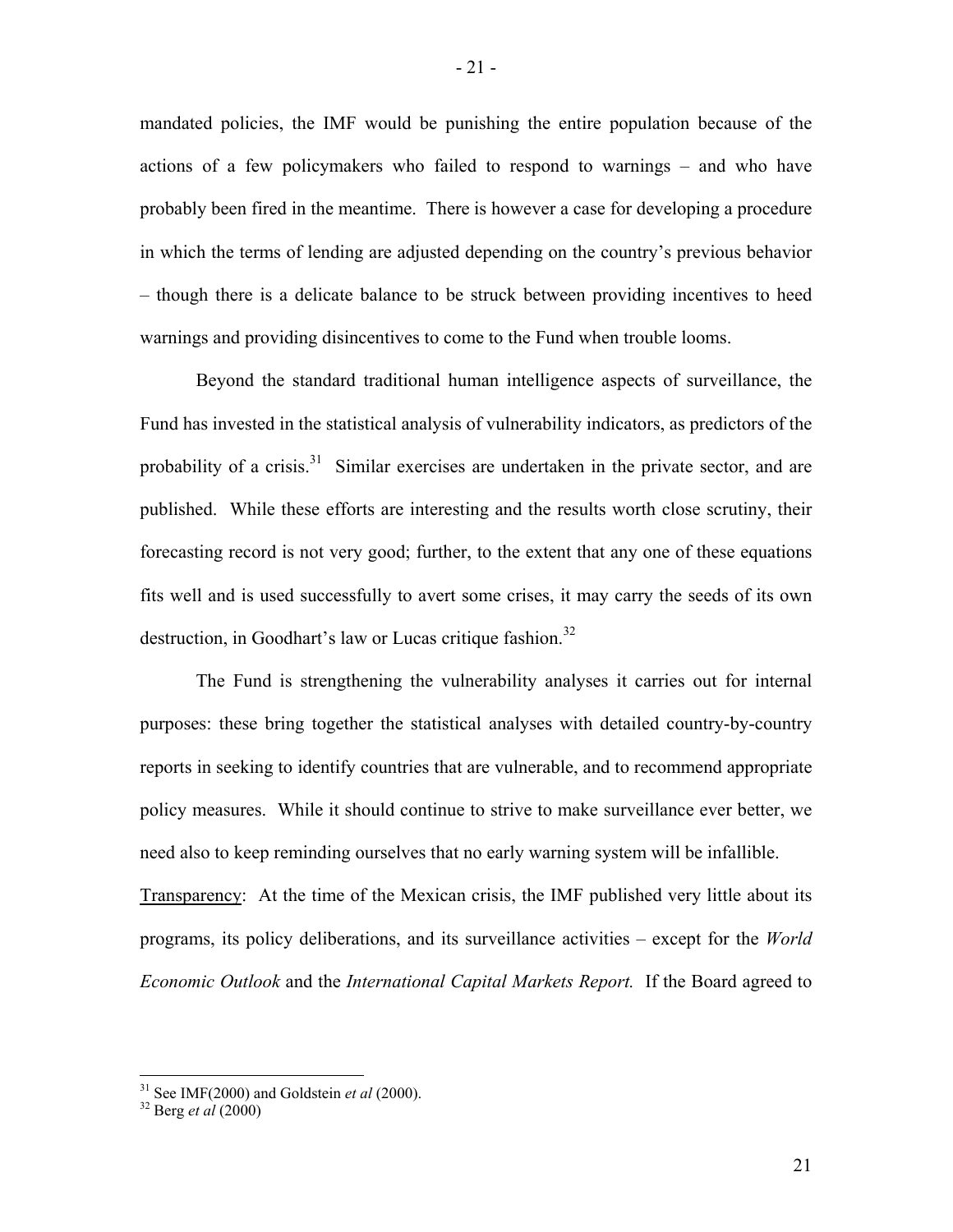mandated policies, the IMF would be punishing the entire population because of the actions of a few policymakers who failed to respond to warnings – and who have probably been fired in the meantime. There is however a case for developing a procedure in which the terms of lending are adjusted depending on the country's previous behavior – though there is a delicate balance to be struck between providing incentives to heed warnings and providing disincentives to come to the Fund when trouble looms.

Beyond the standard traditional human intelligence aspects of surveillance, the Fund has invested in the statistical analysis of vulnerability indicators, as predictors of the probability of a crisis.<sup>31</sup> Similar exercises are undertaken in the private sector, and are published. While these efforts are interesting and the results worth close scrutiny, their forecasting record is not very good; further, to the extent that any one of these equations fits well and is used successfully to avert some crises, it may carry the seeds of its own destruction, in Goodhart's law or Lucas critique fashion.<sup>32</sup>

The Fund is strengthening the vulnerability analyses it carries out for internal purposes: these bring together the statistical analyses with detailed country-by-country reports in seeking to identify countries that are vulnerable, and to recommend appropriate policy measures. While it should continue to strive to make surveillance ever better, we need also to keep reminding ourselves that no early warning system will be infallible. Transparency: At the time of the Mexican crisis, the IMF published very little about its programs, its policy deliberations, and its surveillance activities – except for the *World Economic Outlook* and the *International Capital Markets Report.* If the Board agreed to

<sup>&</sup>lt;sup>31</sup> See IMF(2000) and Goldstein *et al* (2000).<br><sup>32</sup> Berg *et al* (2000)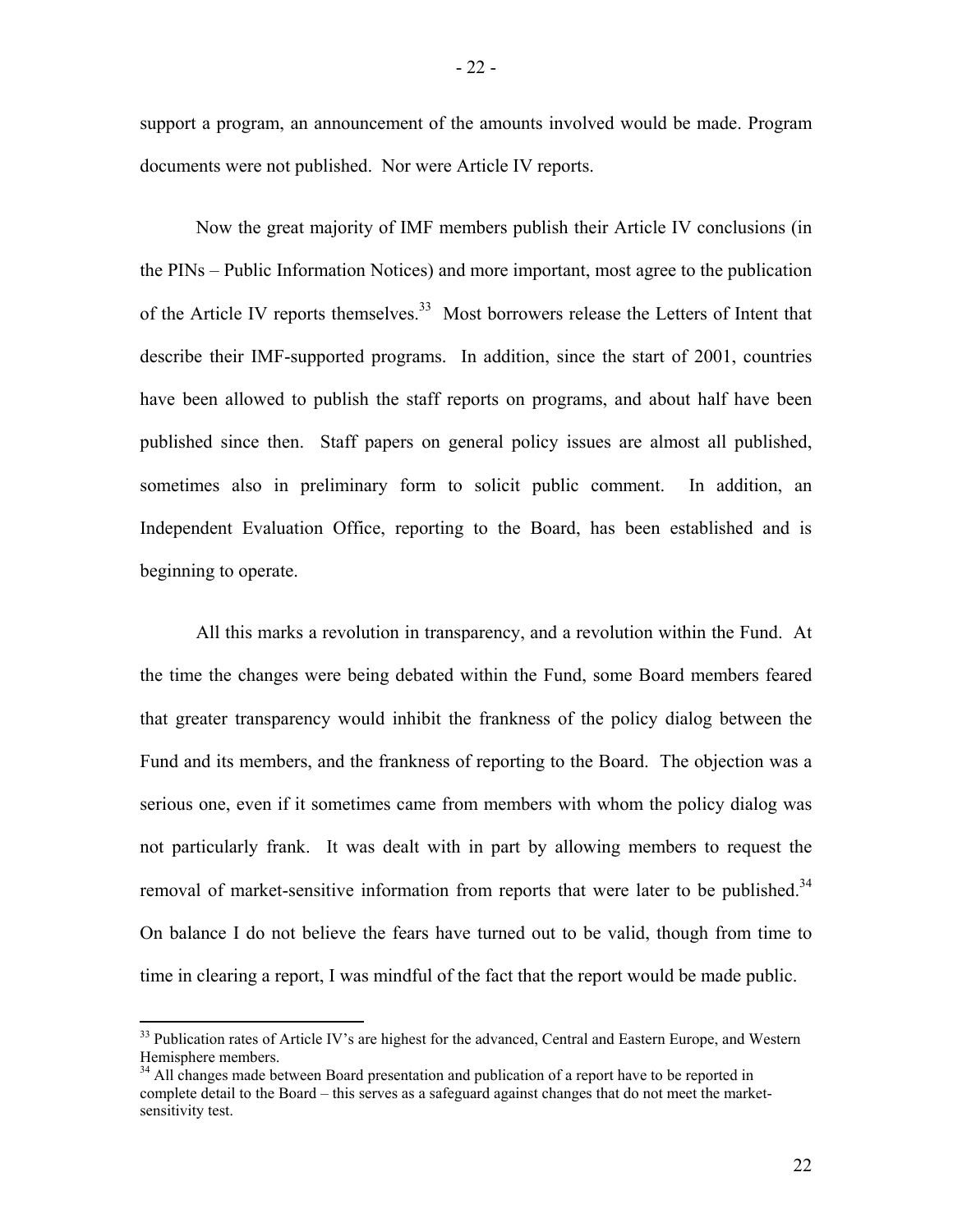support a program, an announcement of the amounts involved would be made. Program documents were not published. Nor were Article IV reports.

Now the great majority of IMF members publish their Article IV conclusions (in the PINs – Public Information Notices) and more important, most agree to the publication of the Article IV reports themselves.<sup>33</sup> Most borrowers release the Letters of Intent that describe their IMF-supported programs. In addition, since the start of 2001, countries have been allowed to publish the staff reports on programs, and about half have been published since then. Staff papers on general policy issues are almost all published, sometimes also in preliminary form to solicit public comment. In addition, an Independent Evaluation Office, reporting to the Board, has been established and is beginning to operate.

All this marks a revolution in transparency, and a revolution within the Fund. At the time the changes were being debated within the Fund, some Board members feared that greater transparency would inhibit the frankness of the policy dialog between the Fund and its members, and the frankness of reporting to the Board. The objection was a serious one, even if it sometimes came from members with whom the policy dialog was not particularly frank. It was dealt with in part by allowing members to request the removal of market-sensitive information from reports that were later to be published.<sup>34</sup> On balance I do not believe the fears have turned out to be valid, though from time to time in clearing a report, I was mindful of the fact that the report would be made public.

<sup>&</sup>lt;sup>33</sup> Publication rates of Article IV's are highest for the advanced, Central and Eastern Europe, and Western Hemisphere members.

<sup>&</sup>lt;sup>34</sup> All changes made between Board presentation and publication of a report have to be reported in complete detail to the Board – this serves as a safeguard against changes that do not meet the marketsensitivity test.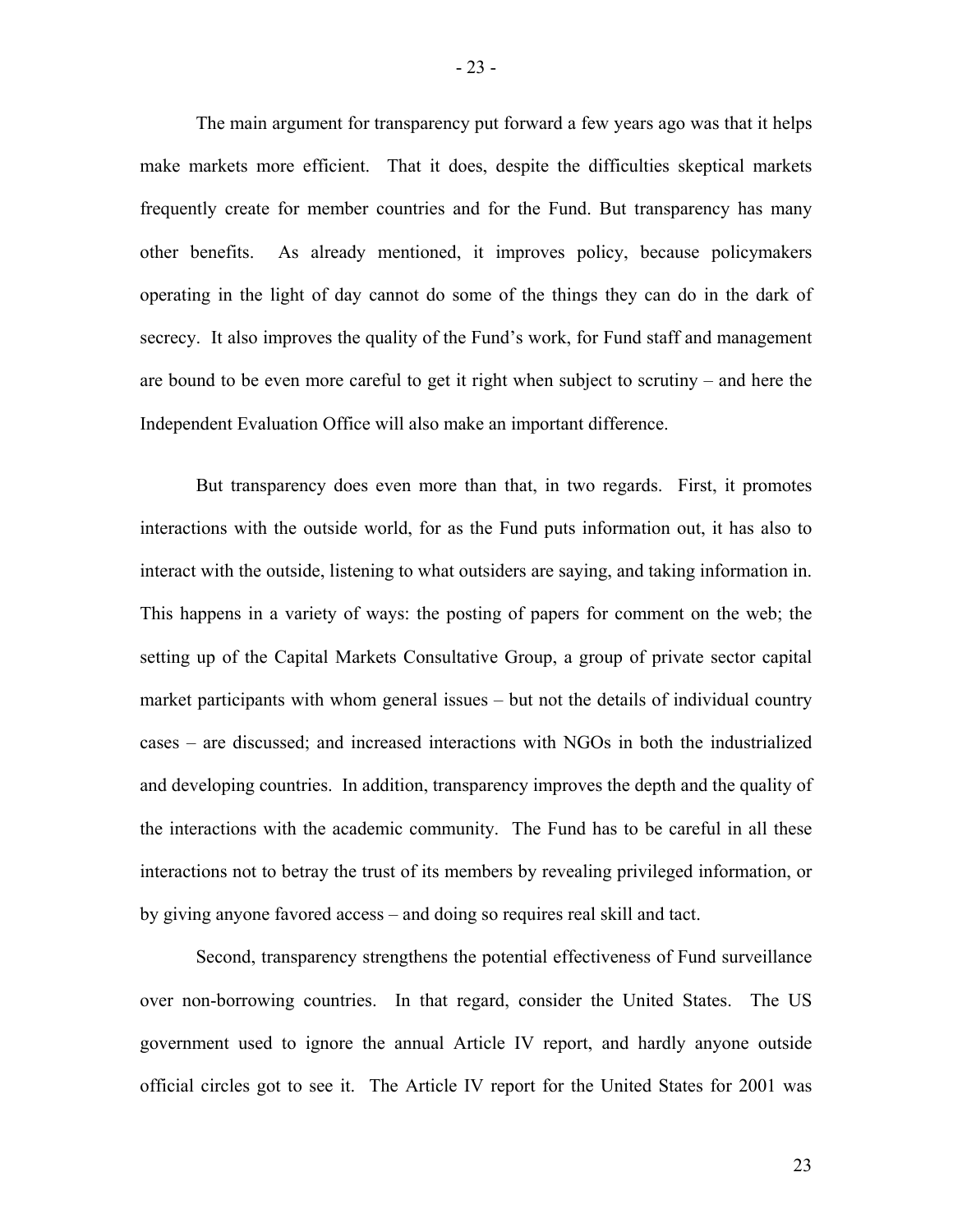The main argument for transparency put forward a few years ago was that it helps make markets more efficient. That it does, despite the difficulties skeptical markets frequently create for member countries and for the Fund. But transparency has many other benefits. As already mentioned, it improves policy, because policymakers operating in the light of day cannot do some of the things they can do in the dark of secrecy. It also improves the quality of the Fund's work, for Fund staff and management are bound to be even more careful to get it right when subject to scrutiny – and here the Independent Evaluation Office will also make an important difference.

But transparency does even more than that, in two regards. First, it promotes interactions with the outside world, for as the Fund puts information out, it has also to interact with the outside, listening to what outsiders are saying, and taking information in. This happens in a variety of ways: the posting of papers for comment on the web; the setting up of the Capital Markets Consultative Group, a group of private sector capital market participants with whom general issues – but not the details of individual country cases – are discussed; and increased interactions with NGOs in both the industrialized and developing countries. In addition, transparency improves the depth and the quality of the interactions with the academic community. The Fund has to be careful in all these interactions not to betray the trust of its members by revealing privileged information, or by giving anyone favored access – and doing so requires real skill and tact.

Second, transparency strengthens the potential effectiveness of Fund surveillance over non-borrowing countries. In that regard, consider the United States. The US government used to ignore the annual Article IV report, and hardly anyone outside official circles got to see it. The Article IV report for the United States for 2001 was

- 23 -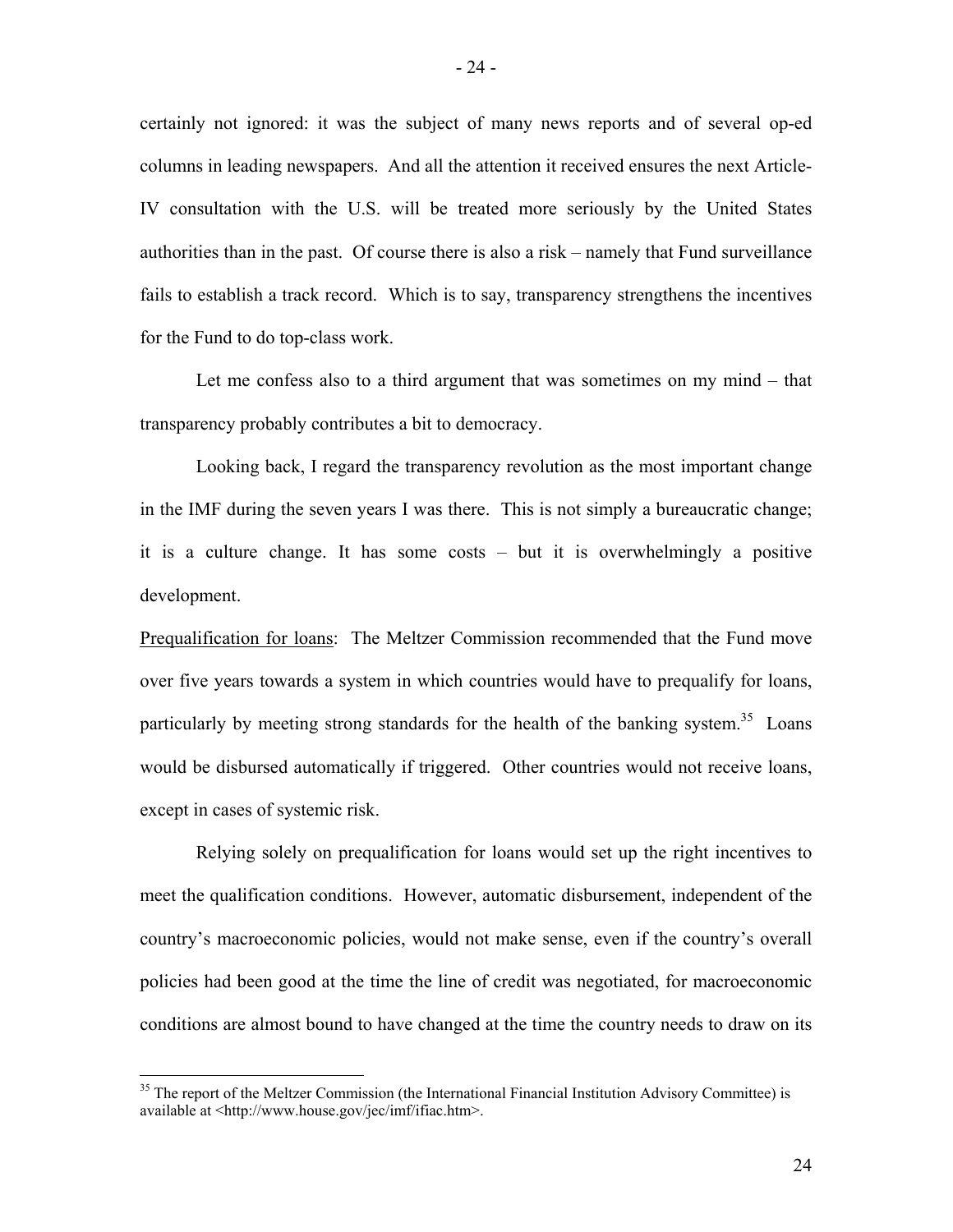certainly not ignored: it was the subject of many news reports and of several op-ed columns in leading newspapers. And all the attention it received ensures the next Article-IV consultation with the U.S. will be treated more seriously by the United States authorities than in the past. Of course there is also a risk – namely that Fund surveillance fails to establish a track record. Which is to say, transparency strengthens the incentives for the Fund to do top-class work.

 Let me confess also to a third argument that was sometimes on my mind – that transparency probably contributes a bit to democracy.

Looking back, I regard the transparency revolution as the most important change in the IMF during the seven years I was there. This is not simply a bureaucratic change; it is a culture change. It has some costs – but it is overwhelmingly a positive development.

Prequalification for loans: The Meltzer Commission recommended that the Fund move over five years towards a system in which countries would have to prequalify for loans, particularly by meeting strong standards for the health of the banking system.<sup>35</sup> Loans would be disbursed automatically if triggered. Other countries would not receive loans, except in cases of systemic risk.

Relying solely on prequalification for loans would set up the right incentives to meet the qualification conditions. However, automatic disbursement, independent of the country's macroeconomic policies, would not make sense, even if the country's overall policies had been good at the time the line of credit was negotiated, for macroeconomic conditions are almost bound to have changed at the time the country needs to draw on its

<sup>&</sup>lt;sup>35</sup> The report of the Meltzer Commission (the International Financial Institution Advisory Committee) is available at <http://www.house.gov/jec/imf/ifiac.htm>.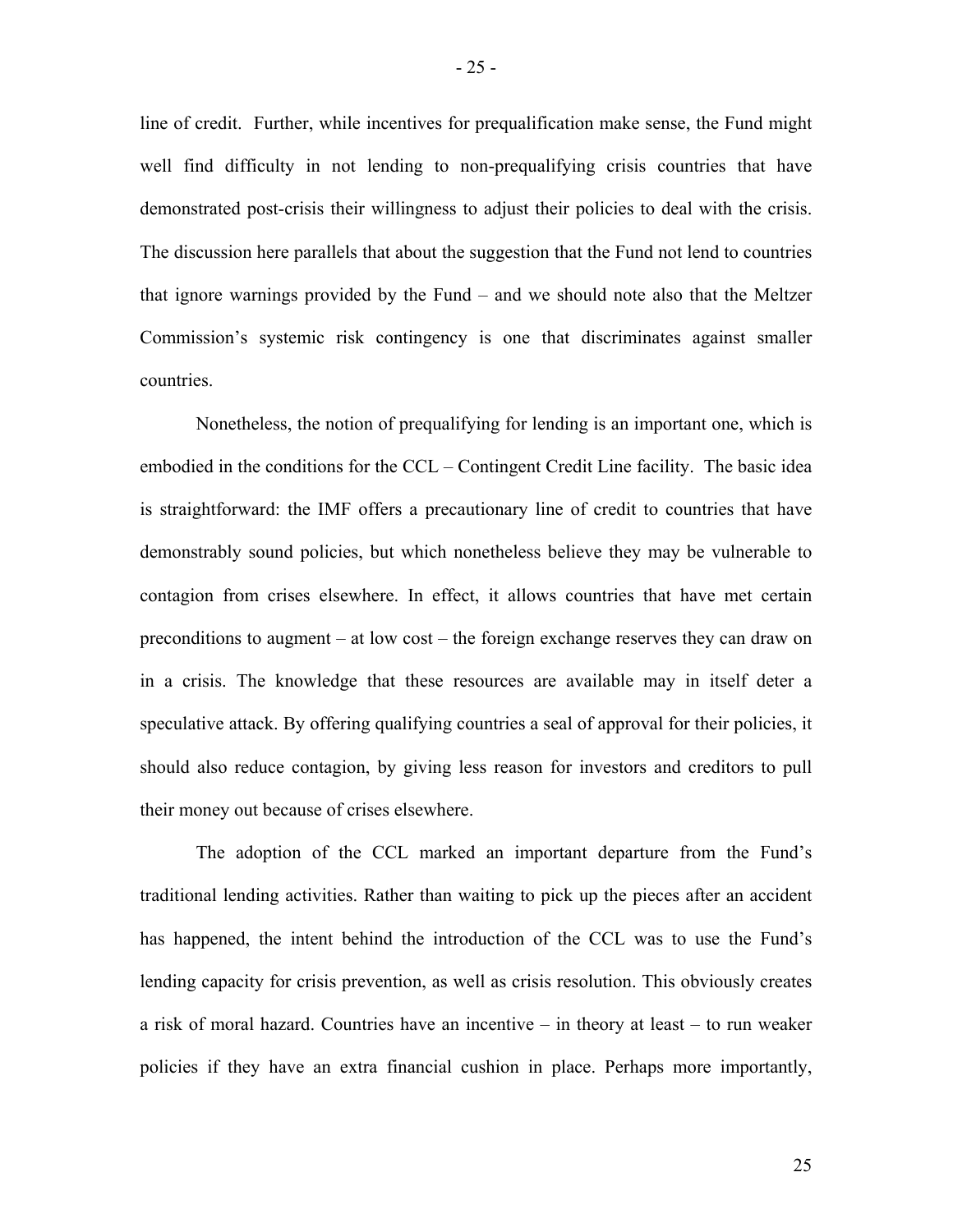line of credit. Further, while incentives for prequalification make sense, the Fund might well find difficulty in not lending to non-prequalifying crisis countries that have demonstrated post-crisis their willingness to adjust their policies to deal with the crisis. The discussion here parallels that about the suggestion that the Fund not lend to countries that ignore warnings provided by the Fund – and we should note also that the Meltzer Commission's systemic risk contingency is one that discriminates against smaller countries.

Nonetheless, the notion of prequalifying for lending is an important one, which is embodied in the conditions for the CCL – Contingent Credit Line facility. The basic idea is straightforward: the IMF offers a precautionary line of credit to countries that have demonstrably sound policies, but which nonetheless believe they may be vulnerable to contagion from crises elsewhere. In effect, it allows countries that have met certain preconditions to augment – at low cost – the foreign exchange reserves they can draw on in a crisis. The knowledge that these resources are available may in itself deter a speculative attack. By offering qualifying countries a seal of approval for their policies, it should also reduce contagion, by giving less reason for investors and creditors to pull their money out because of crises elsewhere.

The adoption of the CCL marked an important departure from the Fund's traditional lending activities. Rather than waiting to pick up the pieces after an accident has happened, the intent behind the introduction of the CCL was to use the Fund's lending capacity for crisis prevention, as well as crisis resolution. This obviously creates a risk of moral hazard. Countries have an incentive – in theory at least – to run weaker policies if they have an extra financial cushion in place. Perhaps more importantly,

- 25 -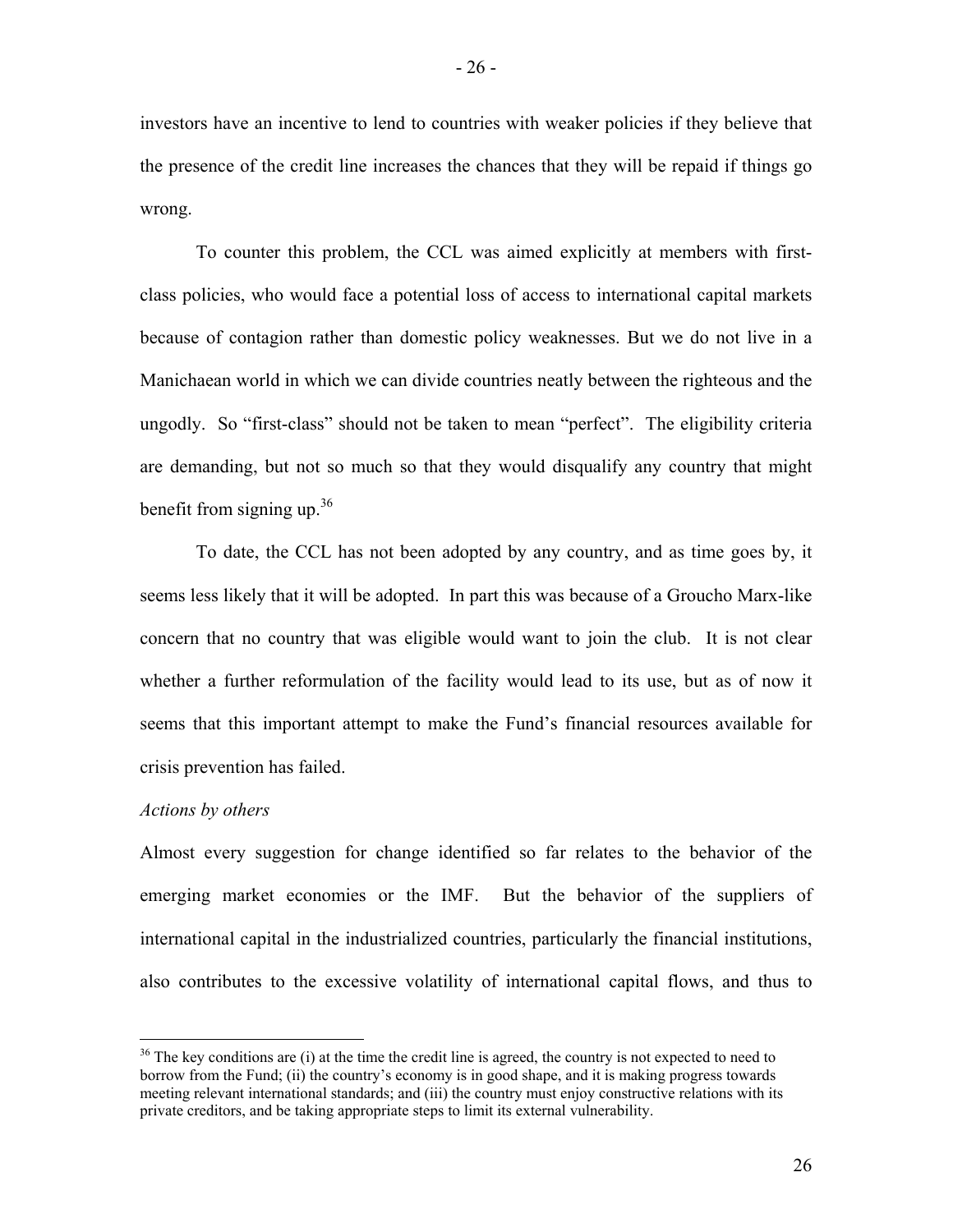investors have an incentive to lend to countries with weaker policies if they believe that the presence of the credit line increases the chances that they will be repaid if things go wrong.

To counter this problem, the CCL was aimed explicitly at members with firstclass policies, who would face a potential loss of access to international capital markets because of contagion rather than domestic policy weaknesses. But we do not live in a Manichaean world in which we can divide countries neatly between the righteous and the ungodly. So "first-class" should not be taken to mean "perfect". The eligibility criteria are demanding, but not so much so that they would disqualify any country that might benefit from signing up. $36$ 

 To date, the CCL has not been adopted by any country, and as time goes by, it seems less likely that it will be adopted. In part this was because of a Groucho Marx-like concern that no country that was eligible would want to join the club. It is not clear whether a further reformulation of the facility would lead to its use, but as of now it seems that this important attempt to make the Fund's financial resources available for crisis prevention has failed.

#### *Actions by others*

1

Almost every suggestion for change identified so far relates to the behavior of the emerging market economies or the IMF. But the behavior of the suppliers of international capital in the industrialized countries, particularly the financial institutions, also contributes to the excessive volatility of international capital flows, and thus to

<sup>&</sup>lt;sup>36</sup> The key conditions are (i) at the time the credit line is agreed, the country is not expected to need to borrow from the Fund; (ii) the country's economy is in good shape, and it is making progress towards meeting relevant international standards; and (iii) the country must enjoy constructive relations with its private creditors, and be taking appropriate steps to limit its external vulnerability.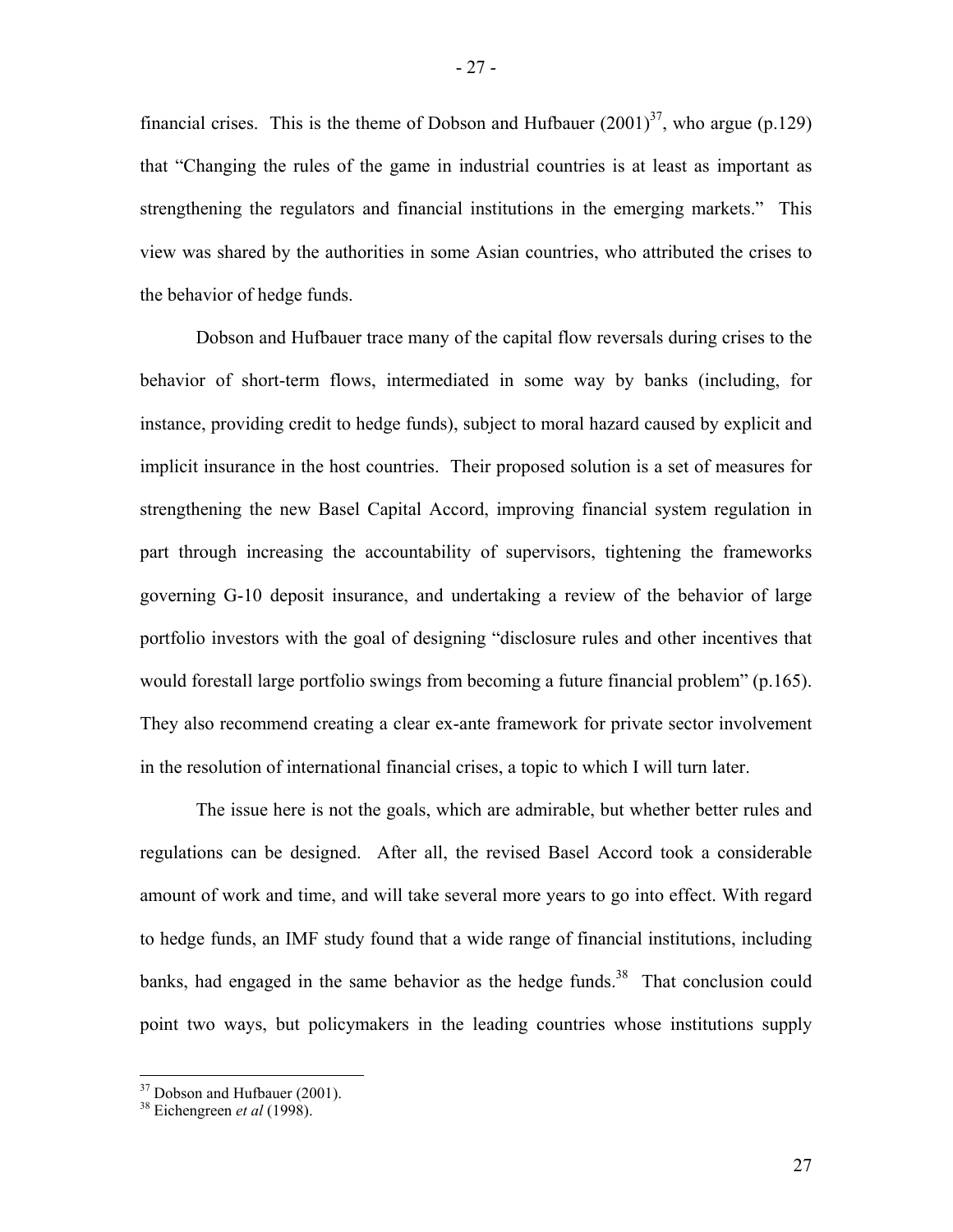financial crises. This is the theme of Dobson and Hufbauer  $(2001)^{37}$ , who argue (p.129) that "Changing the rules of the game in industrial countries is at least as important as strengthening the regulators and financial institutions in the emerging markets." This view was shared by the authorities in some Asian countries, who attributed the crises to the behavior of hedge funds.

Dobson and Hufbauer trace many of the capital flow reversals during crises to the behavior of short-term flows, intermediated in some way by banks (including, for instance, providing credit to hedge funds), subject to moral hazard caused by explicit and implicit insurance in the host countries. Their proposed solution is a set of measures for strengthening the new Basel Capital Accord, improving financial system regulation in part through increasing the accountability of supervisors, tightening the frameworks governing G-10 deposit insurance, and undertaking a review of the behavior of large portfolio investors with the goal of designing "disclosure rules and other incentives that would forestall large portfolio swings from becoming a future financial problem" (p.165). They also recommend creating a clear ex-ante framework for private sector involvement in the resolution of international financial crises, a topic to which I will turn later.

The issue here is not the goals, which are admirable, but whether better rules and regulations can be designed. After all, the revised Basel Accord took a considerable amount of work and time, and will take several more years to go into effect. With regard to hedge funds, an IMF study found that a wide range of financial institutions, including banks, had engaged in the same behavior as the hedge funds.<sup>38</sup> That conclusion could point two ways, but policymakers in the leading countries whose institutions supply

<sup>&</sup>lt;sup>37</sup> Dobson and Hufbauer (2001).

<sup>38</sup> Eichengreen *et al* (1998).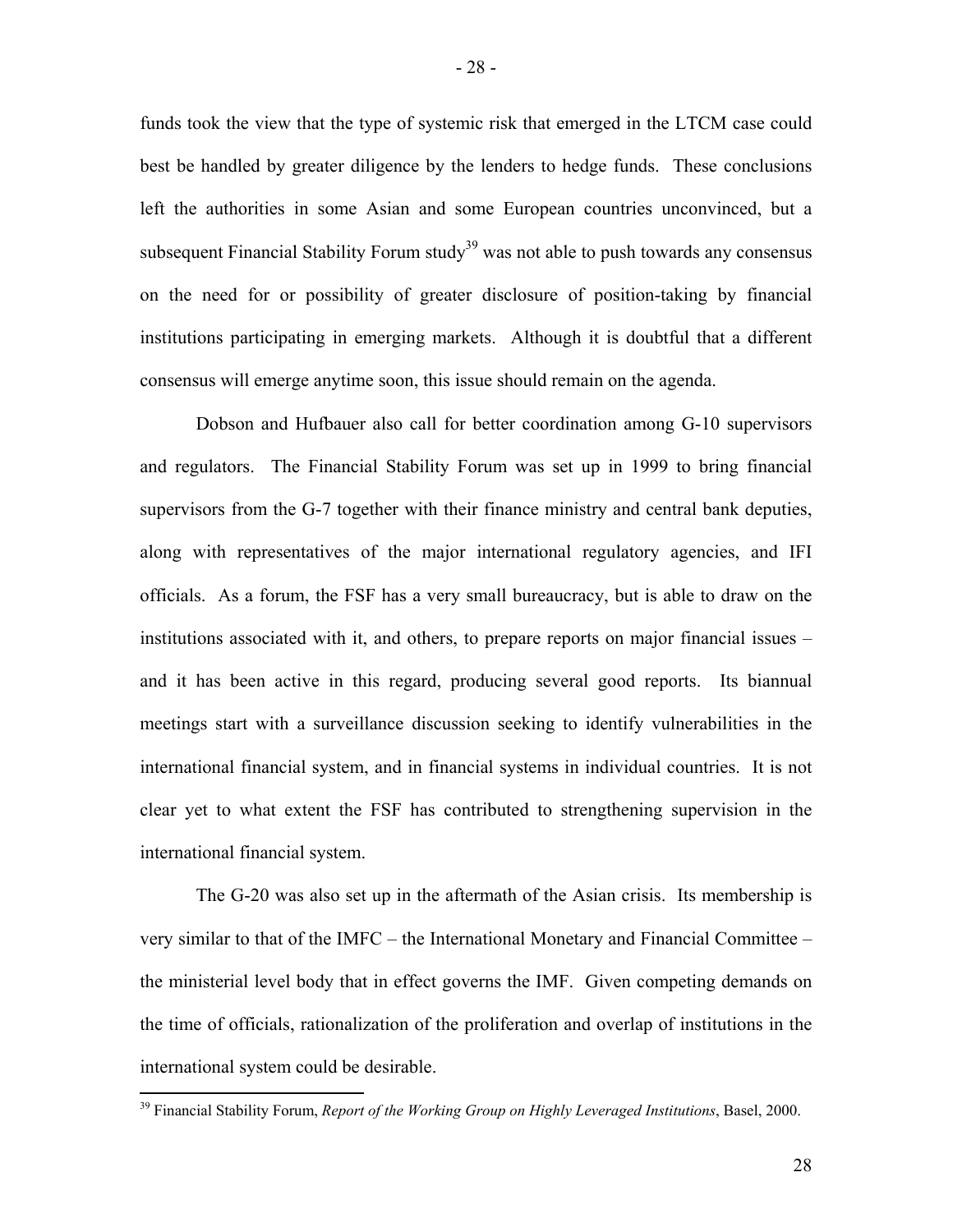funds took the view that the type of systemic risk that emerged in the LTCM case could best be handled by greater diligence by the lenders to hedge funds. These conclusions left the authorities in some Asian and some European countries unconvinced, but a subsequent Financial Stability Forum study<sup>39</sup> was not able to push towards any consensus on the need for or possibility of greater disclosure of position-taking by financial institutions participating in emerging markets. Although it is doubtful that a different consensus will emerge anytime soon, this issue should remain on the agenda.

Dobson and Hufbauer also call for better coordination among G-10 supervisors and regulators. The Financial Stability Forum was set up in 1999 to bring financial supervisors from the G-7 together with their finance ministry and central bank deputies, along with representatives of the major international regulatory agencies, and IFI officials. As a forum, the FSF has a very small bureaucracy, but is able to draw on the institutions associated with it, and others, to prepare reports on major financial issues – and it has been active in this regard, producing several good reports. Its biannual meetings start with a surveillance discussion seeking to identify vulnerabilities in the international financial system, and in financial systems in individual countries. It is not clear yet to what extent the FSF has contributed to strengthening supervision in the international financial system.

The G-20 was also set up in the aftermath of the Asian crisis. Its membership is very similar to that of the IMFC – the International Monetary and Financial Committee – the ministerial level body that in effect governs the IMF. Given competing demands on the time of officials, rationalization of the proliferation and overlap of institutions in the international system could be desirable.

1

<sup>39</sup> Financial Stability Forum, *Report of the Working Group on Highly Leveraged Institutions*, Basel, 2000.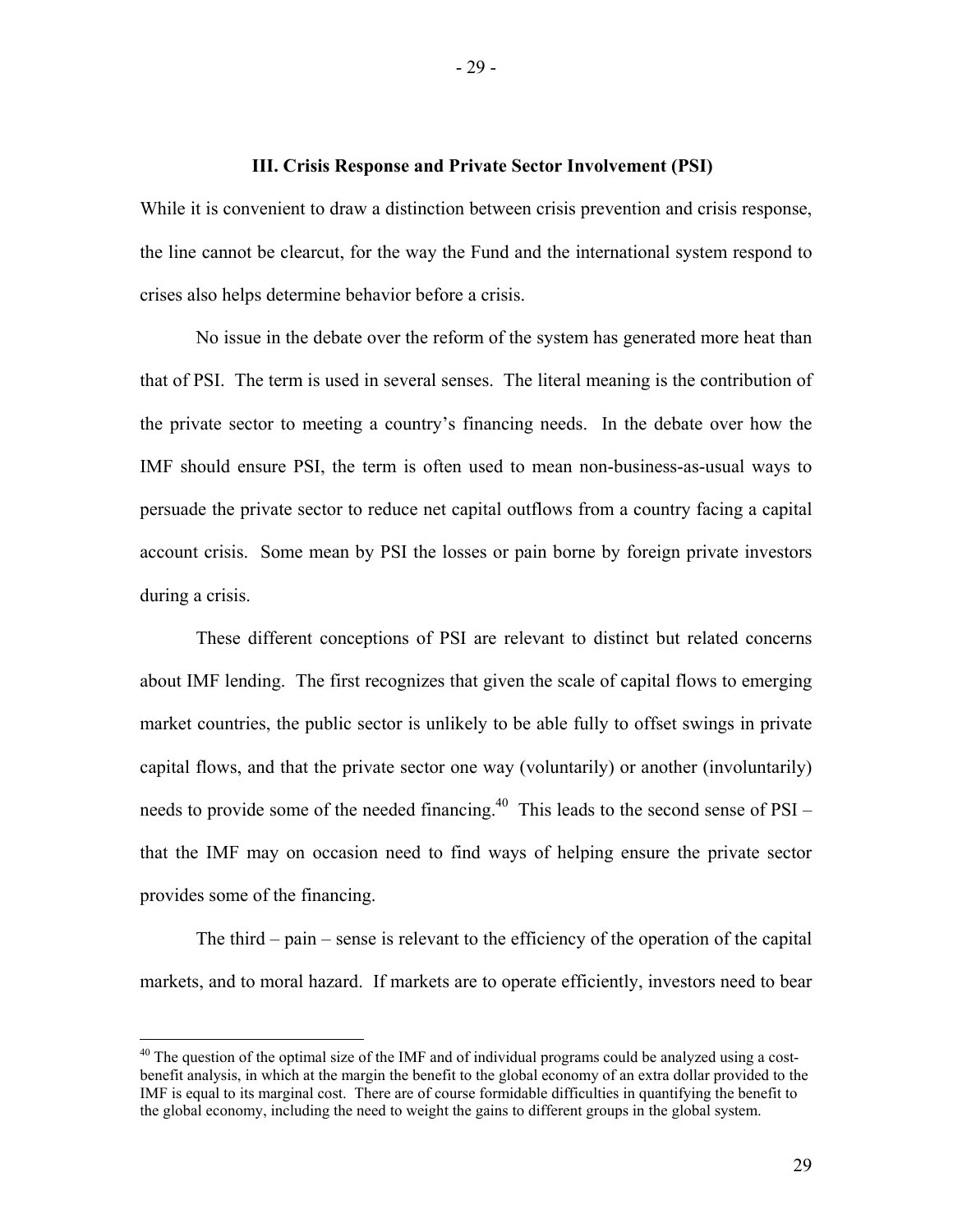### **III. Crisis Response and Private Sector Involvement (PSI)**

While it is convenient to draw a distinction between crisis prevention and crisis response, the line cannot be clearcut, for the way the Fund and the international system respond to crises also helps determine behavior before a crisis.

No issue in the debate over the reform of the system has generated more heat than that of PSI. The term is used in several senses. The literal meaning is the contribution of the private sector to meeting a country's financing needs. In the debate over how the IMF should ensure PSI, the term is often used to mean non-business-as-usual ways to persuade the private sector to reduce net capital outflows from a country facing a capital account crisis. Some mean by PSI the losses or pain borne by foreign private investors during a crisis.

These different conceptions of PSI are relevant to distinct but related concerns about IMF lending. The first recognizes that given the scale of capital flows to emerging market countries, the public sector is unlikely to be able fully to offset swings in private capital flows, and that the private sector one way (voluntarily) or another (involuntarily) needs to provide some of the needed financing.<sup>40</sup> This leads to the second sense of  $PSI$ that the IMF may on occasion need to find ways of helping ensure the private sector provides some of the financing.

The third – pain – sense is relevant to the efficiency of the operation of the capital markets, and to moral hazard. If markets are to operate efficiently, investors need to bear

 $40$  The question of the optimal size of the IMF and of individual programs could be analyzed using a costbenefit analysis, in which at the margin the benefit to the global economy of an extra dollar provided to the IMF is equal to its marginal cost. There are of course formidable difficulties in quantifying the benefit to the global economy, including the need to weight the gains to different groups in the global system.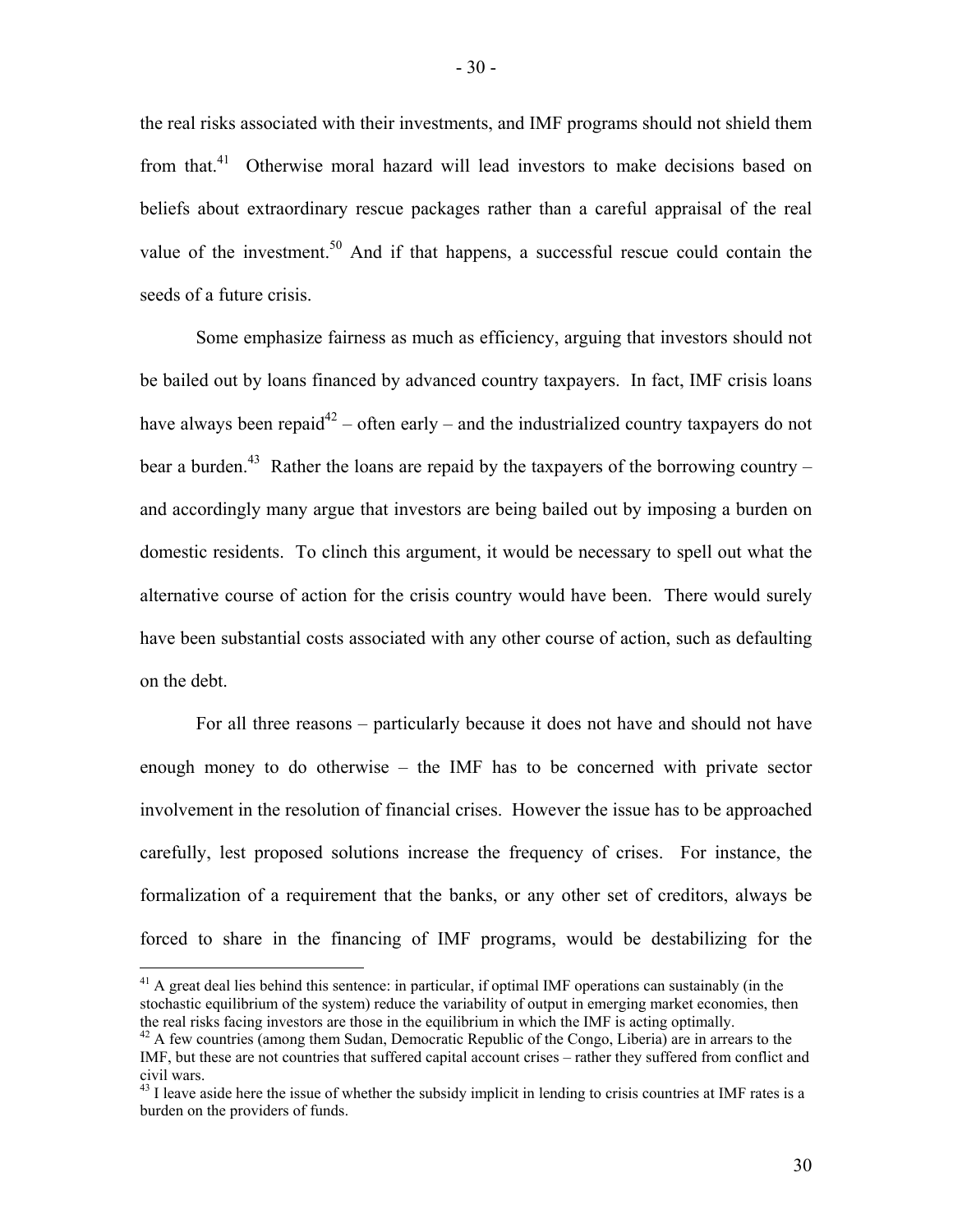the real risks associated with their investments, and IMF programs should not shield them from that.<sup>41</sup> Otherwise moral hazard will lead investors to make decisions based on beliefs about extraordinary rescue packages rather than a careful appraisal of the real value of the investment.<sup>50</sup> And if that happens, a successful rescue could contain the seeds of a future crisis.

Some emphasize fairness as much as efficiency, arguing that investors should not be bailed out by loans financed by advanced country taxpayers. In fact, IMF crisis loans have always been repaid<sup>42</sup> – often early – and the industrialized country taxpayers do not bear a burden.<sup>43</sup> Rather the loans are repaid by the taxpayers of the borrowing country – and accordingly many argue that investors are being bailed out by imposing a burden on domestic residents. To clinch this argument, it would be necessary to spell out what the alternative course of action for the crisis country would have been. There would surely have been substantial costs associated with any other course of action, such as defaulting on the debt.

For all three reasons – particularly because it does not have and should not have enough money to do otherwise – the IMF has to be concerned with private sector involvement in the resolution of financial crises. However the issue has to be approached carefully, lest proposed solutions increase the frequency of crises. For instance, the formalization of a requirement that the banks, or any other set of creditors, always be forced to share in the financing of IMF programs, would be destabilizing for the

<sup>&</sup>lt;sup>41</sup> A great deal lies behind this sentence: in particular, if optimal IMF operations can sustainably (in the stochastic equilibrium of the system) reduce the variability of output in emerging market economies, then the real risks facing investors are those in the equilibrium in which the IMF is acting optimally.

<sup>&</sup>lt;sup>42</sup> A few countries (among them Sudan, Democratic Republic of the Congo, Liberia) are in arrears to the IMF, but these are not countries that suffered capital account crises – rather they suffered from conflict and civil wars.

 $43$  I leave aside here the issue of whether the subsidy implicit in lending to crisis countries at IMF rates is a burden on the providers of funds.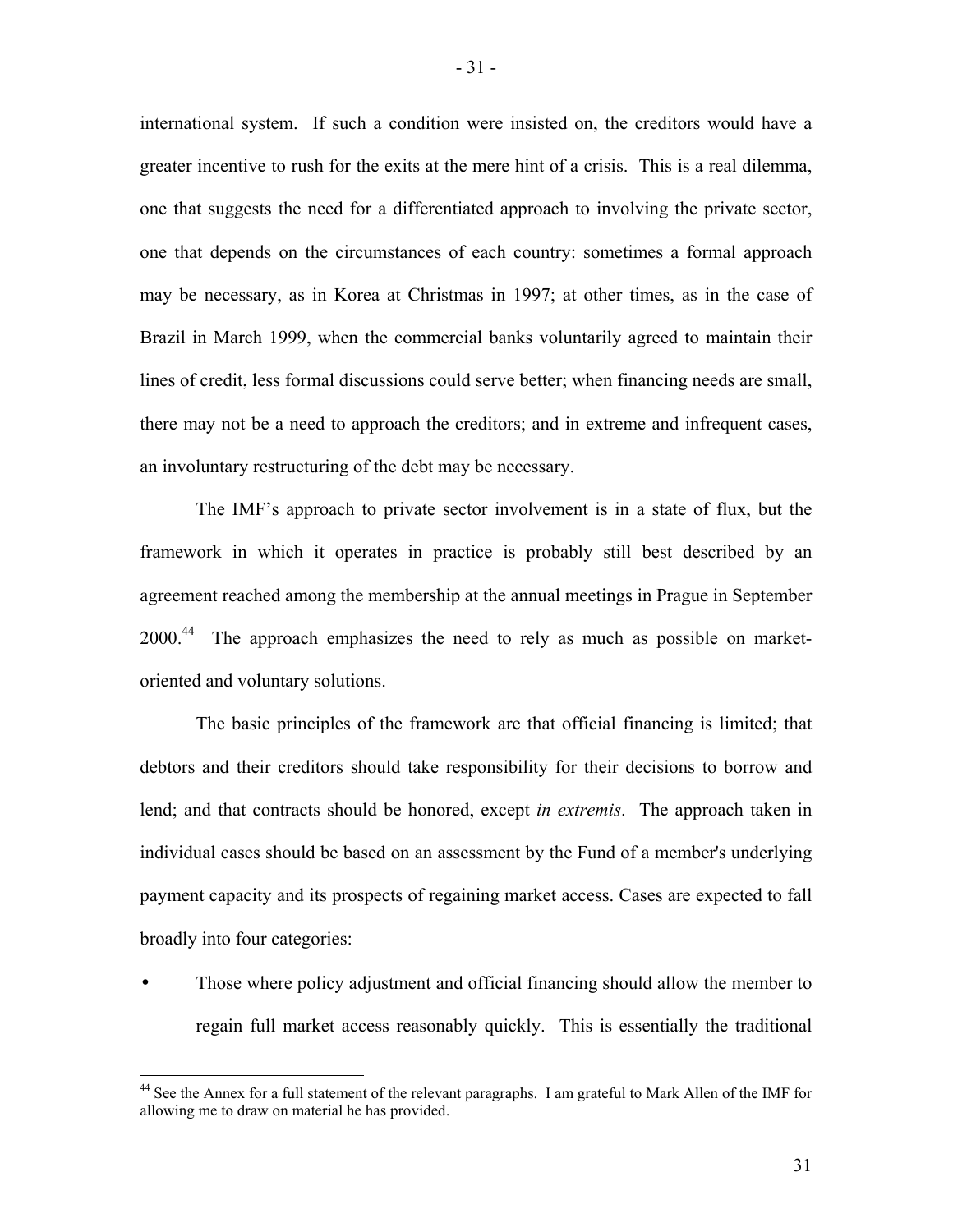international system. If such a condition were insisted on, the creditors would have a greater incentive to rush for the exits at the mere hint of a crisis. This is a real dilemma, one that suggests the need for a differentiated approach to involving the private sector, one that depends on the circumstances of each country: sometimes a formal approach may be necessary, as in Korea at Christmas in 1997; at other times, as in the case of Brazil in March 1999, when the commercial banks voluntarily agreed to maintain their lines of credit, less formal discussions could serve better; when financing needs are small, there may not be a need to approach the creditors; and in extreme and infrequent cases, an involuntary restructuring of the debt may be necessary.

The IMF's approach to private sector involvement is in a state of flux, but the framework in which it operates in practice is probably still best described by an agreement reached among the membership at the annual meetings in Prague in September 2000.44 The approach emphasizes the need to rely as much as possible on marketoriented and voluntary solutions.

The basic principles of the framework are that official financing is limited; that debtors and their creditors should take responsibility for their decisions to borrow and lend; and that contracts should be honored, except *in extremis*. The approach taken in individual cases should be based on an assessment by the Fund of a member's underlying payment capacity and its prospects of regaining market access. Cases are expected to fall broadly into four categories:

Those where policy adjustment and official financing should allow the member to regain full market access reasonably quickly. This is essentially the traditional

<sup>&</sup>lt;sup>44</sup> See the Annex for a full statement of the relevant paragraphs. I am grateful to Mark Allen of the IMF for allowing me to draw on material he has provided.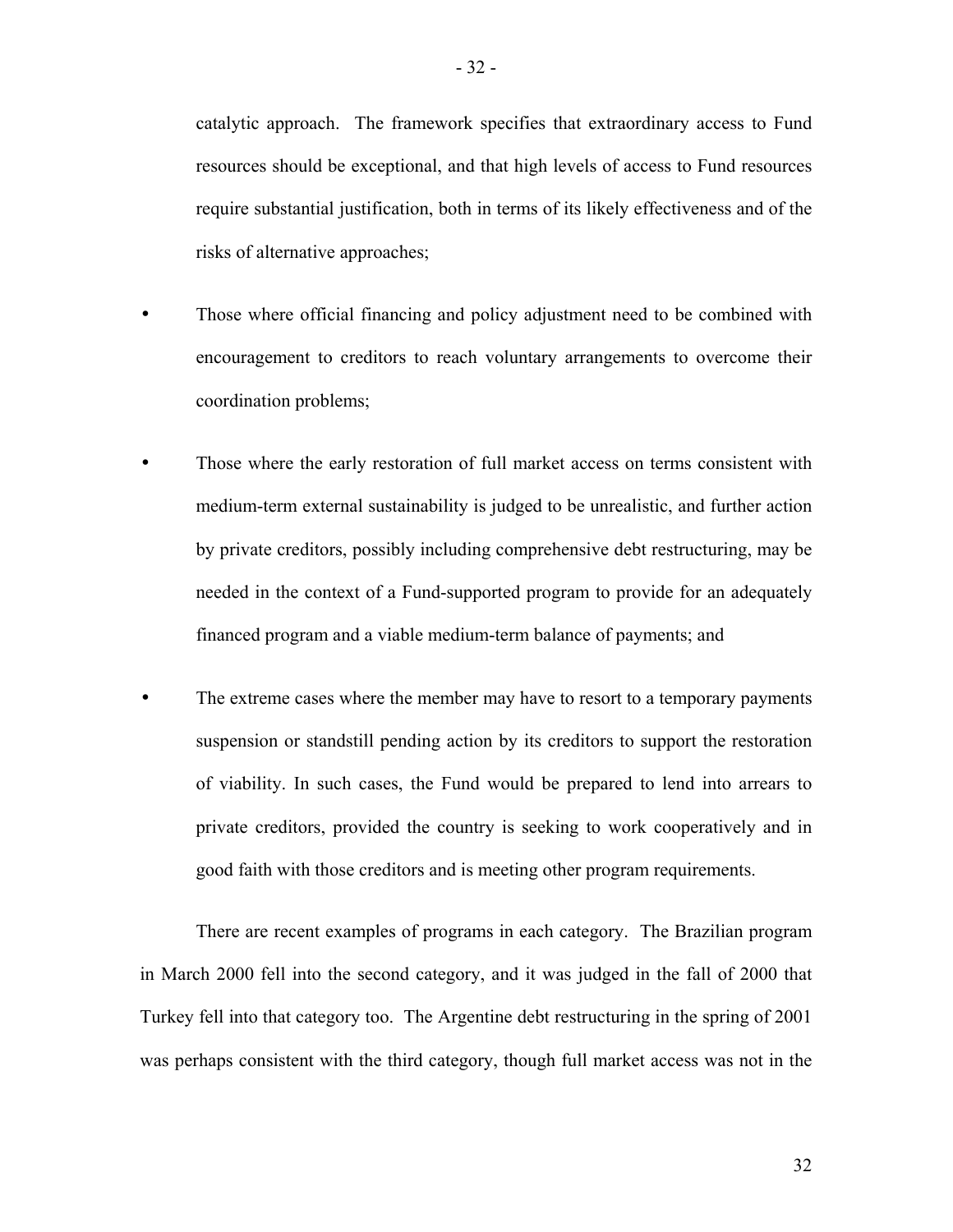catalytic approach. The framework specifies that extraordinary access to Fund resources should be exceptional, and that high levels of access to Fund resources require substantial justification, both in terms of its likely effectiveness and of the risks of alternative approaches;

- Those where official financing and policy adjustment need to be combined with encouragement to creditors to reach voluntary arrangements to overcome their coordination problems;
- Those where the early restoration of full market access on terms consistent with medium-term external sustainability is judged to be unrealistic, and further action by private creditors, possibly including comprehensive debt restructuring, may be needed in the context of a Fund-supported program to provide for an adequately financed program and a viable medium-term balance of payments; and
- The extreme cases where the member may have to resort to a temporary payments suspension or standstill pending action by its creditors to support the restoration of viability. In such cases, the Fund would be prepared to lend into arrears to private creditors, provided the country is seeking to work cooperatively and in good faith with those creditors and is meeting other program requirements.

There are recent examples of programs in each category. The Brazilian program in March 2000 fell into the second category, and it was judged in the fall of 2000 that Turkey fell into that category too. The Argentine debt restructuring in the spring of 2001 was perhaps consistent with the third category, though full market access was not in the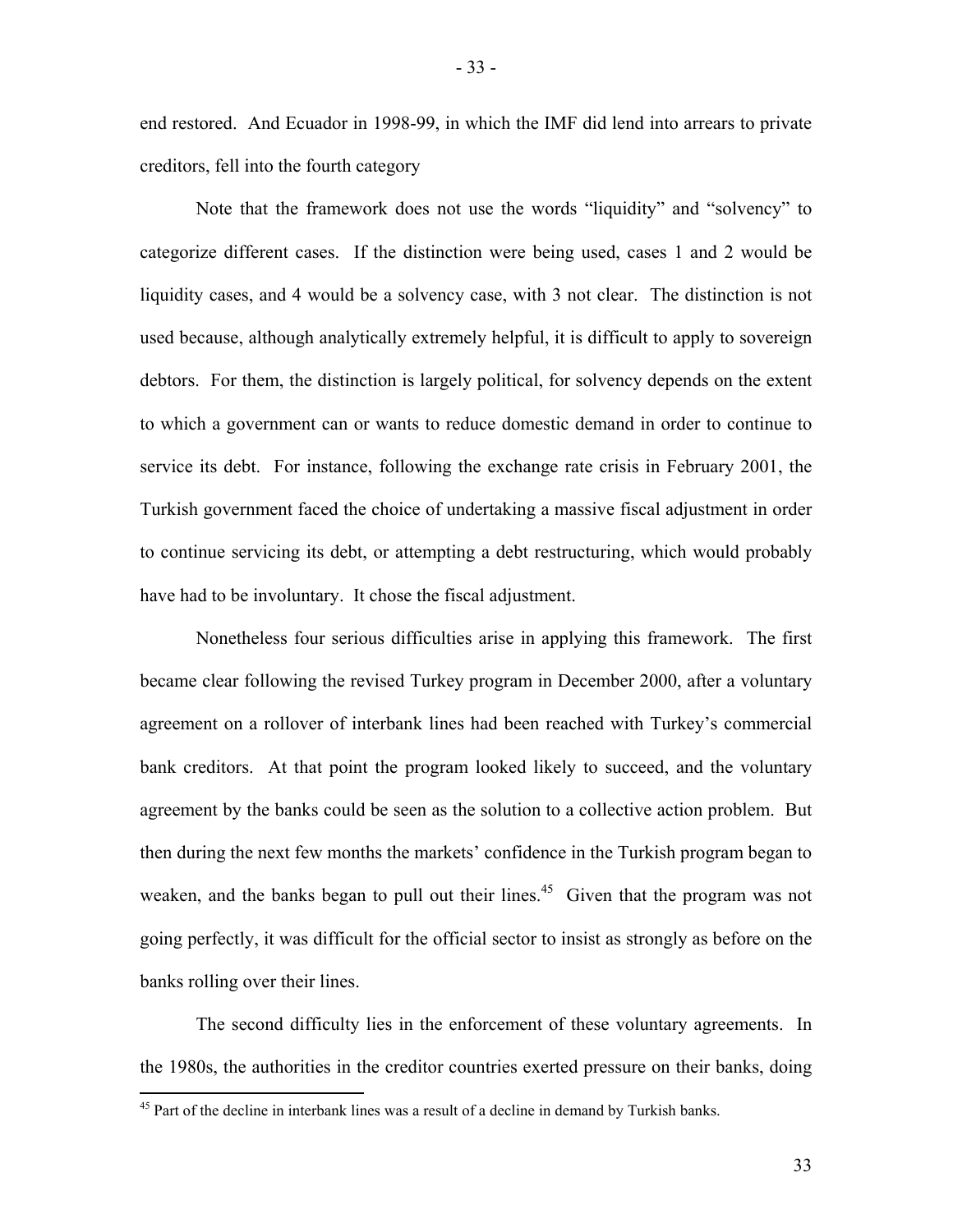end restored. And Ecuador in 1998-99, in which the IMF did lend into arrears to private creditors, fell into the fourth category

Note that the framework does not use the words "liquidity" and "solvency" to categorize different cases. If the distinction were being used, cases 1 and 2 would be liquidity cases, and 4 would be a solvency case, with 3 not clear. The distinction is not used because, although analytically extremely helpful, it is difficult to apply to sovereign debtors. For them, the distinction is largely political, for solvency depends on the extent to which a government can or wants to reduce domestic demand in order to continue to service its debt. For instance, following the exchange rate crisis in February 2001, the Turkish government faced the choice of undertaking a massive fiscal adjustment in order to continue servicing its debt, or attempting a debt restructuring, which would probably have had to be involuntary. It chose the fiscal adjustment.

Nonetheless four serious difficulties arise in applying this framework. The first became clear following the revised Turkey program in December 2000, after a voluntary agreement on a rollover of interbank lines had been reached with Turkey's commercial bank creditors. At that point the program looked likely to succeed, and the voluntary agreement by the banks could be seen as the solution to a collective action problem. But then during the next few months the markets' confidence in the Turkish program began to weaken, and the banks began to pull out their lines.<sup>45</sup> Given that the program was not going perfectly, it was difficult for the official sector to insist as strongly as before on the banks rolling over their lines.

The second difficulty lies in the enforcement of these voluntary agreements. In the 1980s, the authorities in the creditor countries exerted pressure on their banks, doing

1

<sup>&</sup>lt;sup>45</sup> Part of the decline in interbank lines was a result of a decline in demand by Turkish banks.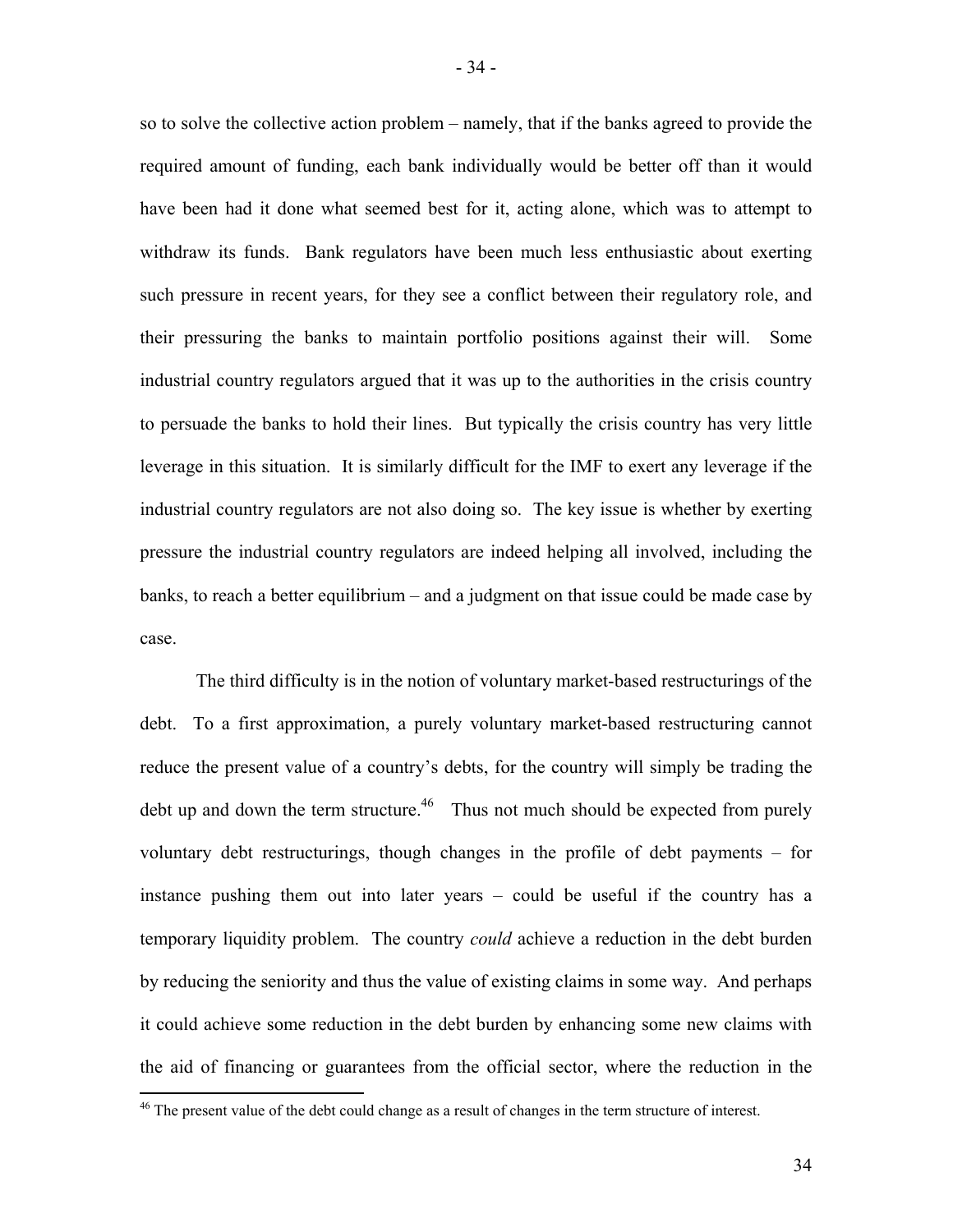so to solve the collective action problem – namely, that if the banks agreed to provide the required amount of funding, each bank individually would be better off than it would have been had it done what seemed best for it, acting alone, which was to attempt to withdraw its funds. Bank regulators have been much less enthusiastic about exerting such pressure in recent years, for they see a conflict between their regulatory role, and their pressuring the banks to maintain portfolio positions against their will. Some industrial country regulators argued that it was up to the authorities in the crisis country to persuade the banks to hold their lines. But typically the crisis country has very little leverage in this situation. It is similarly difficult for the IMF to exert any leverage if the industrial country regulators are not also doing so. The key issue is whether by exerting pressure the industrial country regulators are indeed helping all involved, including the banks, to reach a better equilibrium – and a judgment on that issue could be made case by case.

The third difficulty is in the notion of voluntary market-based restructurings of the debt. To a first approximation, a purely voluntary market-based restructuring cannot reduce the present value of a country's debts, for the country will simply be trading the debt up and down the term structure.<sup>46</sup> Thus not much should be expected from purely voluntary debt restructurings, though changes in the profile of debt payments – for instance pushing them out into later years – could be useful if the country has a temporary liquidity problem. The country *could* achieve a reduction in the debt burden by reducing the seniority and thus the value of existing claims in some way. And perhaps it could achieve some reduction in the debt burden by enhancing some new claims with the aid of financing or guarantees from the official sector, where the reduction in the

<sup>&</sup>lt;sup>46</sup> The present value of the debt could change as a result of changes in the term structure of interest.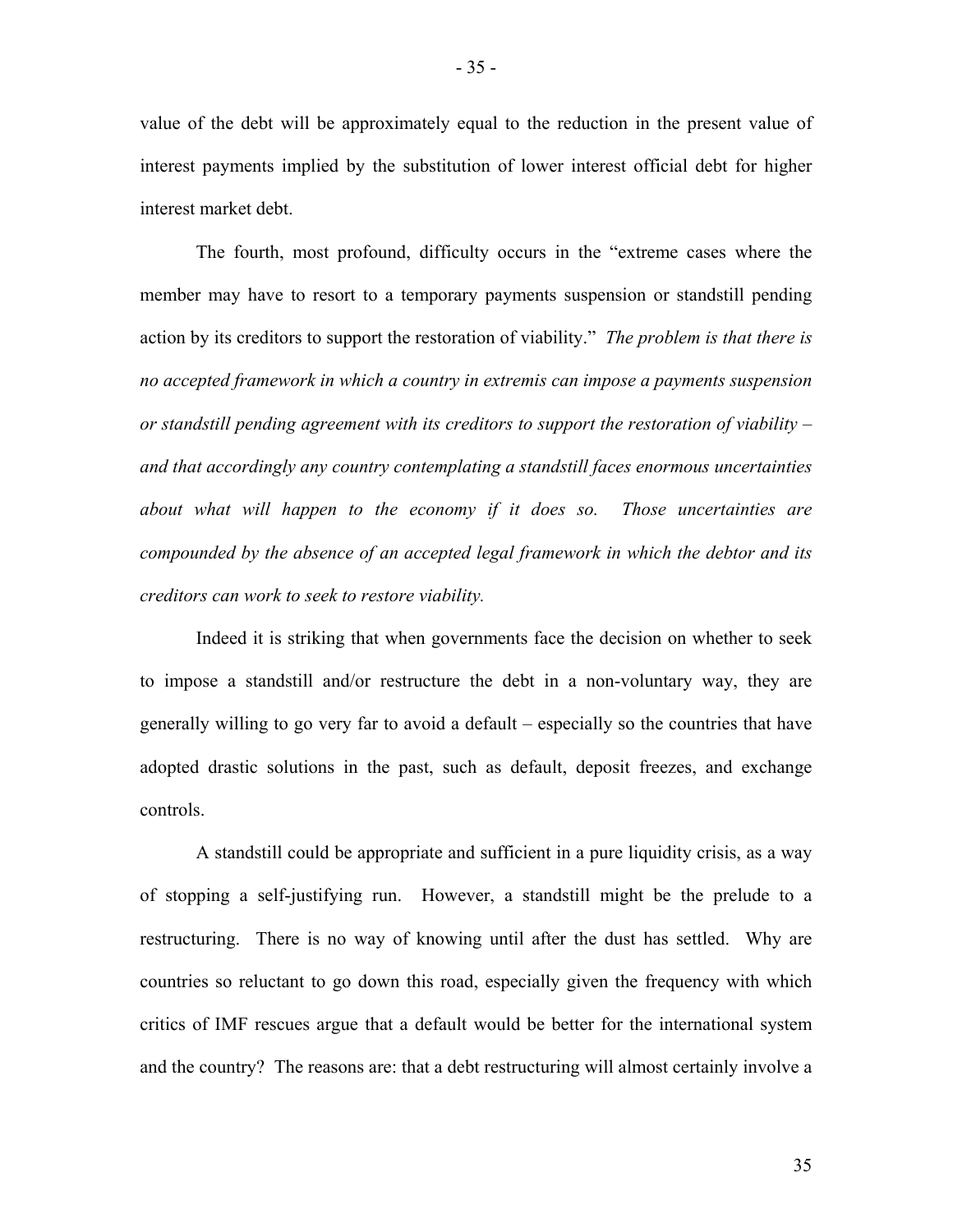value of the debt will be approximately equal to the reduction in the present value of interest payments implied by the substitution of lower interest official debt for higher interest market debt.

The fourth, most profound, difficulty occurs in the "extreme cases where the member may have to resort to a temporary payments suspension or standstill pending action by its creditors to support the restoration of viability." *The problem is that there is no accepted framework in which a country in extremis can impose a payments suspension or standstill pending agreement with its creditors to support the restoration of viability – and that accordingly any country contemplating a standstill faces enormous uncertainties about what will happen to the economy if it does so. Those uncertainties are compounded by the absence of an accepted legal framework in which the debtor and its creditors can work to seek to restore viability.* 

Indeed it is striking that when governments face the decision on whether to seek to impose a standstill and/or restructure the debt in a non-voluntary way, they are generally willing to go very far to avoid a default – especially so the countries that have adopted drastic solutions in the past, such as default, deposit freezes, and exchange controls.

A standstill could be appropriate and sufficient in a pure liquidity crisis, as a way of stopping a self-justifying run. However, a standstill might be the prelude to a restructuring. There is no way of knowing until after the dust has settled. Why are countries so reluctant to go down this road, especially given the frequency with which critics of IMF rescues argue that a default would be better for the international system and the country? The reasons are: that a debt restructuring will almost certainly involve a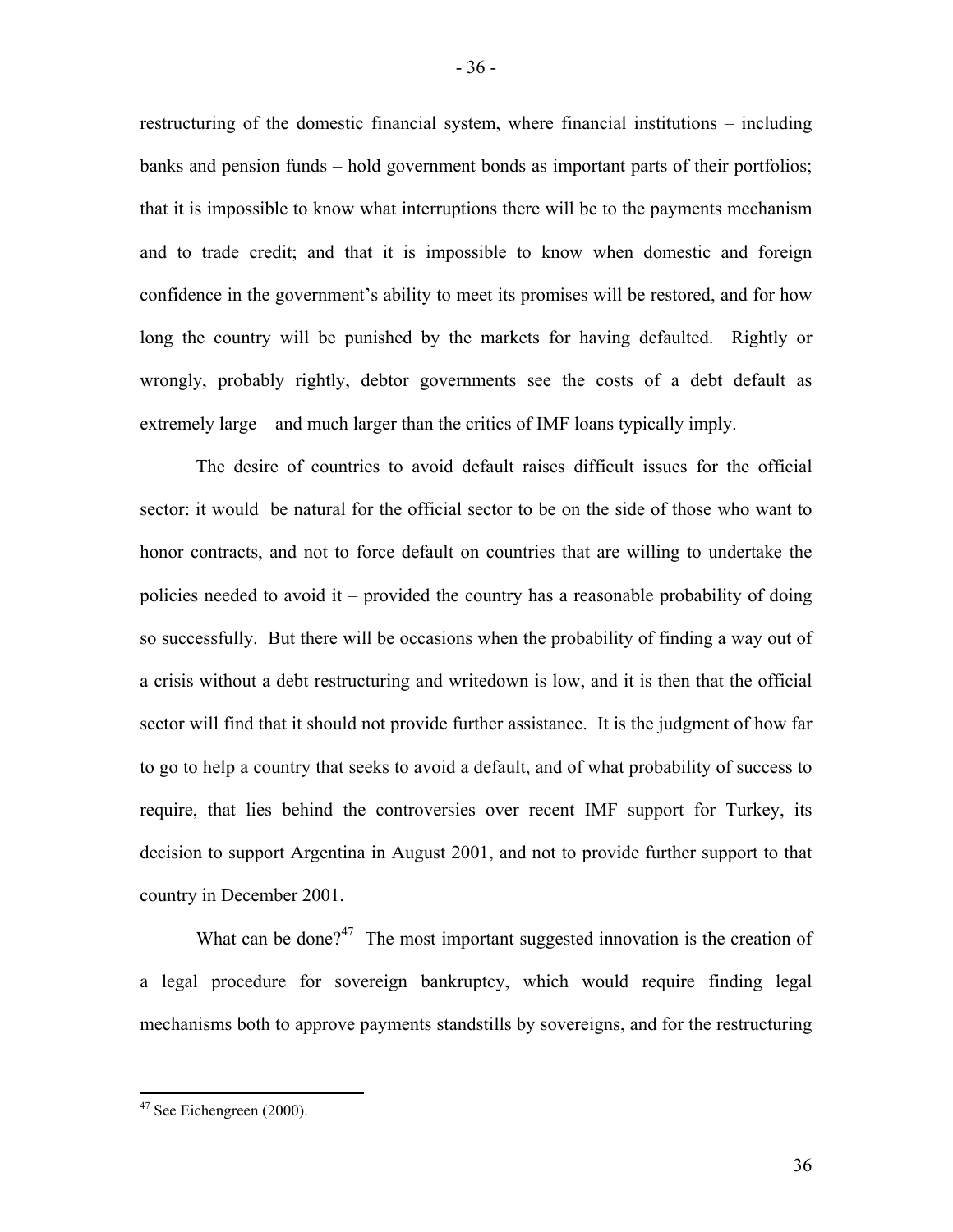restructuring of the domestic financial system, where financial institutions – including banks and pension funds – hold government bonds as important parts of their portfolios; that it is impossible to know what interruptions there will be to the payments mechanism and to trade credit; and that it is impossible to know when domestic and foreign confidence in the government's ability to meet its promises will be restored, and for how long the country will be punished by the markets for having defaulted. Rightly or wrongly, probably rightly, debtor governments see the costs of a debt default as extremely large – and much larger than the critics of IMF loans typically imply.

- 36 -

The desire of countries to avoid default raises difficult issues for the official sector: it would be natural for the official sector to be on the side of those who want to honor contracts, and not to force default on countries that are willing to undertake the policies needed to avoid it – provided the country has a reasonable probability of doing so successfully. But there will be occasions when the probability of finding a way out of a crisis without a debt restructuring and writedown is low, and it is then that the official sector will find that it should not provide further assistance. It is the judgment of how far to go to help a country that seeks to avoid a default, and of what probability of success to require, that lies behind the controversies over recent IMF support for Turkey, its decision to support Argentina in August 2001, and not to provide further support to that country in December 2001.

What can be done?<sup>47</sup> The most important suggested innovation is the creation of a legal procedure for sovereign bankruptcy, which would require finding legal mechanisms both to approve payments standstills by sovereigns, and for the restructuring

 $47$  See Eichengreen (2000).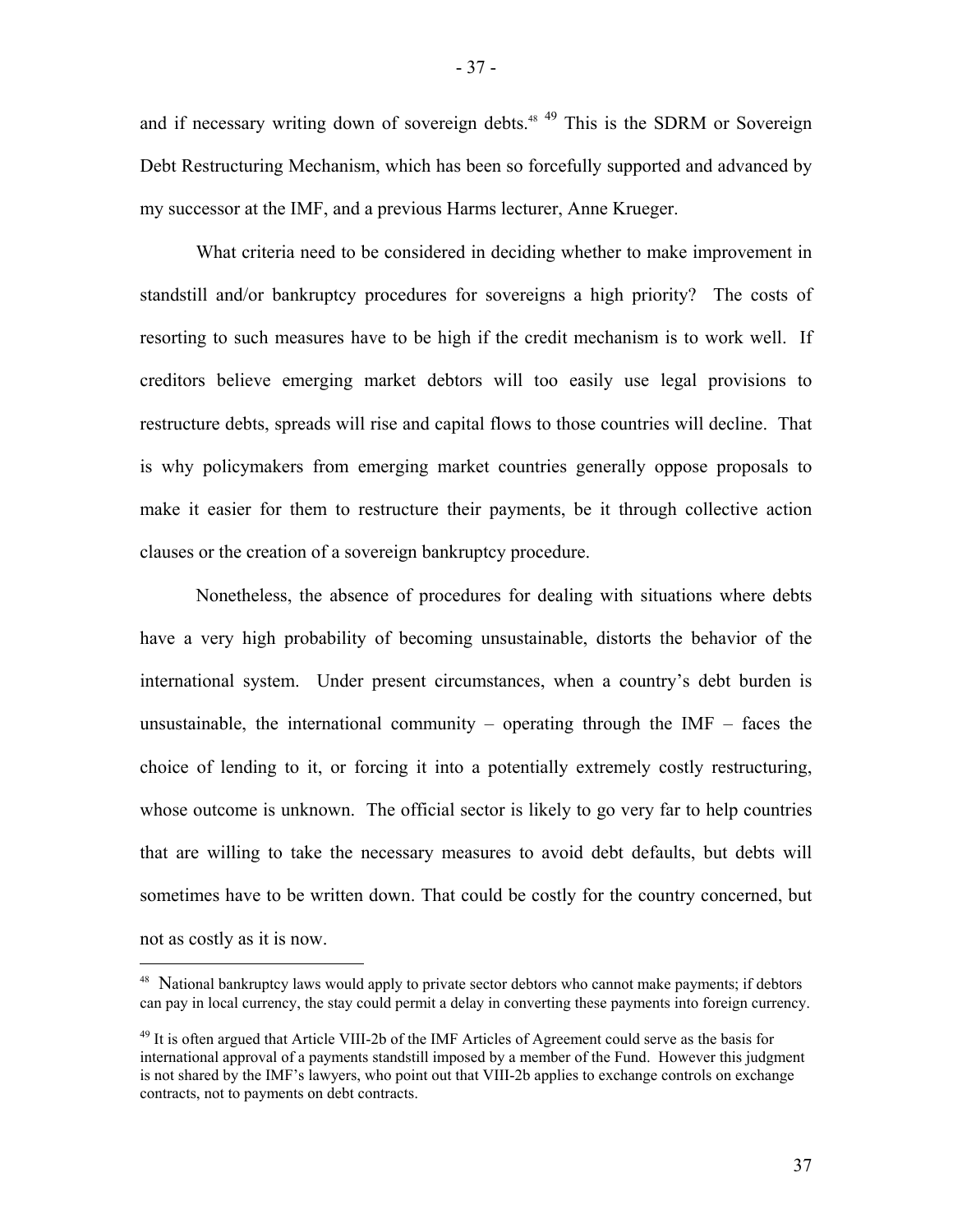and if necessary writing down of sovereign debts.<sup>48</sup> <sup>49</sup> This is the SDRM or Sovereign Debt Restructuring Mechanism, which has been so forcefully supported and advanced by my successor at the IMF, and a previous Harms lecturer, Anne Krueger.

 What criteria need to be considered in deciding whether to make improvement in standstill and/or bankruptcy procedures for sovereigns a high priority? The costs of resorting to such measures have to be high if the credit mechanism is to work well. If creditors believe emerging market debtors will too easily use legal provisions to restructure debts, spreads will rise and capital flows to those countries will decline. That is why policymakers from emerging market countries generally oppose proposals to make it easier for them to restructure their payments, be it through collective action clauses or the creation of a sovereign bankruptcy procedure.

Nonetheless, the absence of procedures for dealing with situations where debts have a very high probability of becoming unsustainable, distorts the behavior of the international system. Under present circumstances, when a country's debt burden is unsustainable, the international community – operating through the  $IMF$  – faces the choice of lending to it, or forcing it into a potentially extremely costly restructuring, whose outcome is unknown. The official sector is likely to go very far to help countries that are willing to take the necessary measures to avoid debt defaults, but debts will sometimes have to be written down. That could be costly for the country concerned, but not as costly as it is now.

<sup>&</sup>lt;sup>48</sup> National bankruptcy laws would apply to private sector debtors who cannot make payments; if debtors can pay in local currency, the stay could permit a delay in converting these payments into foreign currency.

 $^{49}$  It is often argued that Article VIII-2b of the IMF Articles of Agreement could serve as the basis for international approval of a payments standstill imposed by a member of the Fund. However this judgment is not shared by the IMF's lawyers, who point out that VIII-2b applies to exchange controls on exchange contracts, not to payments on debt contracts.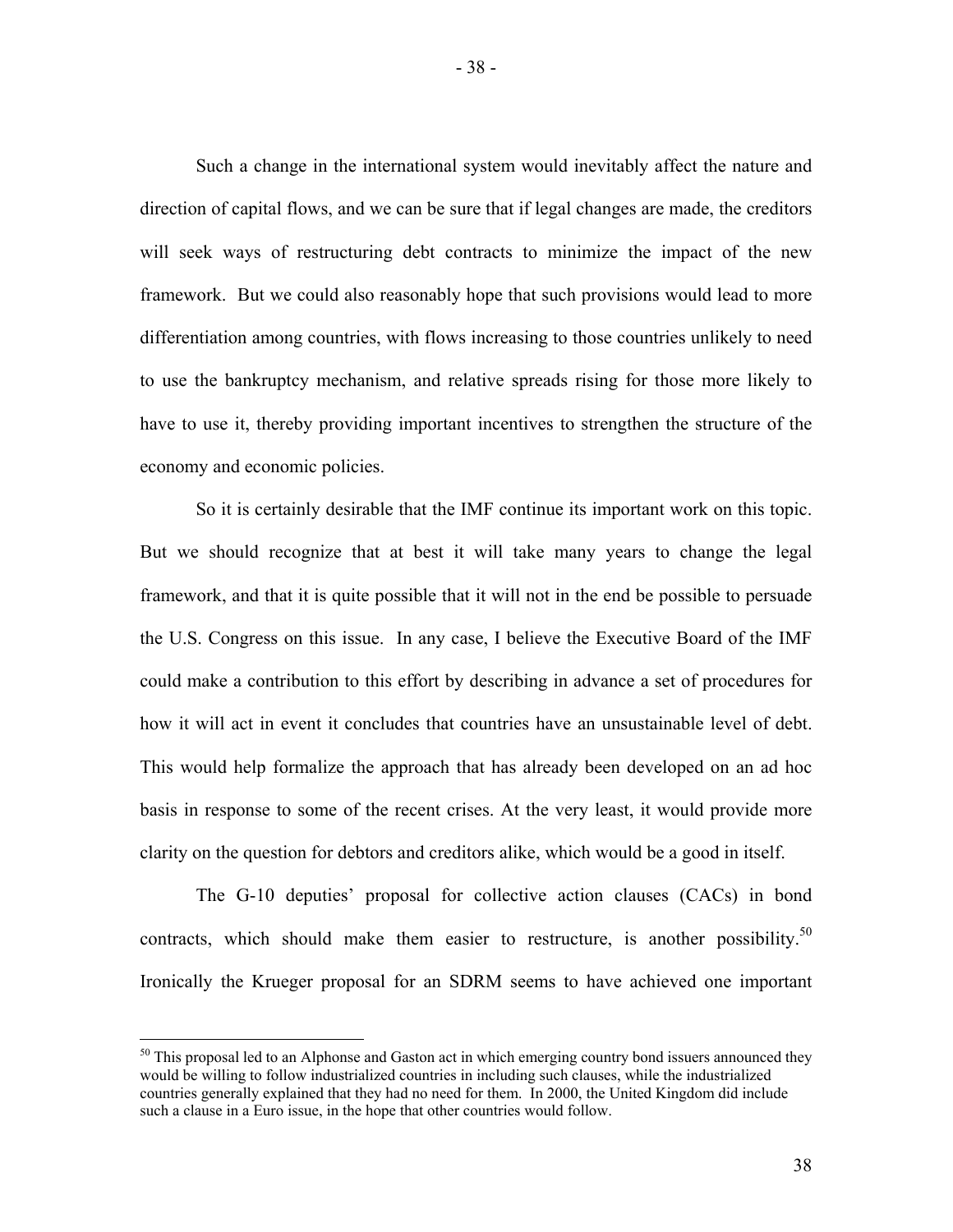Such a change in the international system would inevitably affect the nature and direction of capital flows, and we can be sure that if legal changes are made, the creditors will seek ways of restructuring debt contracts to minimize the impact of the new framework. But we could also reasonably hope that such provisions would lead to more differentiation among countries, with flows increasing to those countries unlikely to need to use the bankruptcy mechanism, and relative spreads rising for those more likely to have to use it, thereby providing important incentives to strengthen the structure of the

economy and economic policies.

1

So it is certainly desirable that the IMF continue its important work on this topic. But we should recognize that at best it will take many years to change the legal framework, and that it is quite possible that it will not in the end be possible to persuade the U.S. Congress on this issue. In any case, I believe the Executive Board of the IMF could make a contribution to this effort by describing in advance a set of procedures for how it will act in event it concludes that countries have an unsustainable level of debt. This would help formalize the approach that has already been developed on an ad hoc basis in response to some of the recent crises. At the very least, it would provide more clarity on the question for debtors and creditors alike, which would be a good in itself.

The G-10 deputies' proposal for collective action clauses (CACs) in bond contracts, which should make them easier to restructure, is another possibility.<sup>50</sup> Ironically the Krueger proposal for an SDRM seems to have achieved one important

 $50$  This proposal led to an Alphonse and Gaston act in which emerging country bond issuers announced they would be willing to follow industrialized countries in including such clauses, while the industrialized countries generally explained that they had no need for them. In 2000, the United Kingdom did include such a clause in a Euro issue, in the hope that other countries would follow.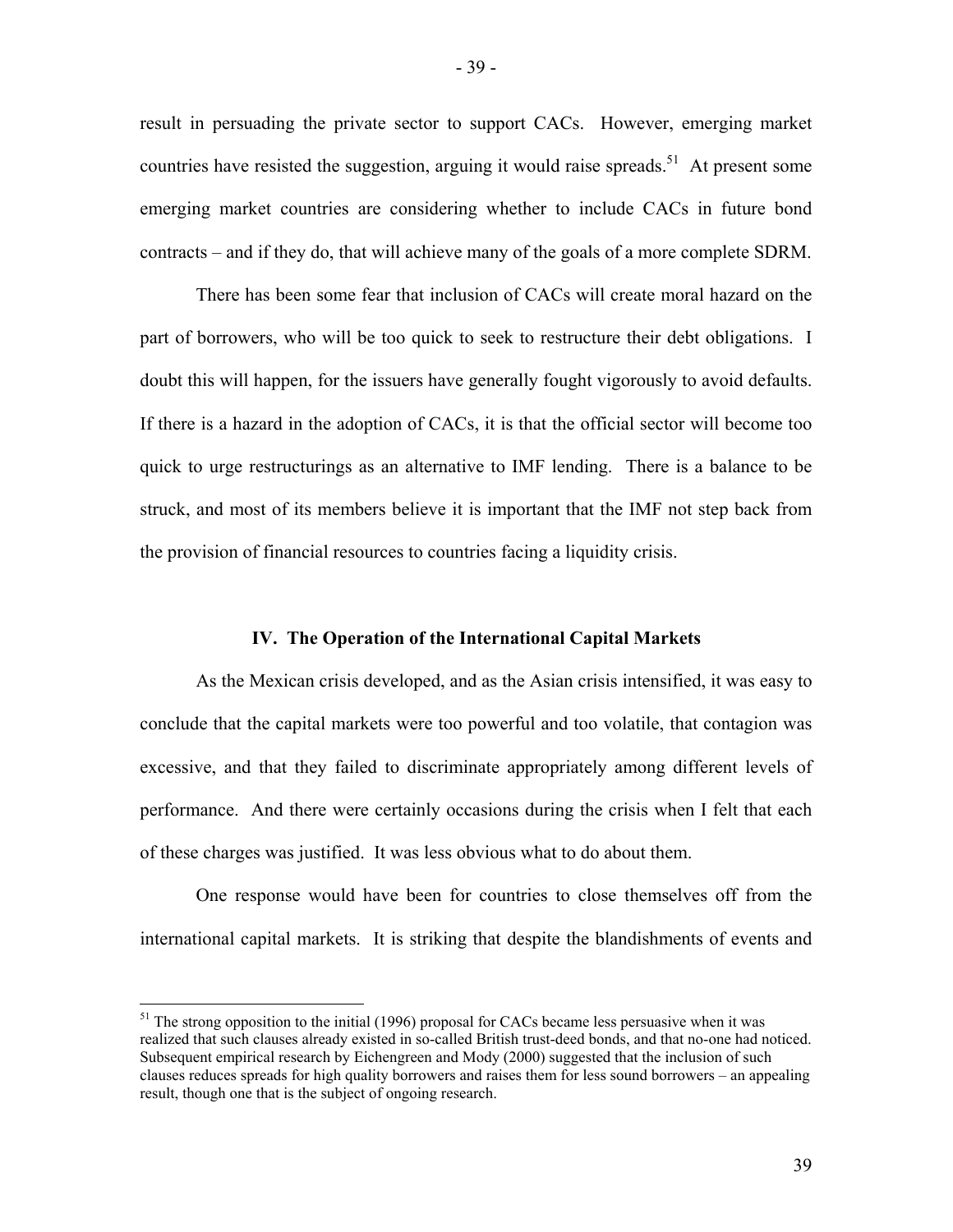result in persuading the private sector to support CACs. However, emerging market countries have resisted the suggestion, arguing it would raise spreads.<sup>51</sup> At present some emerging market countries are considering whether to include CACs in future bond contracts – and if they do, that will achieve many of the goals of a more complete SDRM.

There has been some fear that inclusion of CACs will create moral hazard on the part of borrowers, who will be too quick to seek to restructure their debt obligations. I doubt this will happen, for the issuers have generally fought vigorously to avoid defaults. If there is a hazard in the adoption of CACs, it is that the official sector will become too quick to urge restructurings as an alternative to IMF lending. There is a balance to be struck, and most of its members believe it is important that the IMF not step back from the provision of financial resources to countries facing a liquidity crisis.

## **IV. The Operation of the International Capital Markets**

As the Mexican crisis developed, and as the Asian crisis intensified, it was easy to conclude that the capital markets were too powerful and too volatile, that contagion was excessive, and that they failed to discriminate appropriately among different levels of performance. And there were certainly occasions during the crisis when I felt that each of these charges was justified. It was less obvious what to do about them.

 One response would have been for countries to close themselves off from the international capital markets. It is striking that despite the blandishments of events and

 $<sup>51</sup>$  The strong opposition to the initial (1996) proposal for CACs became less persuasive when it was</sup> realized that such clauses already existed in so-called British trust-deed bonds, and that no-one had noticed. Subsequent empirical research by Eichengreen and Mody (2000) suggested that the inclusion of such clauses reduces spreads for high quality borrowers and raises them for less sound borrowers – an appealing result, though one that is the subject of ongoing research.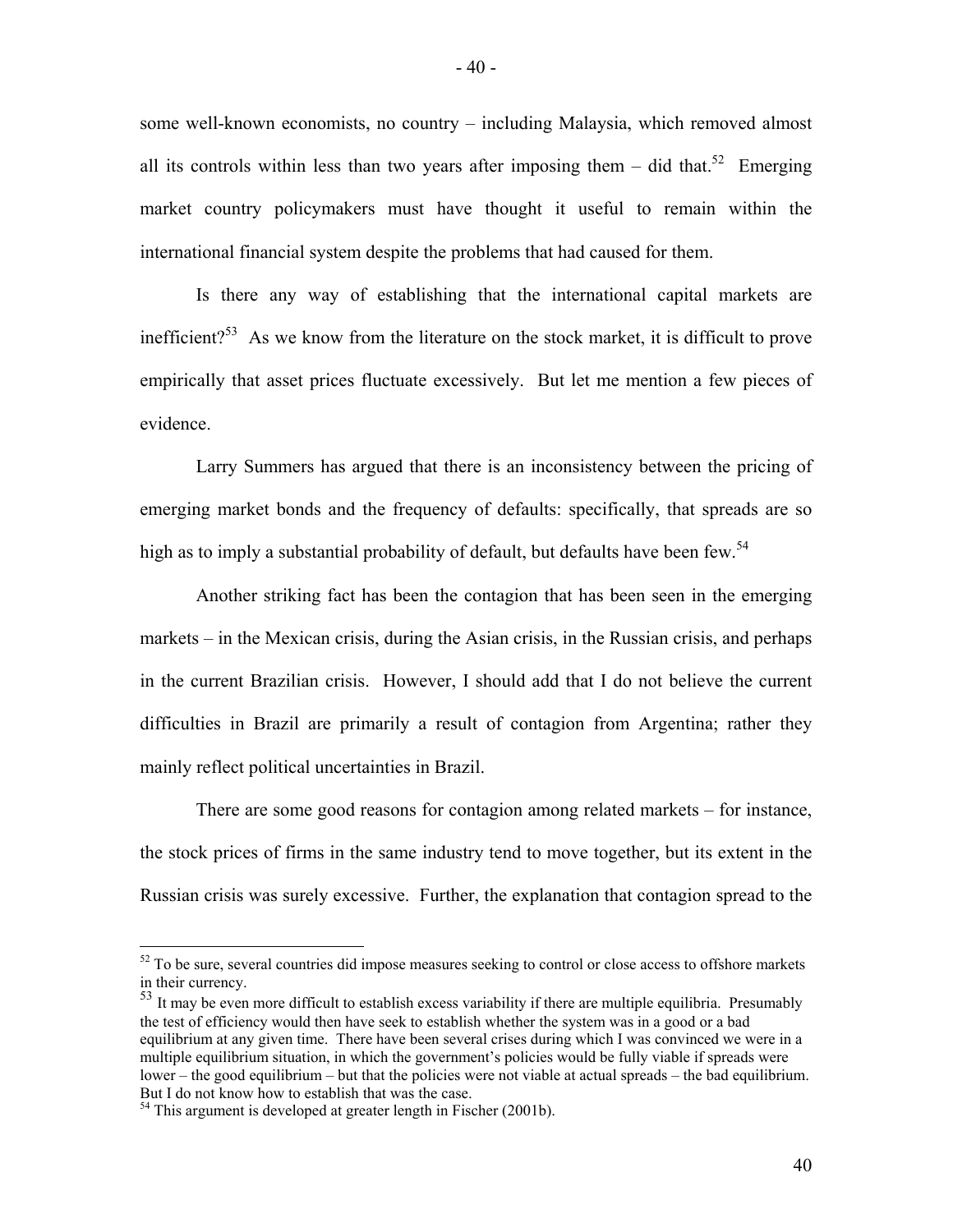some well-known economists, no country – including Malaysia, which removed almost all its controls within less than two vears after imposing them – did that.<sup>52</sup> Emerging market country policymakers must have thought it useful to remain within the international financial system despite the problems that had caused for them.

 Is there any way of establishing that the international capital markets are inefficient?<sup>53</sup> As we know from the literature on the stock market, it is difficult to prove empirically that asset prices fluctuate excessively. But let me mention a few pieces of evidence.

Larry Summers has argued that there is an inconsistency between the pricing of emerging market bonds and the frequency of defaults: specifically, that spreads are so high as to imply a substantial probability of default, but defaults have been few.<sup>54</sup>

Another striking fact has been the contagion that has been seen in the emerging markets – in the Mexican crisis, during the Asian crisis, in the Russian crisis, and perhaps in the current Brazilian crisis. However, I should add that I do not believe the current difficulties in Brazil are primarily a result of contagion from Argentina; rather they mainly reflect political uncertainties in Brazil.

There are some good reasons for contagion among related markets – for instance, the stock prices of firms in the same industry tend to move together, but its extent in the Russian crisis was surely excessive. Further, the explanation that contagion spread to the

<sup>&</sup>lt;sup>52</sup> To be sure, several countries did impose measures seeking to control or close access to offshore markets in their currency.

<sup>&</sup>lt;sup>53</sup> It may be even more difficult to establish excess variability if there are multiple equilibria. Presumably the test of efficiency would then have seek to establish whether the system was in a good or a bad equilibrium at any given time. There have been several crises during which I was convinced we were in a multiple equilibrium situation, in which the government's policies would be fully viable if spreads were lower – the good equilibrium – but that the policies were not viable at actual spreads – the bad equilibrium. But I do not know how to establish that was the case.

 $<sup>54</sup>$  This argument is developed at greater length in Fischer (2001b).</sup>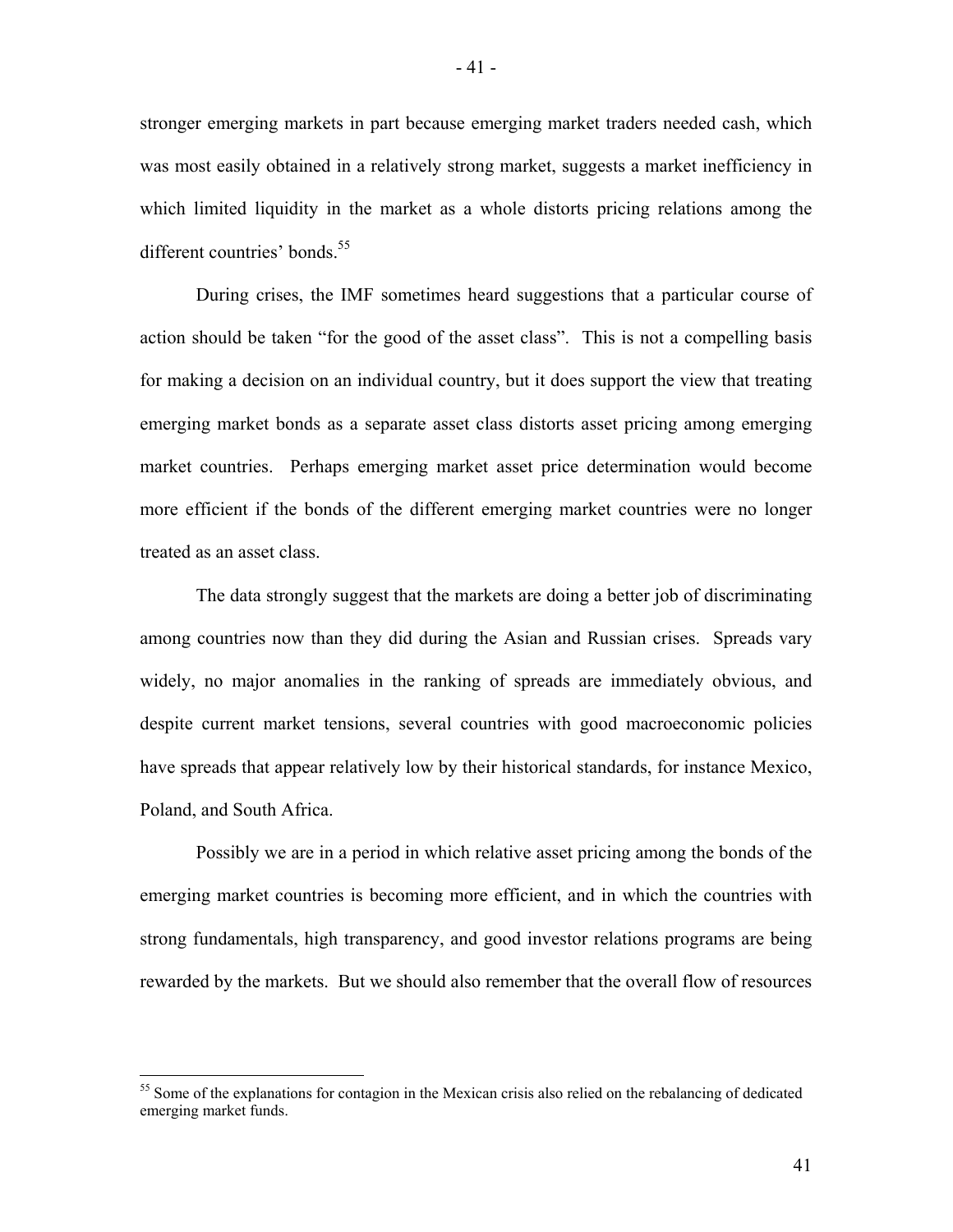stronger emerging markets in part because emerging market traders needed cash, which was most easily obtained in a relatively strong market, suggests a market inefficiency in which limited liquidity in the market as a whole distorts pricing relations among the different countries' bonds.<sup>55</sup>

 During crises, the IMF sometimes heard suggestions that a particular course of action should be taken "for the good of the asset class". This is not a compelling basis for making a decision on an individual country, but it does support the view that treating emerging market bonds as a separate asset class distorts asset pricing among emerging market countries. Perhaps emerging market asset price determination would become more efficient if the bonds of the different emerging market countries were no longer treated as an asset class.

The data strongly suggest that the markets are doing a better job of discriminating among countries now than they did during the Asian and Russian crises. Spreads vary widely, no major anomalies in the ranking of spreads are immediately obvious, and despite current market tensions, several countries with good macroeconomic policies have spreads that appear relatively low by their historical standards, for instance Mexico, Poland, and South Africa.

Possibly we are in a period in which relative asset pricing among the bonds of the emerging market countries is becoming more efficient, and in which the countries with strong fundamentals, high transparency, and good investor relations programs are being rewarded by the markets. But we should also remember that the overall flow of resources

<sup>&</sup>lt;sup>55</sup> Some of the explanations for contagion in the Mexican crisis also relied on the rebalancing of dedicated emerging market funds.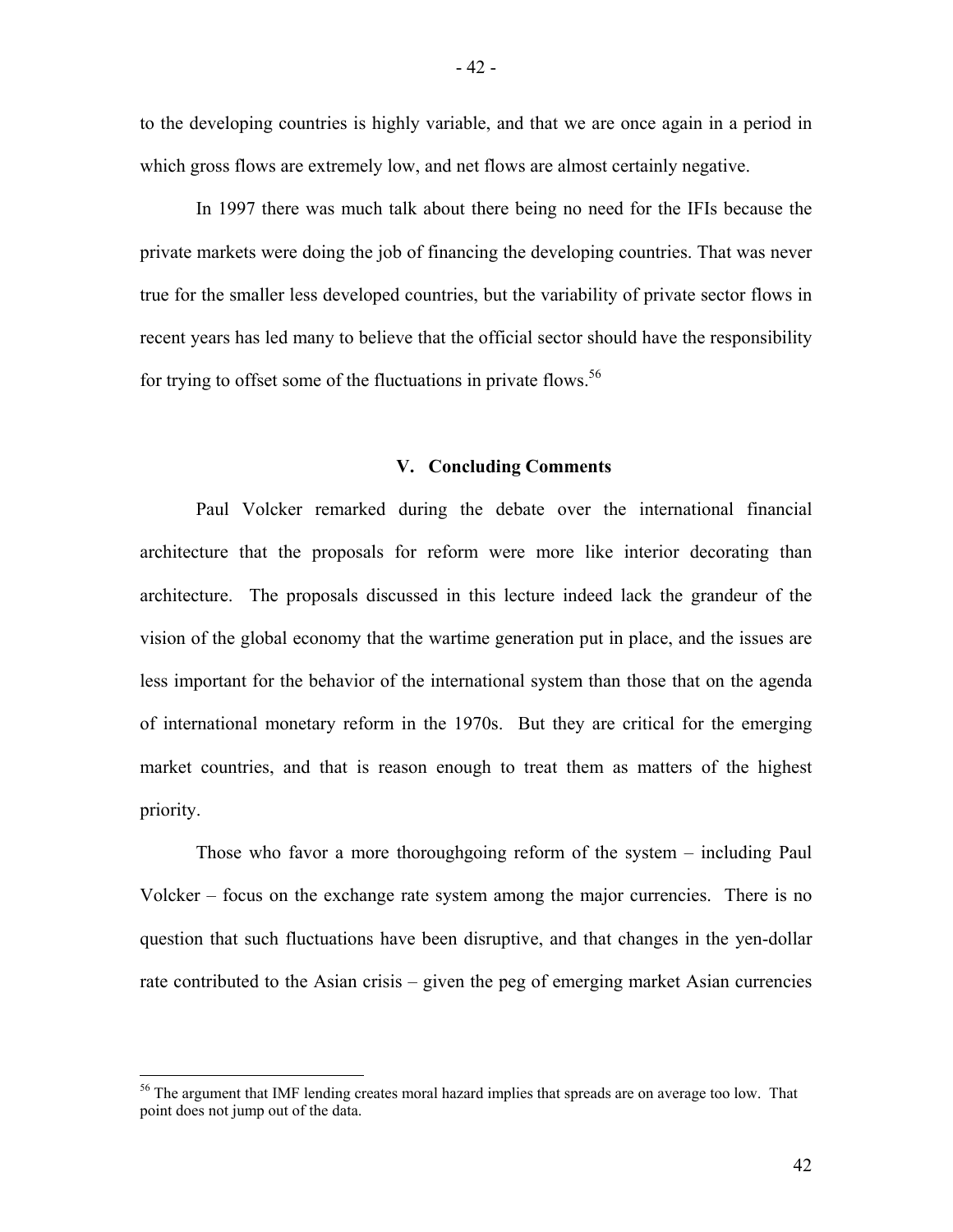to the developing countries is highly variable, and that we are once again in a period in which gross flows are extremely low, and net flows are almost certainly negative.

In 1997 there was much talk about there being no need for the IFIs because the private markets were doing the job of financing the developing countries. That was never true for the smaller less developed countries, but the variability of private sector flows in recent years has led many to believe that the official sector should have the responsibility for trying to offset some of the fluctuations in private flows.<sup>56</sup>

## **V. Concluding Comments**

Paul Volcker remarked during the debate over the international financial architecture that the proposals for reform were more like interior decorating than architecture. The proposals discussed in this lecture indeed lack the grandeur of the vision of the global economy that the wartime generation put in place, and the issues are less important for the behavior of the international system than those that on the agenda of international monetary reform in the 1970s. But they are critical for the emerging market countries, and that is reason enough to treat them as matters of the highest priority.

Those who favor a more thoroughgoing reform of the system – including Paul Volcker – focus on the exchange rate system among the major currencies. There is no question that such fluctuations have been disruptive, and that changes in the yen-dollar rate contributed to the Asian crisis – given the peg of emerging market Asian currencies

<sup>&</sup>lt;sup>56</sup> The argument that IMF lending creates moral hazard implies that spreads are on average too low. That point does not jump out of the data.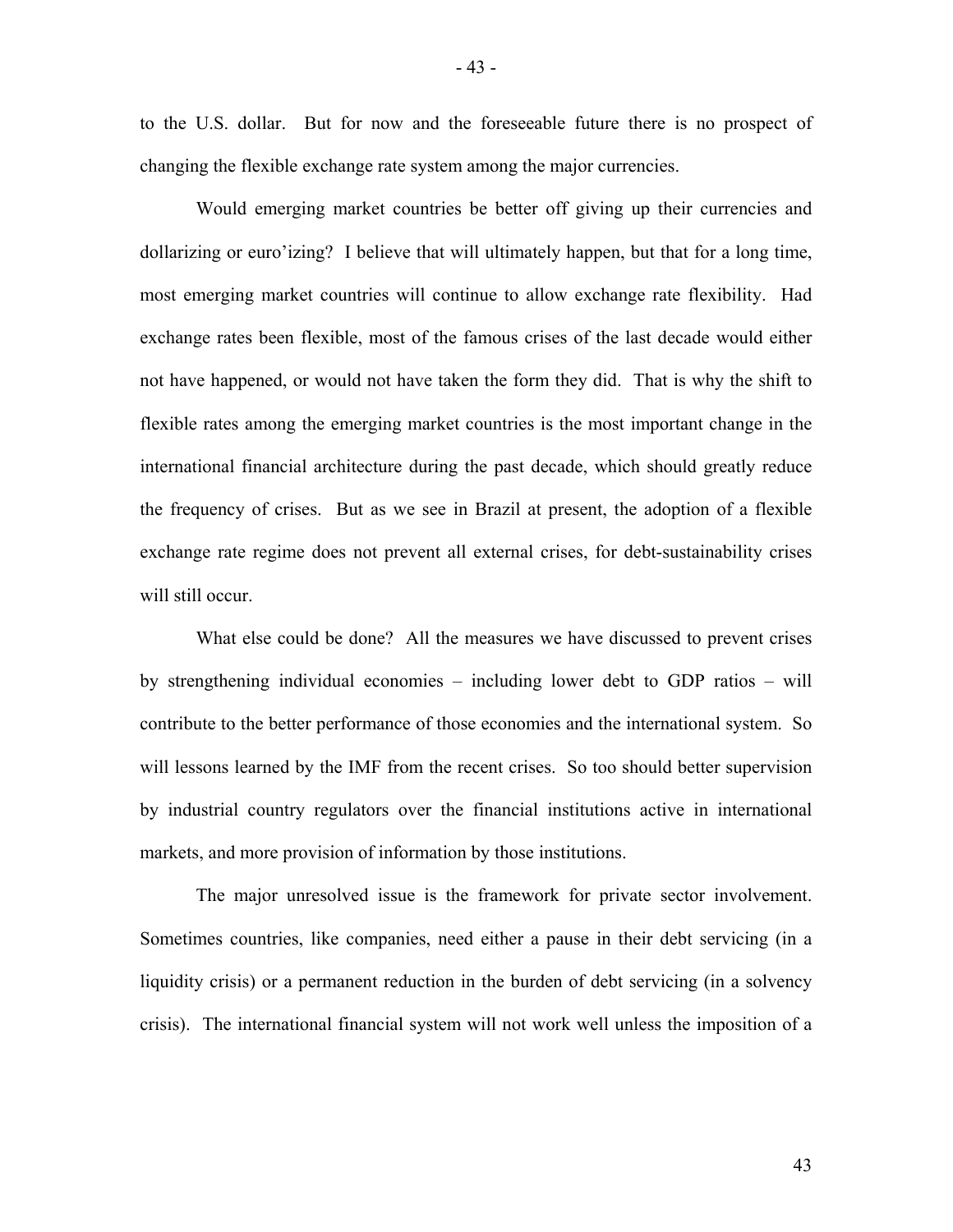to the U.S. dollar. But for now and the foreseeable future there is no prospect of changing the flexible exchange rate system among the major currencies.

Would emerging market countries be better off giving up their currencies and dollarizing or euro'izing? I believe that will ultimately happen, but that for a long time, most emerging market countries will continue to allow exchange rate flexibility. Had exchange rates been flexible, most of the famous crises of the last decade would either not have happened, or would not have taken the form they did. That is why the shift to flexible rates among the emerging market countries is the most important change in the international financial architecture during the past decade, which should greatly reduce the frequency of crises. But as we see in Brazil at present, the adoption of a flexible exchange rate regime does not prevent all external crises, for debt-sustainability crises will still occur.

 What else could be done? All the measures we have discussed to prevent crises by strengthening individual economies – including lower debt to GDP ratios – will contribute to the better performance of those economies and the international system. So will lessons learned by the IMF from the recent crises. So too should better supervision by industrial country regulators over the financial institutions active in international markets, and more provision of information by those institutions.

 The major unresolved issue is the framework for private sector involvement. Sometimes countries, like companies, need either a pause in their debt servicing (in a liquidity crisis) or a permanent reduction in the burden of debt servicing (in a solvency crisis). The international financial system will not work well unless the imposition of a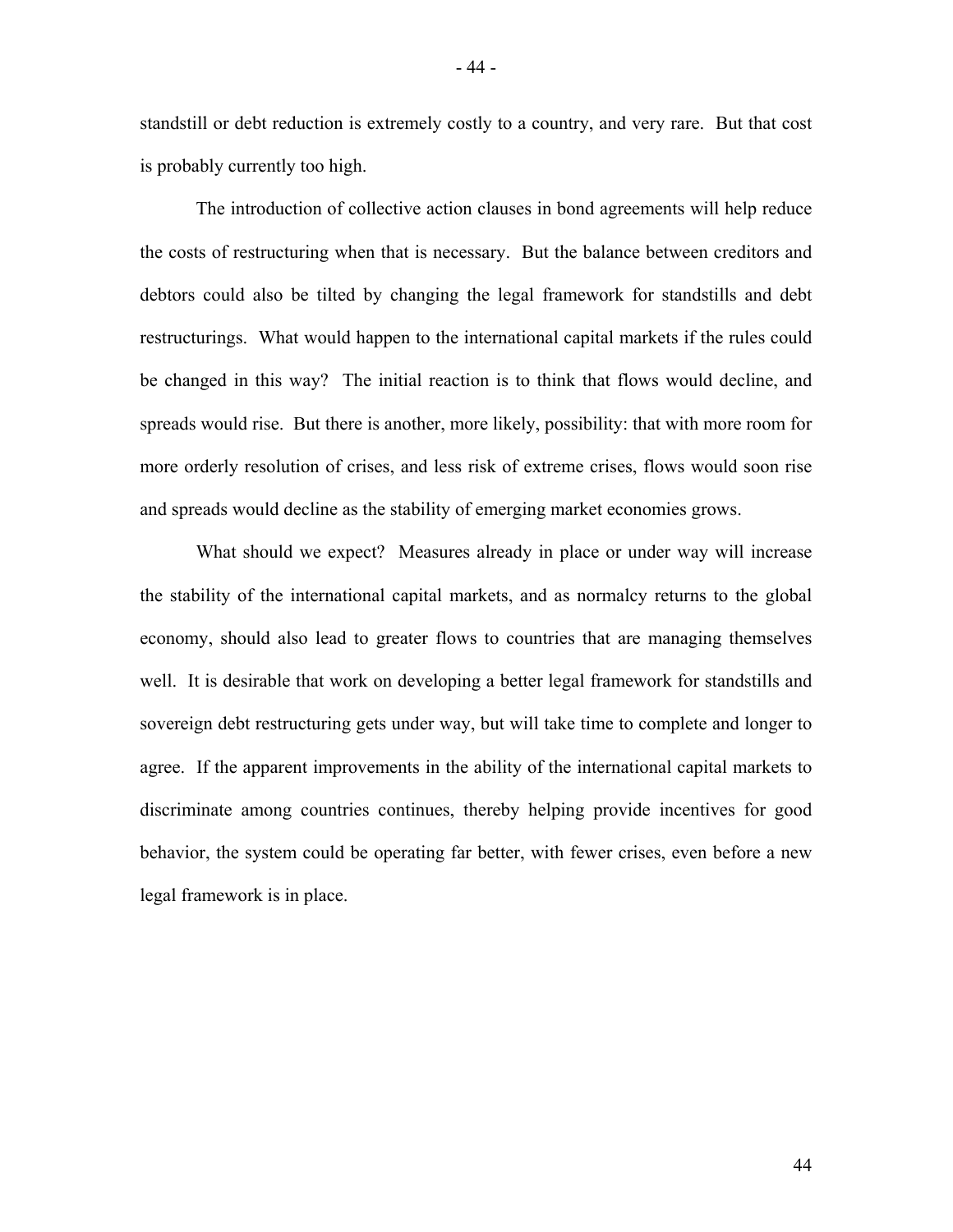standstill or debt reduction is extremely costly to a country, and very rare. But that cost is probably currently too high.

 The introduction of collective action clauses in bond agreements will help reduce the costs of restructuring when that is necessary. But the balance between creditors and debtors could also be tilted by changing the legal framework for standstills and debt restructurings. What would happen to the international capital markets if the rules could be changed in this way? The initial reaction is to think that flows would decline, and spreads would rise. But there is another, more likely, possibility: that with more room for more orderly resolution of crises, and less risk of extreme crises, flows would soon rise and spreads would decline as the stability of emerging market economies grows.

 What should we expect? Measures already in place or under way will increase the stability of the international capital markets, and as normalcy returns to the global economy, should also lead to greater flows to countries that are managing themselves well. It is desirable that work on developing a better legal framework for standstills and sovereign debt restructuring gets under way, but will take time to complete and longer to agree. If the apparent improvements in the ability of the international capital markets to discriminate among countries continues, thereby helping provide incentives for good behavior, the system could be operating far better, with fewer crises, even before a new legal framework is in place.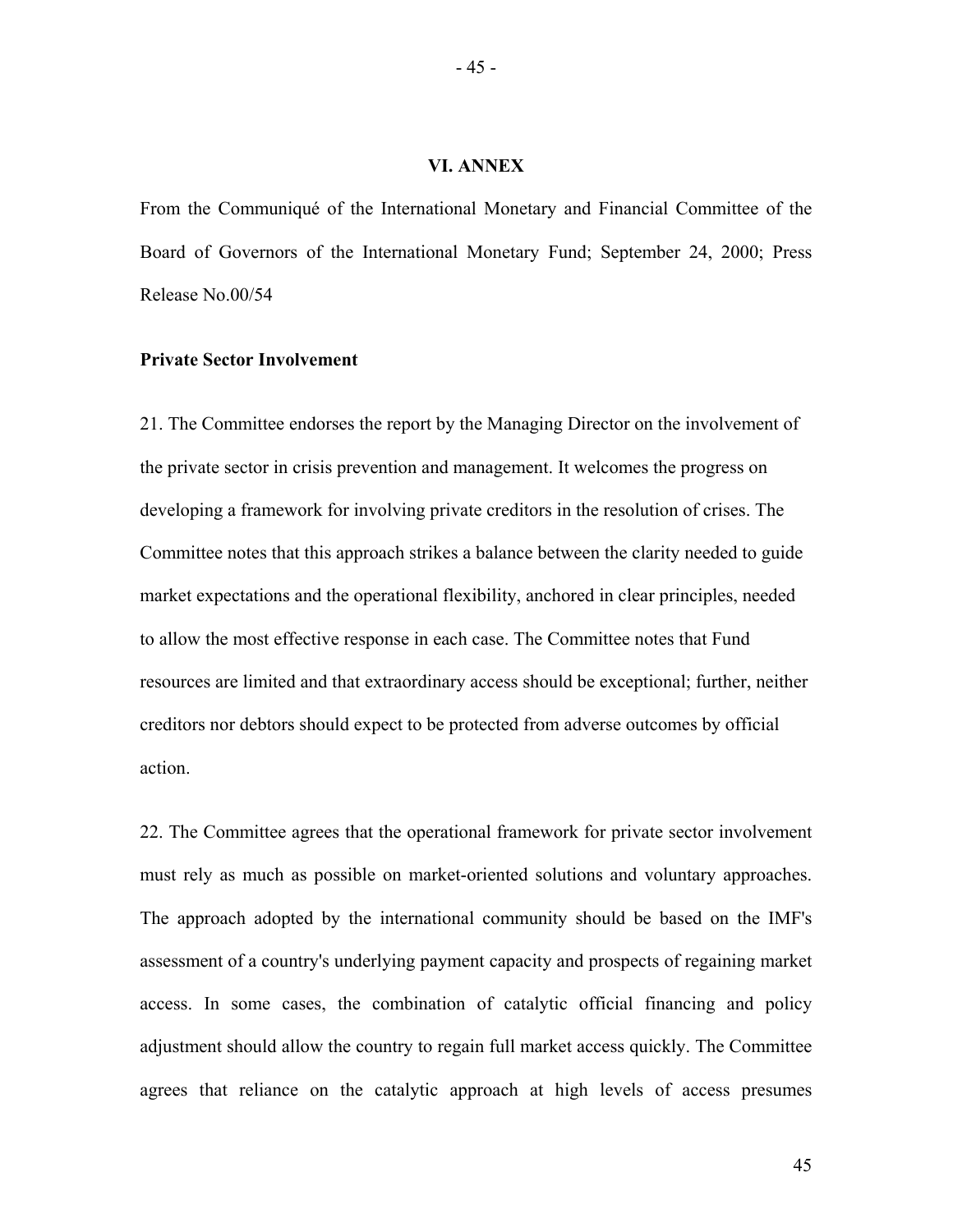# **VI. ANNEX**

From the Communiqué of the International Monetary and Financial Committee of the Board of Governors of the International Monetary Fund; September 24, 2000; Press Release No.00/54

# **Private Sector Involvement**

21. The Committee endorses the report by the Managing Director on the involvement of the private sector in crisis prevention and management. It welcomes the progress on developing a framework for involving private creditors in the resolution of crises. The Committee notes that this approach strikes a balance between the clarity needed to guide market expectations and the operational flexibility, anchored in clear principles, needed to allow the most effective response in each case. The Committee notes that Fund resources are limited and that extraordinary access should be exceptional; further, neither creditors nor debtors should expect to be protected from adverse outcomes by official action.

22. The Committee agrees that the operational framework for private sector involvement must rely as much as possible on market-oriented solutions and voluntary approaches. The approach adopted by the international community should be based on the IMF's assessment of a country's underlying payment capacity and prospects of regaining market access. In some cases, the combination of catalytic official financing and policy adjustment should allow the country to regain full market access quickly. The Committee agrees that reliance on the catalytic approach at high levels of access presumes

- 45 -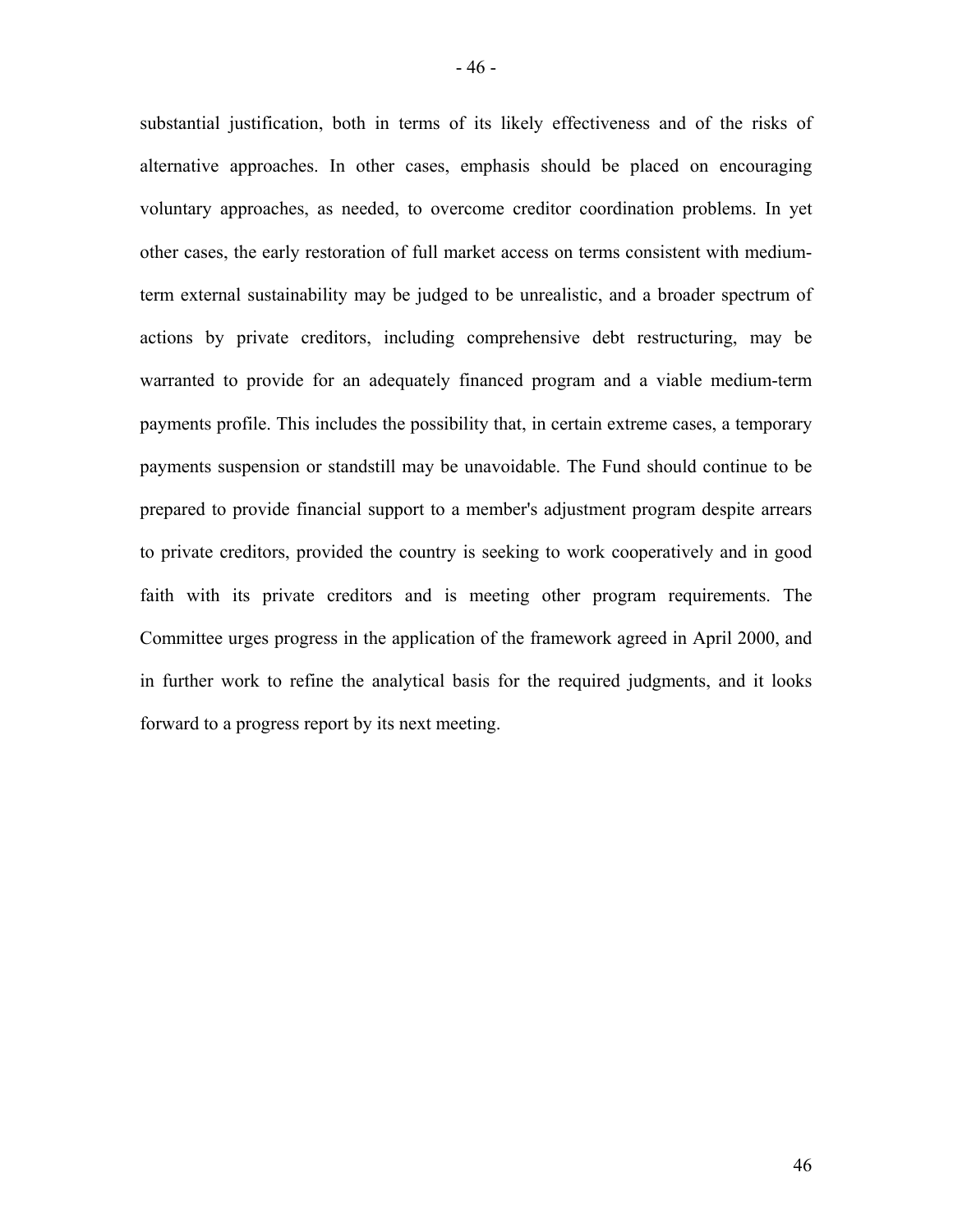substantial justification, both in terms of its likely effectiveness and of the risks of alternative approaches. In other cases, emphasis should be placed on encouraging voluntary approaches, as needed, to overcome creditor coordination problems. In yet other cases, the early restoration of full market access on terms consistent with mediumterm external sustainability may be judged to be unrealistic, and a broader spectrum of actions by private creditors, including comprehensive debt restructuring, may be warranted to provide for an adequately financed program and a viable medium-term payments profile. This includes the possibility that, in certain extreme cases, a temporary payments suspension or standstill may be unavoidable. The Fund should continue to be prepared to provide financial support to a member's adjustment program despite arrears to private creditors, provided the country is seeking to work cooperatively and in good faith with its private creditors and is meeting other program requirements. The Committee urges progress in the application of the framework agreed in April 2000, and in further work to refine the analytical basis for the required judgments, and it looks forward to a progress report by its next meeting.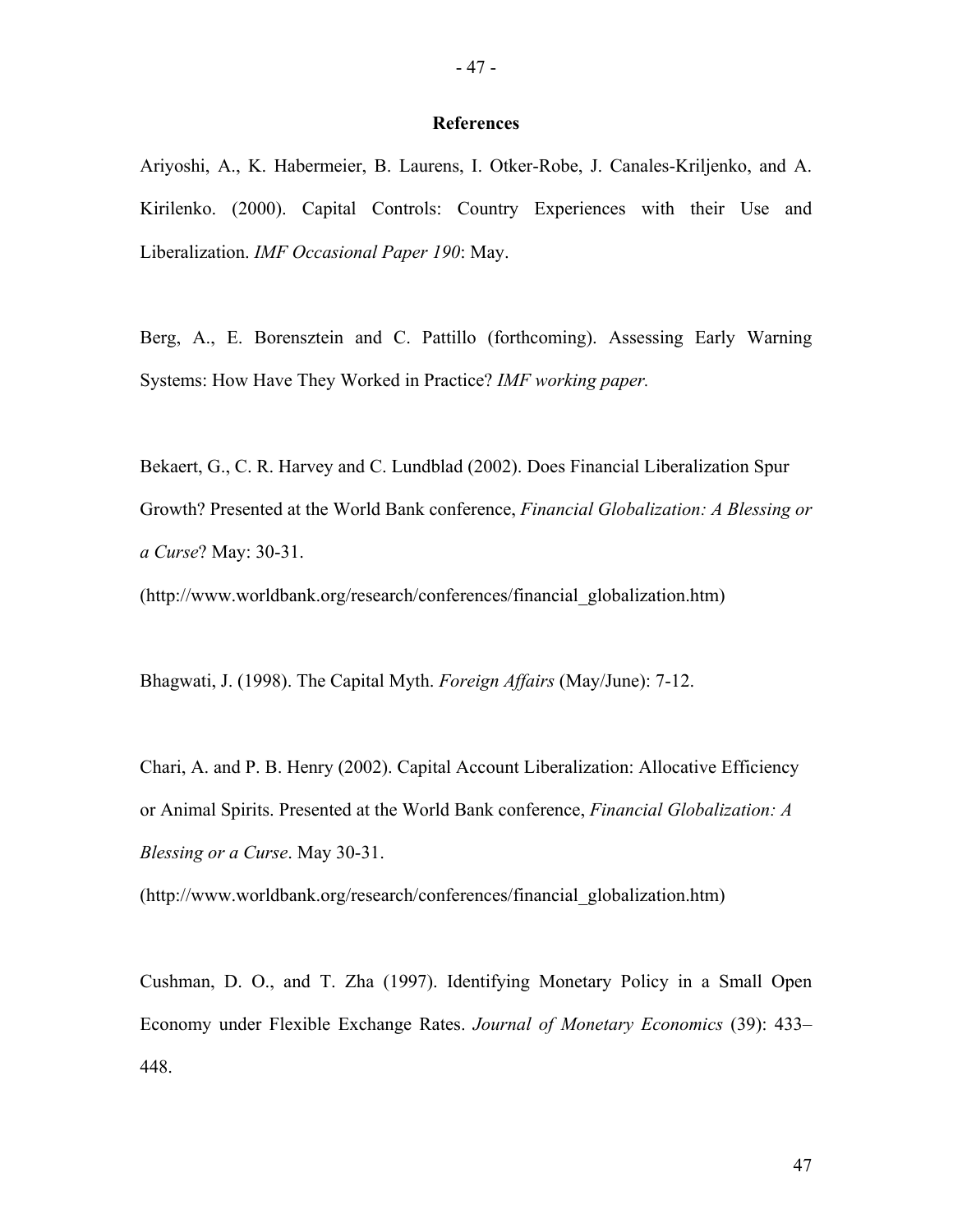# **References**

Ariyoshi, A., K. Habermeier, B. Laurens, I. Otker-Robe, J. Canales-Kriljenko, and A. Kirilenko. (2000). Capital Controls: Country Experiences with their Use and Liberalization. *IMF Occasional Paper 190*: May.

Berg, A., E. Borensztein and C. Pattillo (forthcoming). Assessing Early Warning Systems: How Have They Worked in Practice? *IMF working paper.*

Bekaert, G., C. R. Harvey and C. Lundblad (2002). Does Financial Liberalization Spur Growth? Presented at the World Bank conference, *Financial Globalization: A Blessing or a Curse*? May: 30-31.

(http://www.worldbank.org/research/conferences/financial\_globalization.htm)

Bhagwati, J. (1998). The Capital Myth. *Foreign Affairs* (May/June): 7-12.

Chari, A. and P. B. Henry (2002). Capital Account Liberalization: Allocative Efficiency or Animal Spirits. Presented at the World Bank conference, *Financial Globalization: A Blessing or a Curse*. May 30-31.

(http://www.worldbank.org/research/conferences/financial\_globalization.htm)

Cushman, D. O., and T. Zha (1997). Identifying Monetary Policy in a Small Open Economy under Flexible Exchange Rates. *Journal of Monetary Economics* (39): 433– 448.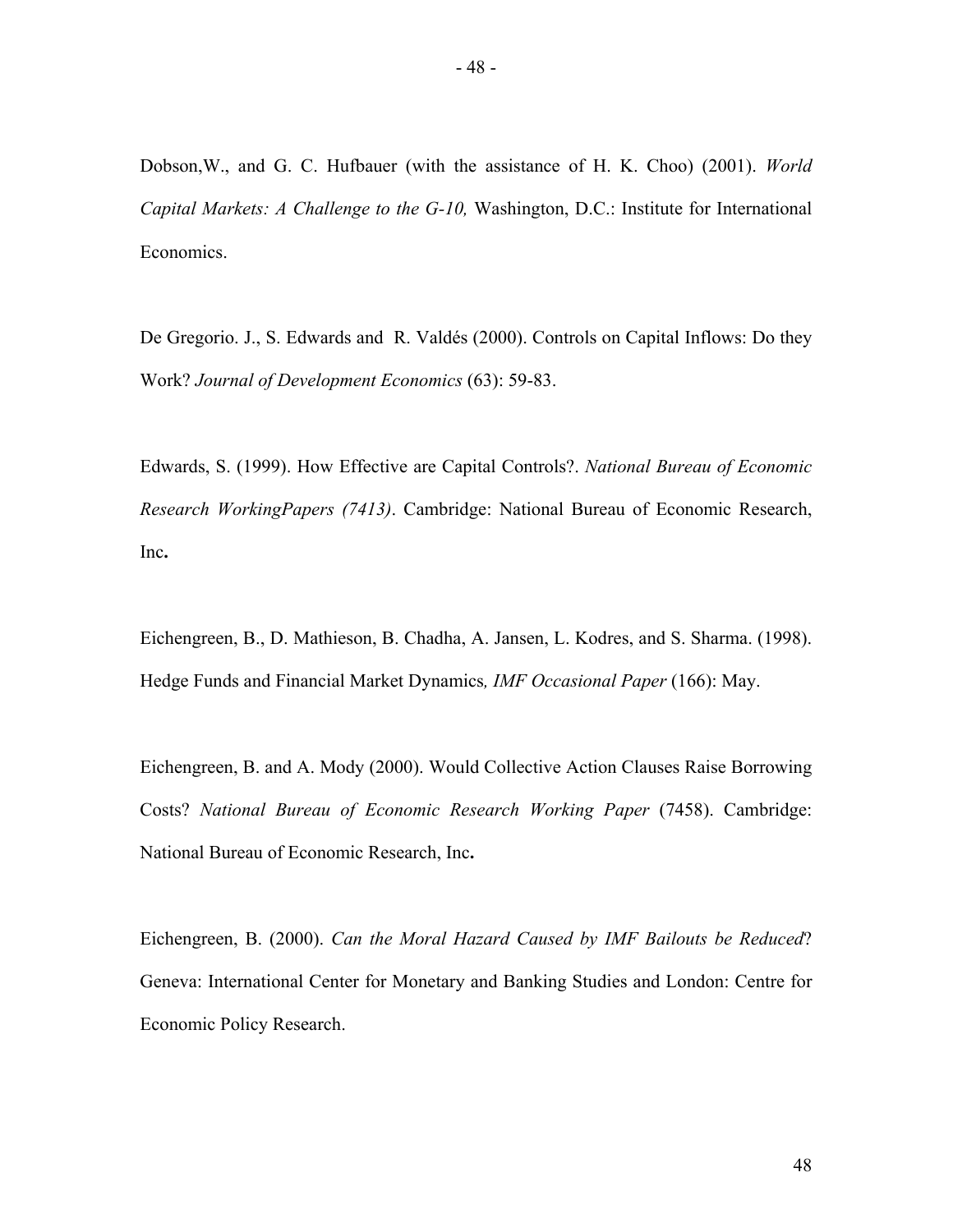Dobson,W., and G. C. Hufbauer (with the assistance of H. K. Choo) (2001). *World Capital Markets: A Challenge to the G-10,* Washington, D.C.: Institute for International Economics.

De Gregorio. J., S. Edwards and R. Valdés (2000). Controls on Capital Inflows: Do they Work? *Journal of Development Economics* (63): 59-83.

Edwards, S. (1999). How Effective are Capital Controls?. *National Bureau of Economic Research WorkingPapers (7413)*. Cambridge: National Bureau of Economic Research, Inc**.** 

Eichengreen, B., D. Mathieson, B. Chadha, A. Jansen, L. Kodres, and S. Sharma. (1998). Hedge Funds and Financial Market Dynamics*, IMF Occasional Paper* (166): May.

Eichengreen, B. and A. Mody (2000). Would Collective Action Clauses Raise Borrowing Costs? *National Bureau of Economic Research Working Paper* (7458). Cambridge: National Bureau of Economic Research, Inc**.** 

Eichengreen, B. (2000). *Can the Moral Hazard Caused by IMF Bailouts be Reduced*? Geneva: International Center for Monetary and Banking Studies and London: Centre for Economic Policy Research.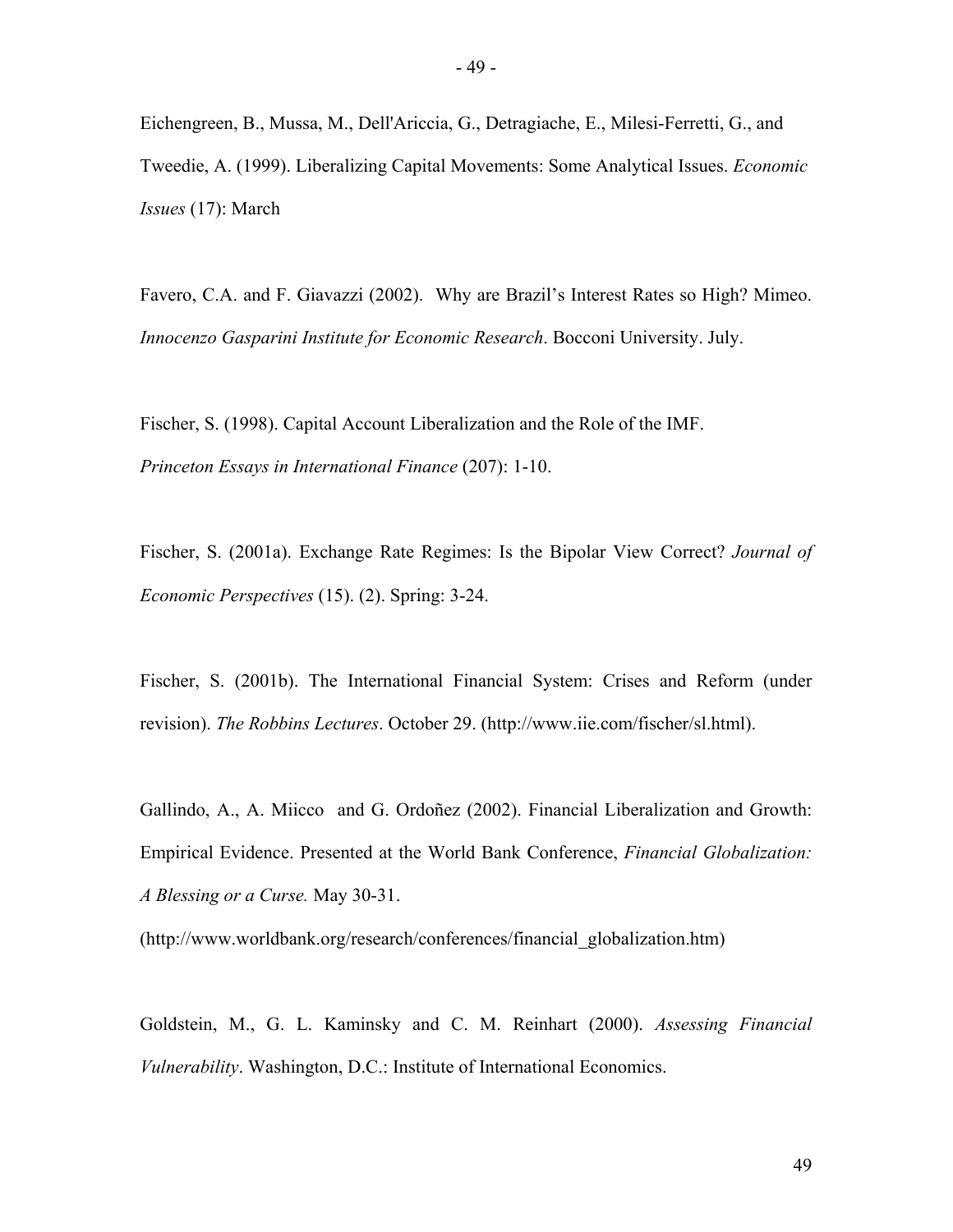Eichengreen, B., Mussa, M., Dell'Ariccia, G., Detragiache, E., Milesi-Ferretti, G., and Tweedie, A. (1999). Liberalizing Capital Movements: Some Analytical Issues. *Economic Issues* (17): March

Favero, C.A. and F. Giavazzi (2002). Why are Brazil's Interest Rates so High? Mimeo. *Innocenzo Gasparini Institute for Economic Research*. Bocconi University. July.

Fischer, S. (1998). Capital Account Liberalization and the Role of the IMF. *Princeton Essays in International Finance* (207): 1-10.

Fischer, S. (2001a). Exchange Rate Regimes: Is the Bipolar View Correct? *Journal of Economic Perspectives* (15). (2). Spring: 3-24.

Fischer, S. (2001b). The International Financial System: Crises and Reform (under revision). *The Robbins Lectures*. October 29. (http://www.iie.com/fischer/sl.html).

Gallindo, A., A. Miicco and G. Ordoñez (2002). Financial Liberalization and Growth: Empirical Evidence. Presented at the World Bank Conference, *Financial Globalization: A Blessing or a Curse.* May 30-31.

(http://www.worldbank.org/research/conferences/financial\_globalization.htm)

Goldstein, M., G. L. Kaminsky and C. M. Reinhart (2000). *Assessing Financial Vulnerability*. Washington, D.C.: Institute of International Economics.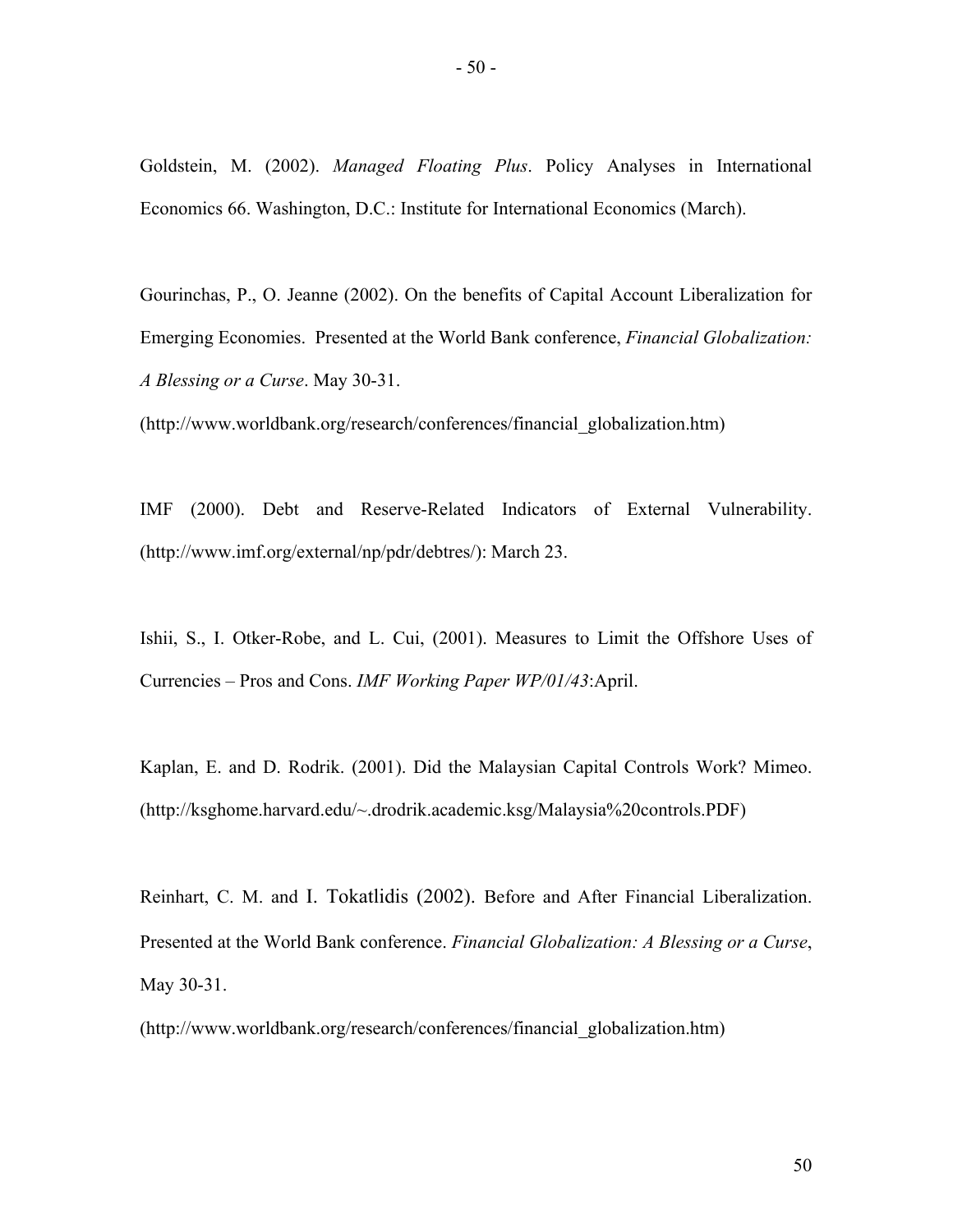Goldstein, M. (2002). *Managed Floating Plus*. Policy Analyses in International Economics 66. Washington, D.C.: Institute for International Economics (March).

Gourinchas, P., O. Jeanne (2002). On the benefits of Capital Account Liberalization for Emerging Economies. Presented at the World Bank conference, *Financial Globalization: A Blessing or a Curse*. May 30-31.

(http://www.worldbank.org/research/conferences/financial\_globalization.htm)

IMF (2000). Debt and Reserve-Related Indicators of External Vulnerability. (http://www.imf.org/external/np/pdr/debtres/): March 23.

Ishii, S., I. Otker-Robe, and L. Cui, (2001). Measures to Limit the Offshore Uses of Currencies – Pros and Cons. *IMF Working Paper WP/01/43*:April.

Kaplan, E. and D. Rodrik. (2001). Did the Malaysian Capital Controls Work? Mimeo. (http://ksghome.harvard.edu/~.drodrik.academic.ksg/Malaysia%20controls.PDF)

Reinhart, C. M. and I. Tokatlidis (2002). Before and After Financial Liberalization. Presented at the World Bank conference. *Financial Globalization: A Blessing or a Curse*, May 30-31.

(http://www.worldbank.org/research/conferences/financial\_globalization.htm)